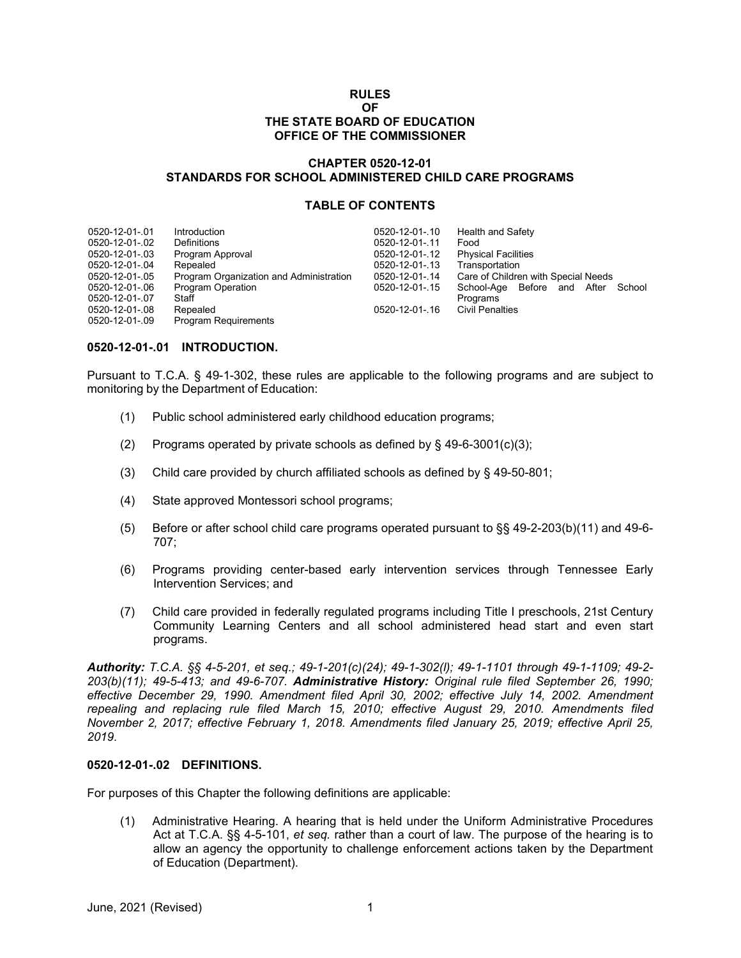#### **RULES OF THE STATE BOARD OF EDUCATION OFFICE OF THE COMMISSIONER**

# **CHAPTER 0520-12-01 STANDARDS FOR SCHOOL ADMINISTERED CHILD CARE PROGRAMS**

# **TABLE OF CONTENTS**

| 0520-12-01-.01 | Introduction                            | 0520-12-01-.10 | Health and Safety                     |
|----------------|-----------------------------------------|----------------|---------------------------------------|
| 0520-12-01-.02 | Definitions                             | 0520-12-01-.11 | Food                                  |
| 0520-12-01-.03 | Program Approval                        | 0520-12-01-.12 | <b>Physical Facilities</b>            |
| 0520-12-01-.04 | Repealed                                | 0520-12-01-.13 | Transportation                        |
| 0520-12-01-.05 | Program Organization and Administration | 0520-12-01-.14 | Care of Children with Special Needs   |
| 0520-12-01-.06 | <b>Program Operation</b>                | 0520-12-01-.15 | School-Age Before and After<br>School |
| 0520-12-01-.07 | Staff                                   |                | Programs                              |
| 0520-12-01-.08 | Repealed                                | 0520-12-01-.16 | <b>Civil Penalties</b>                |
| 0520-12-01-.09 | <b>Program Requirements</b>             |                |                                       |

# **0520-12-01-.01 INTRODUCTION.**

Pursuant to T.C.A. § 49-1-302, these rules are applicable to the following programs and are subject to monitoring by the Department of Education:

- (1) Public school administered early childhood education programs;
- (2) Programs operated by private schools as defined by  $\S$  49-6-3001(c)(3);
- (3) Child care provided by church affiliated schools as defined by § 49-50-801;
- (4) State approved Montessori school programs;
- (5) Before or after school child care programs operated pursuant to §§ 49-2-203(b)(11) and 49-6- 707;
- (6) Programs providing center-based early intervention services through Tennessee Early Intervention Services; and
- (7) Child care provided in federally regulated programs including Title I preschools, 21st Century Community Learning Centers and all school administered head start and even start programs.

*Authority: T.C.A. §§ 4-5-201, et seq.; 49-1-201(c)(24); 49-1-302(l); 49-1-1101 through 49-1-1109; 49-2- 203(b)(11); 49-5-413; and 49-6-707. Administrative History: Original rule filed September 26, 1990; effective December 29, 1990. Amendment filed April 30, 2002; effective July 14, 2002. Amendment repealing and replacing rule filed March 15, 2010; effective August 29, 2010. Amendments filed November 2, 2017; effective February 1, 2018. Amendments filed January 25, 2019; effective April 25, 2019.*

# **0520-12-01-.02 DEFINITIONS.**

For purposes of this Chapter the following definitions are applicable:

(1) Administrative Hearing. A hearing that is held under the Uniform Administrative Procedures Act at T.C.A. §§ 4-5-101, *et seq.* rather than a court of law. The purpose of the hearing is to allow an agency the opportunity to challenge enforcement actions taken by the Department of Education (Department).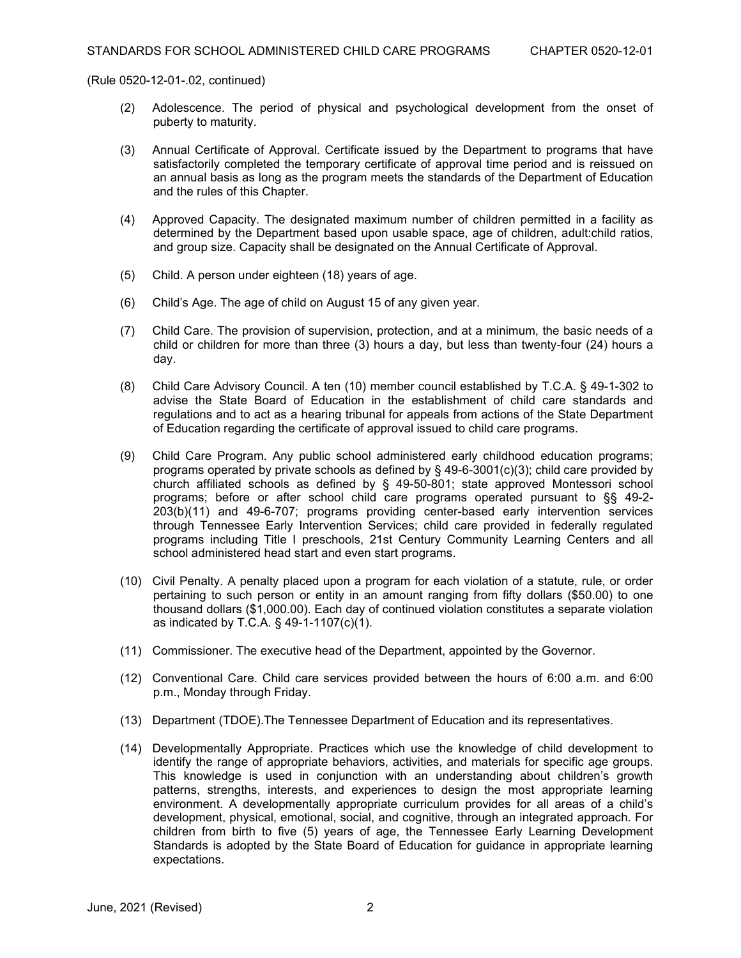- (2) Adolescence. The period of physical and psychological development from the onset of puberty to maturity.
- (3) Annual Certificate of Approval. Certificate issued by the Department to programs that have satisfactorily completed the temporary certificate of approval time period and is reissued on an annual basis as long as the program meets the standards of the Department of Education and the rules of this Chapter.
- (4) Approved Capacity. The designated maximum number of children permitted in a facility as determined by the Department based upon usable space, age of children, adult:child ratios, and group size. Capacity shall be designated on the Annual Certificate of Approval.
- (5) Child. A person under eighteen (18) years of age.
- (6) Child's Age. The age of child on August 15 of any given year.
- (7) Child Care. The provision of supervision, protection, and at a minimum, the basic needs of a child or children for more than three (3) hours a day, but less than twenty-four (24) hours a day.
- (8) Child Care Advisory Council. A ten (10) member council established by T.C.A. § 49-1-302 to advise the State Board of Education in the establishment of child care standards and regulations and to act as a hearing tribunal for appeals from actions of the State Department of Education regarding the certificate of approval issued to child care programs.
- (9) Child Care Program. Any public school administered early childhood education programs; programs operated by private schools as defined by § 49-6-3001(c)(3); child care provided by church affiliated schools as defined by § 49-50-801; state approved Montessori school programs; before or after school child care programs operated pursuant to §§ 49-2- 203(b)(11) and 49-6-707; programs providing center-based early intervention services through Tennessee Early Intervention Services; child care provided in federally regulated programs including Title I preschools, 21st Century Community Learning Centers and all school administered head start and even start programs.
- (10) Civil Penalty. A penalty placed upon a program for each violation of a statute, rule, or order pertaining to such person or entity in an amount ranging from fifty dollars (\$50.00) to one thousand dollars (\$1,000.00). Each day of continued violation constitutes a separate violation as indicated by T.C.A. § 49-1-1107(c)(1).
- (11) Commissioner. The executive head of the Department, appointed by the Governor.
- (12) Conventional Care. Child care services provided between the hours of 6:00 a.m. and 6:00 p.m., Monday through Friday.
- (13) Department (TDOE).The Tennessee Department of Education and its representatives.
- (14) Developmentally Appropriate. Practices which use the knowledge of child development to identify the range of appropriate behaviors, activities, and materials for specific age groups. This knowledge is used in conjunction with an understanding about children's growth patterns, strengths, interests, and experiences to design the most appropriate learning environment. A developmentally appropriate curriculum provides for all areas of a child's development, physical, emotional, social, and cognitive, through an integrated approach. For children from birth to five (5) years of age, the Tennessee Early Learning Development Standards is adopted by the State Board of Education for guidance in appropriate learning expectations.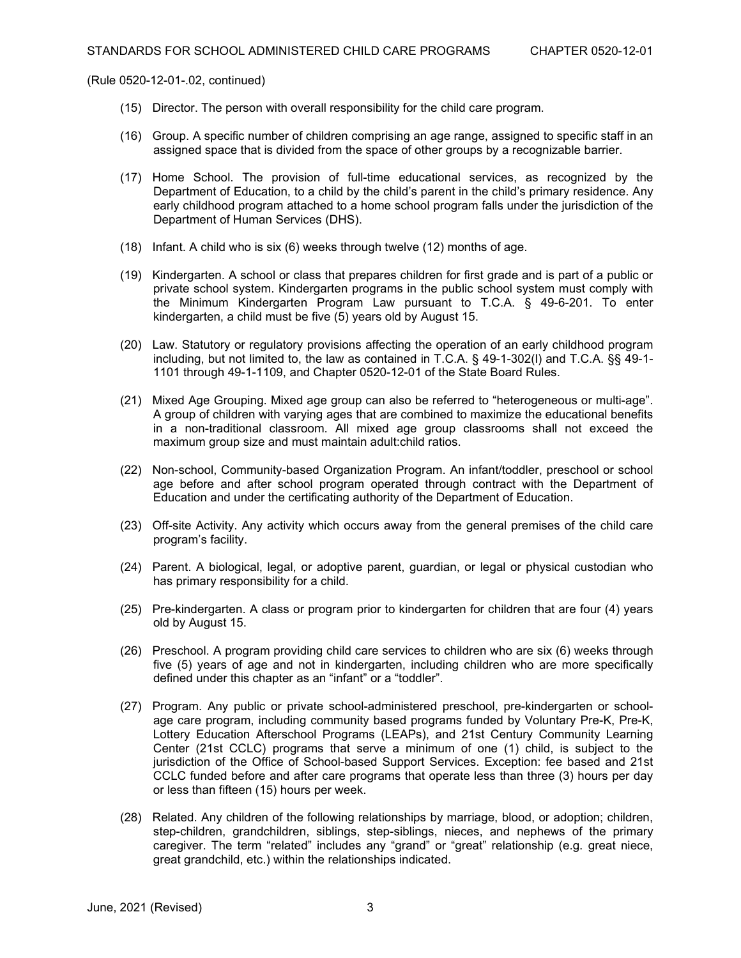- (15) Director. The person with overall responsibility for the child care program.
- (16) Group. A specific number of children comprising an age range, assigned to specific staff in an assigned space that is divided from the space of other groups by a recognizable barrier.
- (17) Home School. The provision of full-time educational services, as recognized by the Department of Education, to a child by the child's parent in the child's primary residence. Any early childhood program attached to a home school program falls under the jurisdiction of the Department of Human Services (DHS).
- (18) Infant. A child who is six (6) weeks through twelve (12) months of age.
- (19) Kindergarten. A school or class that prepares children for first grade and is part of a public or private school system. Kindergarten programs in the public school system must comply with the Minimum Kindergarten Program Law pursuant to T.C.A. § 49-6-201. To enter kindergarten, a child must be five (5) years old by August 15.
- (20) Law. Statutory or regulatory provisions affecting the operation of an early childhood program including, but not limited to, the law as contained in T.C.A. § 49-1-302(l) and T.C.A. §§ 49-1- 1101 through 49-1-1109, and Chapter 0520-12-01 of the State Board Rules.
- (21) Mixed Age Grouping. Mixed age group can also be referred to "heterogeneous or multi-age". A group of children with varying ages that are combined to maximize the educational benefits in a non-traditional classroom. All mixed age group classrooms shall not exceed the maximum group size and must maintain adult:child ratios.
- (22) Non-school, Community-based Organization Program. An infant/toddler, preschool or school age before and after school program operated through contract with the Department of Education and under the certificating authority of the Department of Education.
- (23) Off-site Activity. Any activity which occurs away from the general premises of the child care program's facility.
- (24) Parent. A biological, legal, or adoptive parent, guardian, or legal or physical custodian who has primary responsibility for a child.
- (25) Pre-kindergarten. A class or program prior to kindergarten for children that are four (4) years old by August 15.
- (26) Preschool. A program providing child care services to children who are six (6) weeks through five (5) years of age and not in kindergarten, including children who are more specifically defined under this chapter as an "infant" or a "toddler".
- (27) Program. Any public or private school-administered preschool, pre-kindergarten or schoolage care program, including community based programs funded by Voluntary Pre-K, Pre-K, Lottery Education Afterschool Programs (LEAPs), and 21st Century Community Learning Center (21st CCLC) programs that serve a minimum of one (1) child, is subject to the jurisdiction of the Office of School-based Support Services. Exception: fee based and 21st CCLC funded before and after care programs that operate less than three (3) hours per day or less than fifteen (15) hours per week.
- (28) Related. Any children of the following relationships by marriage, blood, or adoption; children, step-children, grandchildren, siblings, step-siblings, nieces, and nephews of the primary caregiver. The term "related" includes any "grand" or "great" relationship (e.g. great niece, great grandchild, etc.) within the relationships indicated.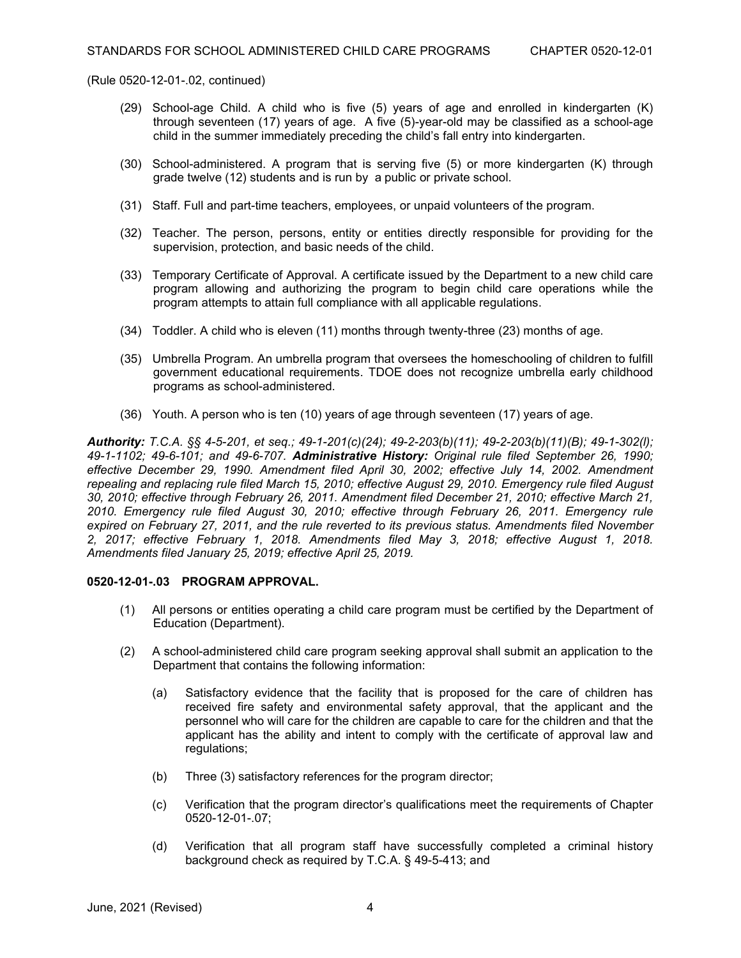- (29) School-age Child. A child who is five (5) years of age and enrolled in kindergarten (K) through seventeen (17) years of age. A five (5)-year-old may be classified as a school-age child in the summer immediately preceding the child's fall entry into kindergarten.
- (30) School-administered. A program that is serving five (5) or more kindergarten (K) through grade twelve (12) students and is run by a public or private school.
- (31) Staff. Full and part-time teachers, employees, or unpaid volunteers of the program.
- (32) Teacher. The person, persons, entity or entities directly responsible for providing for the supervision, protection, and basic needs of the child.
- (33) Temporary Certificate of Approval. A certificate issued by the Department to a new child care program allowing and authorizing the program to begin child care operations while the program attempts to attain full compliance with all applicable regulations.
- (34) Toddler. A child who is eleven (11) months through twenty-three (23) months of age.
- (35) Umbrella Program. An umbrella program that oversees the homeschooling of children to fulfill government educational requirements. TDOE does not recognize umbrella early childhood programs as school-administered.
- (36) Youth. A person who is ten (10) years of age through seventeen (17) years of age.

*Authority: T.C.A. §§ 4-5-201, et seq.; 49-1-201(c)(24); 49-2-203(b)(11); 49-2-203(b)(11)(B); 49-1-302(l); 49-1-1102; 49-6-101; and 49-6-707. Administrative History: Original rule filed September 26, 1990; effective December 29, 1990. Amendment filed April 30, 2002; effective July 14, 2002. Amendment repealing and replacing rule filed March 15, 2010; effective August 29, 2010. Emergency rule filed August 30, 2010; effective through February 26, 2011. Amendment filed December 21, 2010; effective March 21, 2010. Emergency rule filed August 30, 2010; effective through February 26, 2011. Emergency rule expired on February 27, 2011, and the rule reverted to its previous status. Amendments filed November 2, 2017; effective February 1, 2018. Amendments filed May 3, 2018; effective August 1, 2018. Amendments filed January 25, 2019; effective April 25, 2019.*

# **0520-12-01-.03 PROGRAM APPROVAL.**

- (1) All persons or entities operating a child care program must be certified by the Department of Education (Department).
- (2) A school-administered child care program seeking approval shall submit an application to the Department that contains the following information:
	- (a) Satisfactory evidence that the facility that is proposed for the care of children has received fire safety and environmental safety approval, that the applicant and the personnel who will care for the children are capable to care for the children and that the applicant has the ability and intent to comply with the certificate of approval law and regulations;
	- (b) Three (3) satisfactory references for the program director;
	- (c) Verification that the program director's qualifications meet the requirements of Chapter 0520-12-01-.07;
	- (d) Verification that all program staff have successfully completed a criminal history background check as required by T.C.A. § 49-5-413; and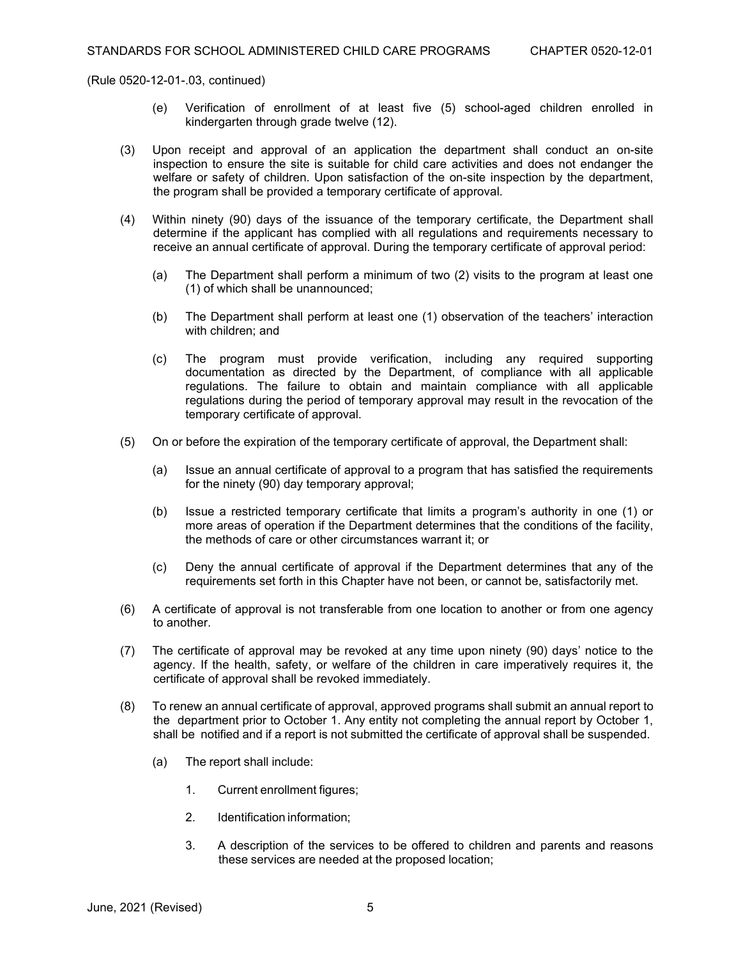- (e) Verification of enrollment of at least five (5) school-aged children enrolled in kindergarten through grade twelve (12).
- (3) Upon receipt and approval of an application the department shall conduct an on-site inspection to ensure the site is suitable for child care activities and does not endanger the welfare or safety of children. Upon satisfaction of the on-site inspection by the department, the program shall be provided a temporary certificate of approval.
- (4) Within ninety (90) days of the issuance of the temporary certificate, the Department shall determine if the applicant has complied with all regulations and requirements necessary to receive an annual certificate of approval. During the temporary certificate of approval period:
	- (a) The Department shall perform a minimum of two (2) visits to the program at least one (1) of which shall be unannounced;
	- (b) The Department shall perform at least one (1) observation of the teachers' interaction with children; and
	- (c) The program must provide verification, including any required supporting documentation as directed by the Department, of compliance with all applicable regulations. The failure to obtain and maintain compliance with all applicable regulations during the period of temporary approval may result in the revocation of the temporary certificate of approval.
- (5) On or before the expiration of the temporary certificate of approval, the Department shall:
	- (a) Issue an annual certificate of approval to a program that has satisfied the requirements for the ninety (90) day temporary approval;
	- (b) Issue a restricted temporary certificate that limits a program's authority in one (1) or more areas of operation if the Department determines that the conditions of the facility, the methods of care or other circumstances warrant it; or
	- (c) Deny the annual certificate of approval if the Department determines that any of the requirements set forth in this Chapter have not been, or cannot be, satisfactorily met.
- (6) A certificate of approval is not transferable from one location to another or from one agency to another.
- (7) The certificate of approval may be revoked at any time upon ninety (90) days' notice to the agency. If the health, safety, or welfare of the children in care imperatively requires it, the certificate of approval shall be revoked immediately.
- (8) To renew an annual certificate of approval, approved programs shall submit an annual report to the department prior to October 1. Any entity not completing the annual report by October 1, shall be notified and if a report is not submitted the certificate of approval shall be suspended.
	- (a) The report shall include:
		- 1. Current enrollment figures;
		- 2. Identification information;
		- 3. A description of the services to be offered to children and parents and reasons these services are needed at the proposed location;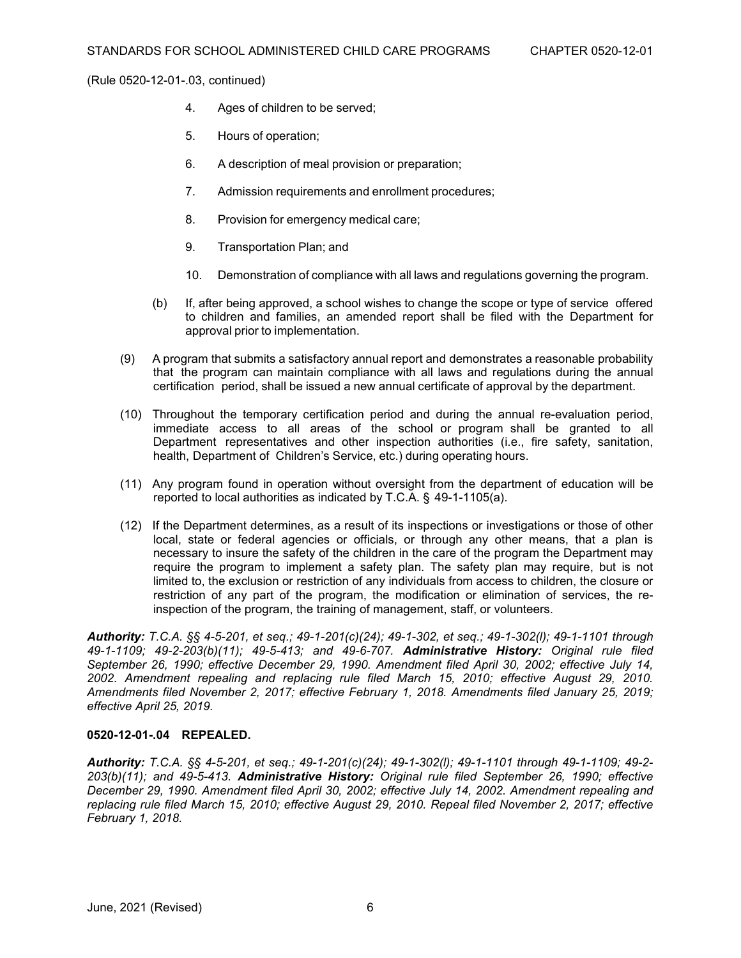- 4. Ages of children to be served;
- 5. Hours of operation;
- 6. A description of meal provision or preparation;
- 7. Admission requirements and enrollment procedures;
- 8. Provision for emergency medical care;
- 9. Transportation Plan; and
- 10. Demonstration of compliance with all laws and regulations governing the program.
- (b) If, after being approved, a school wishes to change the scope or type of service offered to children and families, an amended report shall be filed with the Department for approval prior to implementation.
- (9) A program that submits a satisfactory annual report and demonstrates a reasonable probability that the program can maintain compliance with all laws and regulations during the annual certification period, shall be issued a new annual certificate of approval by the department.
- (10) Throughout the temporary certification period and during the annual re-evaluation period, immediate access to all areas of the school or program shall be granted to all Department representatives and other inspection authorities (i.e., fire safety, sanitation, health, Department of Children's Service, etc.) during operating hours.
- (11) Any program found in operation without oversight from the department of education will be reported to local authorities as indicated by T.C.A. § 49-1-1105(a).
- (12) If the Department determines, as a result of its inspections or investigations or those of other local, state or federal agencies or officials, or through any other means, that a plan is necessary to insure the safety of the children in the care of the program the Department may require the program to implement a safety plan. The safety plan may require, but is not limited to, the exclusion or restriction of any individuals from access to children, the closure or restriction of any part of the program, the modification or elimination of services, the reinspection of the program, the training of management, staff, or volunteers.

*Authority: T.C.A. §§ 4-5-201, et seq.; 49-1-201(c)(24); 49-1-302, et seq.; 49-1-302(l); 49-1-1101 through 49-1-1109; 49-2-203(b)(11); 49-5-413; and 49-6-707. Administrative History: Original rule filed September 26, 1990; effective December 29, 1990. Amendment filed April 30, 2002; effective July 14, 2002. Amendment repealing and replacing rule filed March 15, 2010; effective August 29, 2010. Amendments filed November 2, 2017; effective February 1, 2018. Amendments filed January 25, 2019; effective April 25, 2019.*

# **0520-12-01-.04 REPEALED.**

*Authority: T.C.A. §§ 4-5-201, et seq.; 49-1-201(c)(24); 49-1-302(l); 49-1-1101 through 49-1-1109; 49-2- 203(b)(11); and 49-5-413. Administrative History: Original rule filed September 26, 1990; effective December 29, 1990. Amendment filed April 30, 2002; effective July 14, 2002. Amendment repealing and replacing rule filed March 15, 2010; effective August 29, 2010. Repeal filed November 2, 2017; effective February 1, 2018.*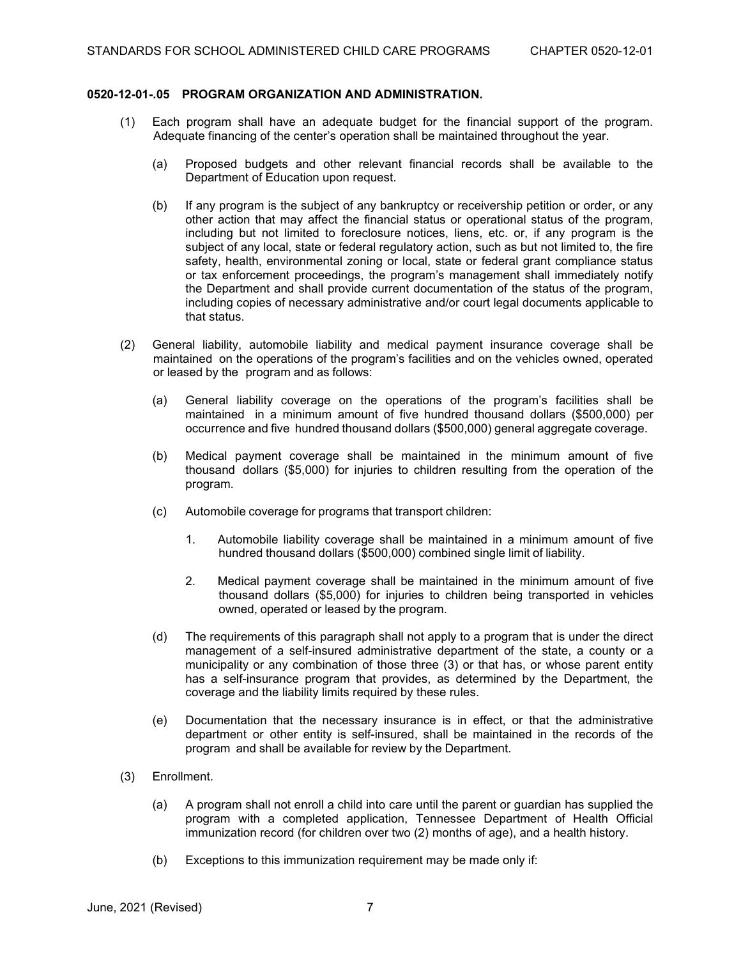# **0520-12-01-.05 PROGRAM ORGANIZATION AND ADMINISTRATION.**

- (1) Each program shall have an adequate budget for the financial support of the program. Adequate financing of the center's operation shall be maintained throughout the year.
	- (a) Proposed budgets and other relevant financial records shall be available to the Department of Education upon request.
	- (b) If any program is the subject of any bankruptcy or receivership petition or order, or any other action that may affect the financial status or operational status of the program, including but not limited to foreclosure notices, liens, etc. or, if any program is the subject of any local, state or federal regulatory action, such as but not limited to, the fire safety, health, environmental zoning or local, state or federal grant compliance status or tax enforcement proceedings, the program's management shall immediately notify the Department and shall provide current documentation of the status of the program, including copies of necessary administrative and/or court legal documents applicable to that status.
- (2) General liability, automobile liability and medical payment insurance coverage shall be maintained on the operations of the program's facilities and on the vehicles owned, operated or leased by the program and as follows:
	- (a) General liability coverage on the operations of the program's facilities shall be maintained in a minimum amount of five hundred thousand dollars (\$500,000) per occurrence and five hundred thousand dollars (\$500,000) general aggregate coverage.
	- (b) Medical payment coverage shall be maintained in the minimum amount of five thousand dollars (\$5,000) for injuries to children resulting from the operation of the program.
	- (c) Automobile coverage for programs that transport children:
		- 1. Automobile liability coverage shall be maintained in a minimum amount of five hundred thousand dollars (\$500,000) combined single limit of liability.
		- 2. Medical payment coverage shall be maintained in the minimum amount of five thousand dollars (\$5,000) for injuries to children being transported in vehicles owned, operated or leased by the program.
	- (d) The requirements of this paragraph shall not apply to a program that is under the direct management of a self-insured administrative department of the state, a county or a municipality or any combination of those three (3) or that has, or whose parent entity has a self-insurance program that provides, as determined by the Department, the coverage and the liability limits required by these rules.
	- (e) Documentation that the necessary insurance is in effect, or that the administrative department or other entity is self-insured, shall be maintained in the records of the program and shall be available for review by the Department.
- (3) Enrollment.
	- (a) A program shall not enroll a child into care until the parent or guardian has supplied the program with a completed application, Tennessee Department of Health Official immunization record (for children over two (2) months of age), and a health history.
	- (b) Exceptions to this immunization requirement may be made only if: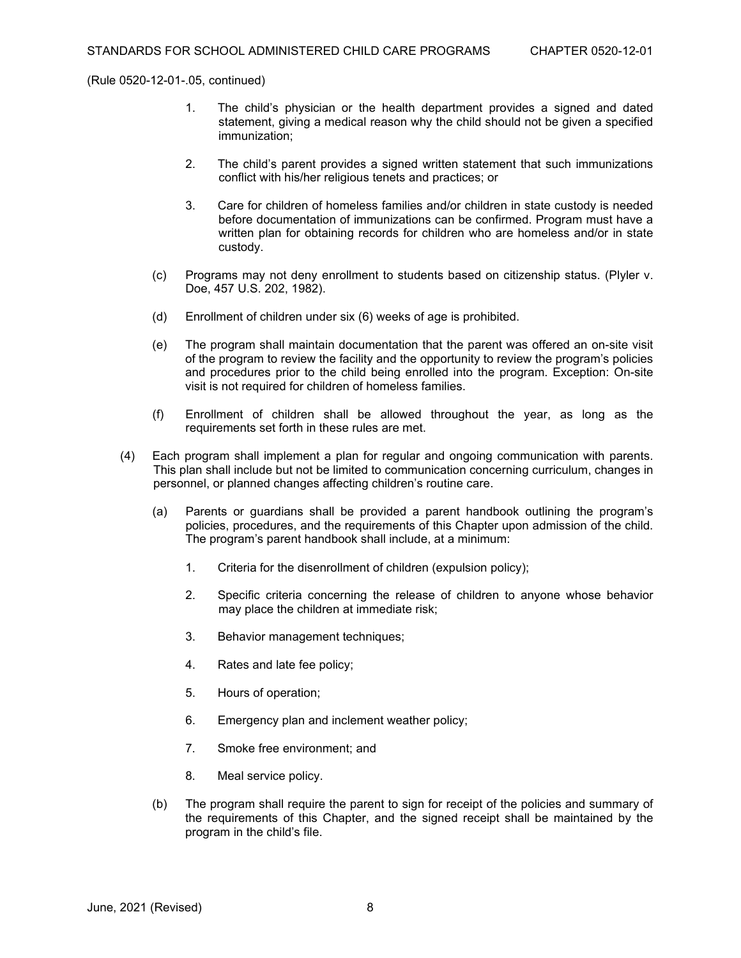- 1. The child's physician or the health department provides a signed and dated statement, giving a medical reason why the child should not be given a specified immunization;
- 2. The child's parent provides a signed written statement that such immunizations conflict with his/her religious tenets and practices; or
- 3. Care for children of homeless families and/or children in state custody is needed before documentation of immunizations can be confirmed. Program must have a written plan for obtaining records for children who are homeless and/or in state custody.
- (c) Programs may not deny enrollment to students based on citizenship status. (Plyler v. Doe, 457 U.S. 202, 1982).
- (d) Enrollment of children under six (6) weeks of age is prohibited.
- (e) The program shall maintain documentation that the parent was offered an on-site visit of the program to review the facility and the opportunity to review the program's policies and procedures prior to the child being enrolled into the program. Exception: On-site visit is not required for children of homeless families.
- (f) Enrollment of children shall be allowed throughout the year, as long as the requirements set forth in these rules are met.
- (4) Each program shall implement a plan for regular and ongoing communication with parents. This plan shall include but not be limited to communication concerning curriculum, changes in personnel, or planned changes affecting children's routine care.
	- (a) Parents or guardians shall be provided a parent handbook outlining the program's policies, procedures, and the requirements of this Chapter upon admission of the child. The program's parent handbook shall include, at a minimum:
		- 1. Criteria for the disenrollment of children (expulsion policy);
		- 2. Specific criteria concerning the release of children to anyone whose behavior may place the children at immediate risk;
		- 3. Behavior management techniques;
		- 4. Rates and late fee policy;
		- 5. Hours of operation;
		- 6. Emergency plan and inclement weather policy;
		- 7. Smoke free environment; and
		- 8. Meal service policy.
	- (b) The program shall require the parent to sign for receipt of the policies and summary of the requirements of this Chapter, and the signed receipt shall be maintained by the program in the child's file.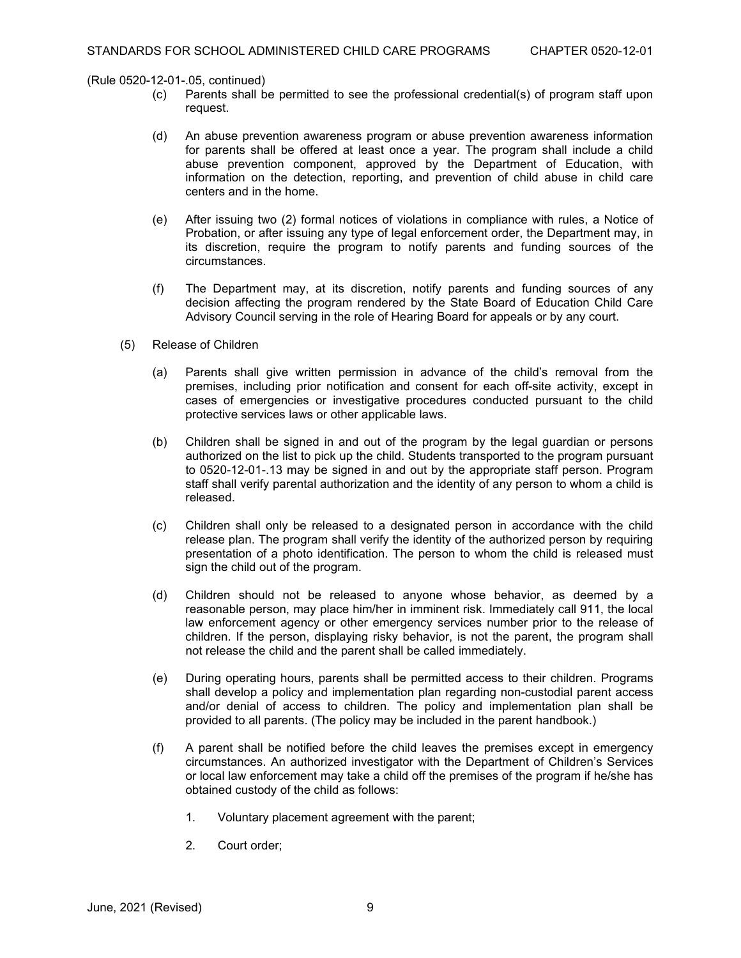(Rule 0520-12-01-.05, continued)<br>c) Parents shall be

- Parents shall be permitted to see the professional credential(s) of program staff upon request.
- (d) An abuse prevention awareness program or abuse prevention awareness information for parents shall be offered at least once a year. The program shall include a child abuse prevention component, approved by the Department of Education, with information on the detection, reporting, and prevention of child abuse in child care centers and in the home.
- (e) After issuing two (2) formal notices of violations in compliance with rules, a Notice of Probation, or after issuing any type of legal enforcement order, the Department may, in its discretion, require the program to notify parents and funding sources of the circumstances.
- (f) The Department may, at its discretion, notify parents and funding sources of any decision affecting the program rendered by the State Board of Education Child Care Advisory Council serving in the role of Hearing Board for appeals or by any court.
- (5) Release of Children
	- (a) Parents shall give written permission in advance of the child's removal from the premises, including prior notification and consent for each off-site activity, except in cases of emergencies or investigative procedures conducted pursuant to the child protective services laws or other applicable laws.
	- (b) Children shall be signed in and out of the program by the legal guardian or persons authorized on the list to pick up the child. Students transported to the program pursuant to 0520-12-01-.13 may be signed in and out by the appropriate staff person. Program staff shall verify parental authorization and the identity of any person to whom a child is released.
	- (c) Children shall only be released to a designated person in accordance with the child release plan. The program shall verify the identity of the authorized person by requiring presentation of a photo identification. The person to whom the child is released must sign the child out of the program.
	- (d) Children should not be released to anyone whose behavior, as deemed by a reasonable person, may place him/her in imminent risk. Immediately call 911, the local law enforcement agency or other emergency services number prior to the release of children. If the person, displaying risky behavior, is not the parent, the program shall not release the child and the parent shall be called immediately.
	- (e) During operating hours, parents shall be permitted access to their children. Programs shall develop a policy and implementation plan regarding non-custodial parent access and/or denial of access to children. The policy and implementation plan shall be provided to all parents. (The policy may be included in the parent handbook.)
	- (f) A parent shall be notified before the child leaves the premises except in emergency circumstances. An authorized investigator with the Department of Children's Services or local law enforcement may take a child off the premises of the program if he/she has obtained custody of the child as follows:
		- 1. Voluntary placement agreement with the parent;
		- 2. Court order;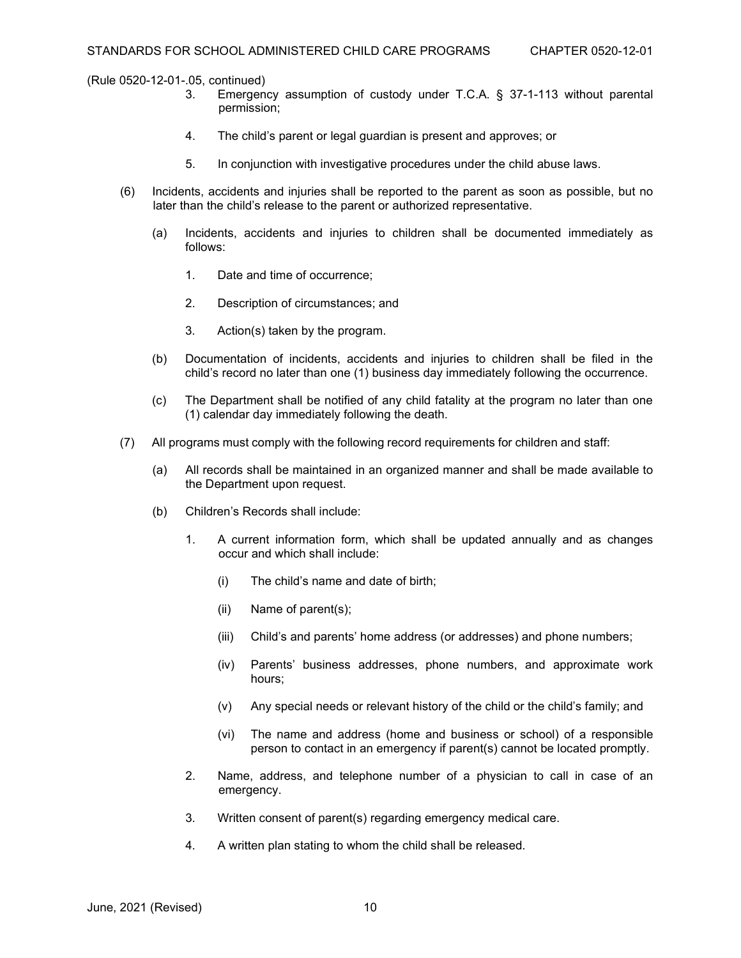- Emergency assumption of custody under T.C.A. § 37-1-113 without parental permission;
- 4. The child's parent or legal guardian is present and approves; or
- 5. In conjunction with investigative procedures under the child abuse laws.
- (6) Incidents, accidents and injuries shall be reported to the parent as soon as possible, but no later than the child's release to the parent or authorized representative.
	- (a) Incidents, accidents and injuries to children shall be documented immediately as follows:
		- 1. Date and time of occurrence;
		- 2. Description of circumstances; and
		- 3. Action(s) taken by the program.
	- (b) Documentation of incidents, accidents and injuries to children shall be filed in the child's record no later than one (1) business day immediately following the occurrence.
	- (c) The Department shall be notified of any child fatality at the program no later than one (1) calendar day immediately following the death.
- (7) All programs must comply with the following record requirements for children and staff:
	- (a) All records shall be maintained in an organized manner and shall be made available to the Department upon request.
	- (b) Children's Records shall include:
		- 1. A current information form, which shall be updated annually and as changes occur and which shall include:
			- (i) The child's name and date of birth;
			- (ii) Name of parent(s);
			- (iii) Child's and parents' home address (or addresses) and phone numbers;
			- (iv) Parents' business addresses, phone numbers, and approximate work hours;
			- (v) Any special needs or relevant history of the child or the child's family; and
			- (vi) The name and address (home and business or school) of a responsible person to contact in an emergency if parent(s) cannot be located promptly.
		- 2. Name, address, and telephone number of a physician to call in case of an emergency.
		- 3. Written consent of parent(s) regarding emergency medical care.
		- 4. A written plan stating to whom the child shall be released.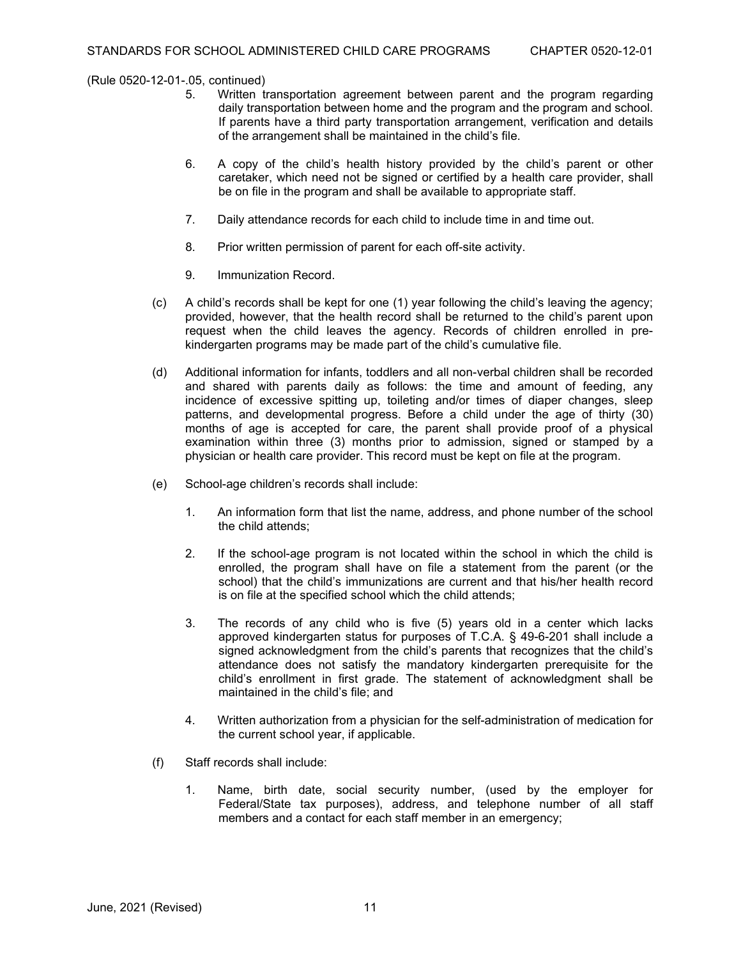- Written transportation agreement between parent and the program regarding daily transportation between home and the program and the program and school. If parents have a third party transportation arrangement, verification and details of the arrangement shall be maintained in the child's file.
- 6. A copy of the child's health history provided by the child's parent or other caretaker, which need not be signed or certified by a health care provider, shall be on file in the program and shall be available to appropriate staff.
- 7. Daily attendance records for each child to include time in and time out.
- 8. Prior written permission of parent for each off-site activity.
- 9. Immunization Record.
- (c) A child's records shall be kept for one (1) year following the child's leaving the agency; provided, however, that the health record shall be returned to the child's parent upon request when the child leaves the agency. Records of children enrolled in prekindergarten programs may be made part of the child's cumulative file.
- (d) Additional information for infants, toddlers and all non-verbal children shall be recorded and shared with parents daily as follows: the time and amount of feeding, any incidence of excessive spitting up, toileting and/or times of diaper changes, sleep patterns, and developmental progress. Before a child under the age of thirty (30) months of age is accepted for care, the parent shall provide proof of a physical examination within three (3) months prior to admission, signed or stamped by a physician or health care provider. This record must be kept on file at the program.
- (e) School-age children's records shall include:
	- 1. An information form that list the name, address, and phone number of the school the child attends;
	- 2. If the school-age program is not located within the school in which the child is enrolled, the program shall have on file a statement from the parent (or the school) that the child's immunizations are current and that his/her health record is on file at the specified school which the child attends;
	- 3. The records of any child who is five (5) years old in a center which lacks approved kindergarten status for purposes of T.C.A. § 49-6-201 shall include a signed acknowledgment from the child's parents that recognizes that the child's attendance does not satisfy the mandatory kindergarten prerequisite for the child's enrollment in first grade. The statement of acknowledgment shall be maintained in the child's file; and
	- 4. Written authorization from a physician for the self-administration of medication for the current school year, if applicable.
- (f) Staff records shall include:
	- 1. Name, birth date, social security number, (used by the employer for Federal/State tax purposes), address, and telephone number of all staff members and a contact for each staff member in an emergency;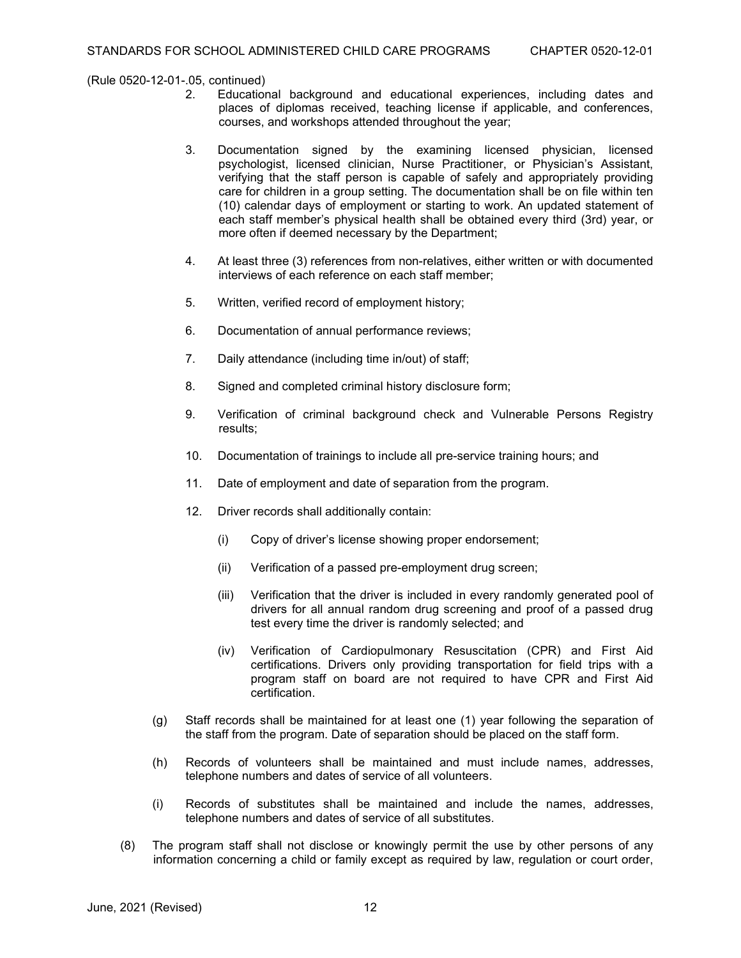- Educational background and educational experiences, including dates and places of diplomas received, teaching license if applicable, and conferences, courses, and workshops attended throughout the year;
- 3. Documentation signed by the examining licensed physician, licensed psychologist, licensed clinician, Nurse Practitioner, or Physician's Assistant, verifying that the staff person is capable of safely and appropriately providing care for children in a group setting. The documentation shall be on file within ten (10) calendar days of employment or starting to work. An updated statement of each staff member's physical health shall be obtained every third (3rd) year, or more often if deemed necessary by the Department;
- 4. At least three (3) references from non-relatives, either written or with documented interviews of each reference on each staff member;
- 5. Written, verified record of employment history;
- 6. Documentation of annual performance reviews;
- 7. Daily attendance (including time in/out) of staff;
- 8. Signed and completed criminal history disclosure form;
- 9. Verification of criminal background check and Vulnerable Persons Registry results;
- 10. Documentation of trainings to include all pre-service training hours; and
- 11. Date of employment and date of separation from the program.
- 12. Driver records shall additionally contain:
	- (i) Copy of driver's license showing proper endorsement;
	- (ii) Verification of a passed pre-employment drug screen;
	- (iii) Verification that the driver is included in every randomly generated pool of drivers for all annual random drug screening and proof of a passed drug test every time the driver is randomly selected; and
	- (iv) Verification of Cardiopulmonary Resuscitation (CPR) and First Aid certifications. Drivers only providing transportation for field trips with a program staff on board are not required to have CPR and First Aid certification.
- (g) Staff records shall be maintained for at least one (1) year following the separation of the staff from the program. Date of separation should be placed on the staff form.
- (h) Records of volunteers shall be maintained and must include names, addresses, telephone numbers and dates of service of all volunteers.
- (i) Records of substitutes shall be maintained and include the names, addresses, telephone numbers and dates of service of all substitutes.
- (8) The program staff shall not disclose or knowingly permit the use by other persons of any information concerning a child or family except as required by law, regulation or court order,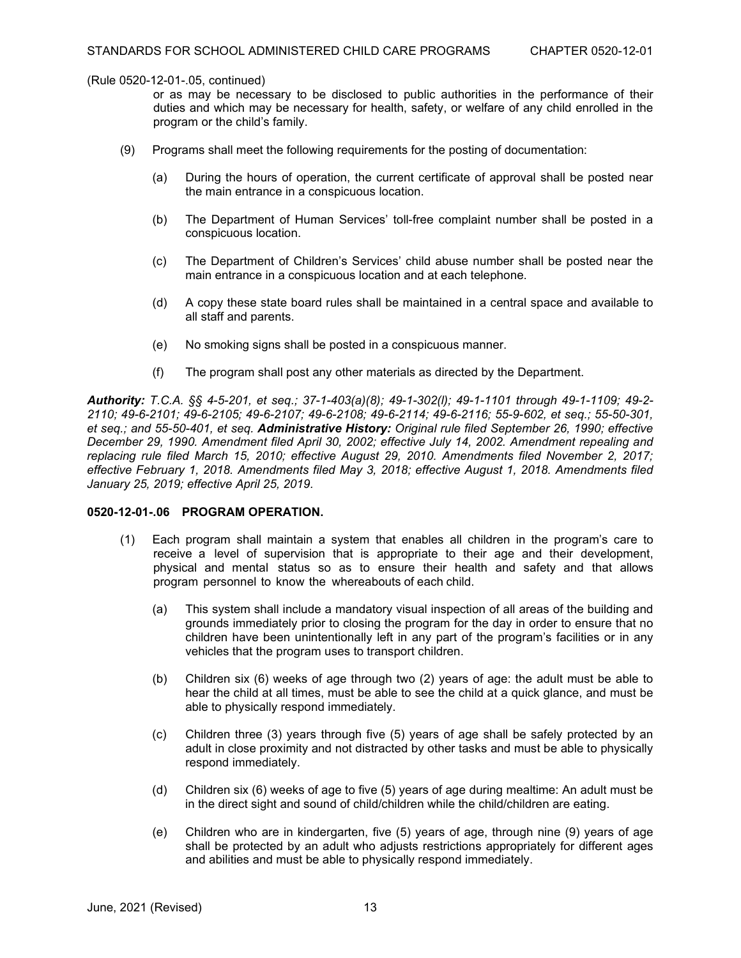or as may be necessary to be disclosed to public authorities in the performance of their duties and which may be necessary for health, safety, or welfare of any child enrolled in the program or the child's family.

- (9) Programs shall meet the following requirements for the posting of documentation:
	- (a) During the hours of operation, the current certificate of approval shall be posted near the main entrance in a conspicuous location.
	- (b) The Department of Human Services' toll-free complaint number shall be posted in a conspicuous location.
	- (c) The Department of Children's Services' child abuse number shall be posted near the main entrance in a conspicuous location and at each telephone.
	- (d) A copy these state board rules shall be maintained in a central space and available to all staff and parents.
	- (e) No smoking signs shall be posted in a conspicuous manner.
	- (f) The program shall post any other materials as directed by the Department.

*Authority: T.C.A. §§ 4-5-201, et seq.; 37-1-403(a)(8); 49-1-302(l); 49-1-1101 through 49-1-1109; 49-2- 2110; 49-6-2101; 49-6-2105; 49-6-2107; 49-6-2108; 49-6-2114; 49-6-2116; 55-9-602, et seq.; 55-50-301, et seq.; and 55-50-401, et seq. Administrative History: Original rule filed September 26, 1990; effective December 29, 1990. Amendment filed April 30, 2002; effective July 14, 2002. Amendment repealing and replacing rule filed March 15, 2010; effective August 29, 2010. Amendments filed November 2, 2017; effective February 1, 2018. Amendments filed May 3, 2018; effective August 1, 2018. Amendments filed January 25, 2019; effective April 25, 2019.*

#### **0520-12-01-.06 PROGRAM OPERATION.**

- (1) Each program shall maintain a system that enables all children in the program's care to receive a level of supervision that is appropriate to their age and their development, physical and mental status so as to ensure their health and safety and that allows program personnel to know the whereabouts of each child.
	- (a) This system shall include a mandatory visual inspection of all areas of the building and grounds immediately prior to closing the program for the day in order to ensure that no children have been unintentionally left in any part of the program's facilities or in any vehicles that the program uses to transport children.
	- (b) Children six (6) weeks of age through two (2) years of age: the adult must be able to hear the child at all times, must be able to see the child at a quick glance, and must be able to physically respond immediately.
	- (c) Children three (3) years through five (5) years of age shall be safely protected by an adult in close proximity and not distracted by other tasks and must be able to physically respond immediately.
	- (d) Children six (6) weeks of age to five (5) years of age during mealtime: An adult must be in the direct sight and sound of child/children while the child/children are eating.
	- (e) Children who are in kindergarten, five (5) years of age, through nine (9) years of age shall be protected by an adult who adjusts restrictions appropriately for different ages and abilities and must be able to physically respond immediately.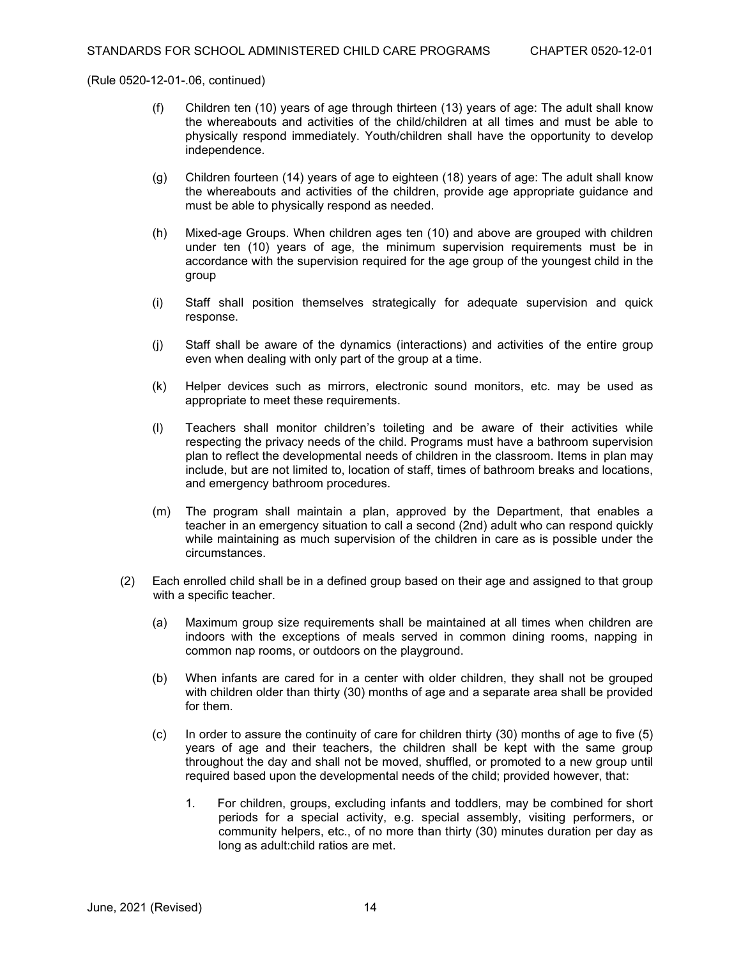- (f) Children ten (10) years of age through thirteen (13) years of age: The adult shall know the whereabouts and activities of the child/children at all times and must be able to physically respond immediately. Youth/children shall have the opportunity to develop independence.
- (g) Children fourteen (14) years of age to eighteen (18) years of age: The adult shall know the whereabouts and activities of the children, provide age appropriate guidance and must be able to physically respond as needed.
- (h) Mixed-age Groups. When children ages ten (10) and above are grouped with children under ten (10) years of age, the minimum supervision requirements must be in accordance with the supervision required for the age group of the youngest child in the group
- (i) Staff shall position themselves strategically for adequate supervision and quick response.
- (j) Staff shall be aware of the dynamics (interactions) and activities of the entire group even when dealing with only part of the group at a time.
- (k) Helper devices such as mirrors, electronic sound monitors, etc. may be used as appropriate to meet these requirements.
- (l) Teachers shall monitor children's toileting and be aware of their activities while respecting the privacy needs of the child. Programs must have a bathroom supervision plan to reflect the developmental needs of children in the classroom. Items in plan may include, but are not limited to, location of staff, times of bathroom breaks and locations, and emergency bathroom procedures.
- (m) The program shall maintain a plan, approved by the Department, that enables a teacher in an emergency situation to call a second (2nd) adult who can respond quickly while maintaining as much supervision of the children in care as is possible under the circumstances.
- (2) Each enrolled child shall be in a defined group based on their age and assigned to that group with a specific teacher.
	- (a) Maximum group size requirements shall be maintained at all times when children are indoors with the exceptions of meals served in common dining rooms, napping in common nap rooms, or outdoors on the playground.
	- (b) When infants are cared for in a center with older children, they shall not be grouped with children older than thirty (30) months of age and a separate area shall be provided for them.
	- (c) In order to assure the continuity of care for children thirty (30) months of age to five (5) years of age and their teachers, the children shall be kept with the same group throughout the day and shall not be moved, shuffled, or promoted to a new group until required based upon the developmental needs of the child; provided however, that:
		- 1. For children, groups, excluding infants and toddlers, may be combined for short periods for a special activity, e.g. special assembly, visiting performers, or community helpers, etc., of no more than thirty (30) minutes duration per day as long as adult:child ratios are met.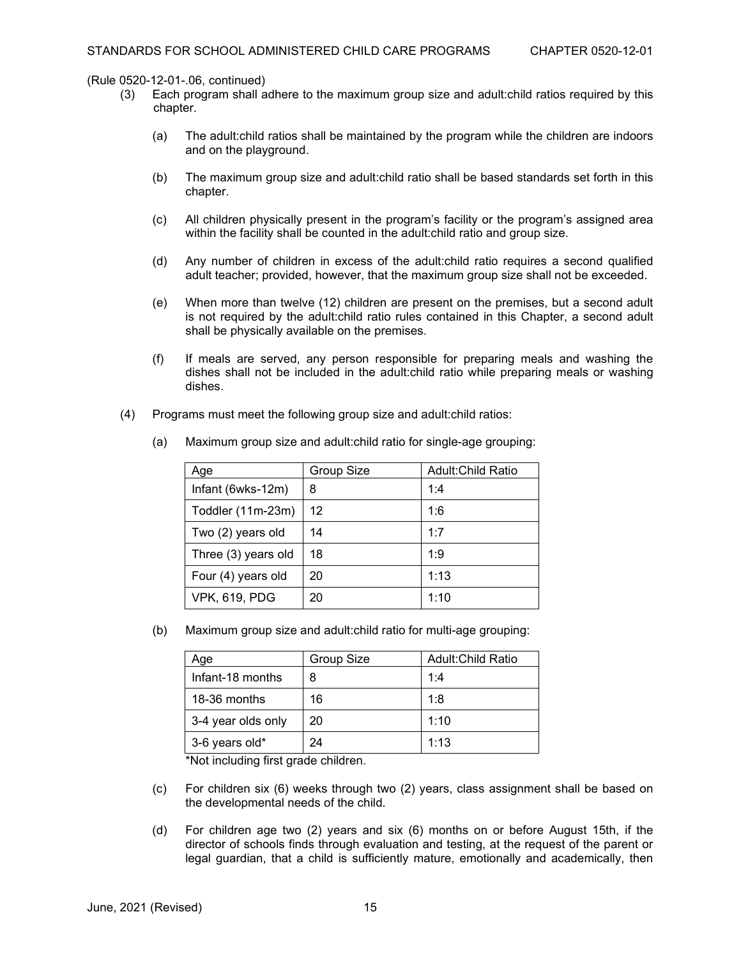- (3) Each program shall adhere to the maximum group size and adult:child ratios required by this chapter.
	- (a) The adult:child ratios shall be maintained by the program while the children are indoors and on the playground.
	- (b) The maximum group size and adult:child ratio shall be based standards set forth in this chapter.
	- (c) All children physically present in the program's facility or the program's assigned area within the facility shall be counted in the adult:child ratio and group size.
	- (d) Any number of children in excess of the adult:child ratio requires a second qualified adult teacher; provided, however, that the maximum group size shall not be exceeded.
	- (e) When more than twelve (12) children are present on the premises, but a second adult is not required by the adult:child ratio rules contained in this Chapter, a second adult shall be physically available on the premises.
	- (f) If meals are served, any person responsible for preparing meals and washing the dishes shall not be included in the adult:child ratio while preparing meals or washing dishes.
- (4) Programs must meet the following group size and adult:child ratios:

| Age                  | <b>Group Size</b> | <b>Adult:Child Ratio</b> |
|----------------------|-------------------|--------------------------|
| Infant (6wks-12m)    | 8                 | 1:4                      |
| Toddler (11m-23m)    | 12                | 1:6                      |
| Two (2) years old    | 14                | 1:7                      |
| Three (3) years old  | 18                | 1:9                      |
| Four (4) years old   | 20                | 1:13                     |
| <b>VPK, 619, PDG</b> | 20                | 1:10                     |

(a) Maximum group size and adult:child ratio for single-age grouping:

(b) Maximum group size and adult:child ratio for multi-age grouping:

| Age                | Group Size | Adult: Child Ratio |
|--------------------|------------|--------------------|
| Infant-18 months   | 8          | 1:4                |
| 18-36 months       | 16         | 1:8                |
| 3-4 year olds only | 20         | 1:10               |
| 3-6 years old*     | 24         | 1:13               |

\*Not including first grade children.

- (c) For children six (6) weeks through two (2) years, class assignment shall be based on the developmental needs of the child.
- (d) For children age two (2) years and six (6) months on or before August 15th, if the director of schools finds through evaluation and testing, at the request of the parent or legal guardian, that a child is sufficiently mature, emotionally and academically, then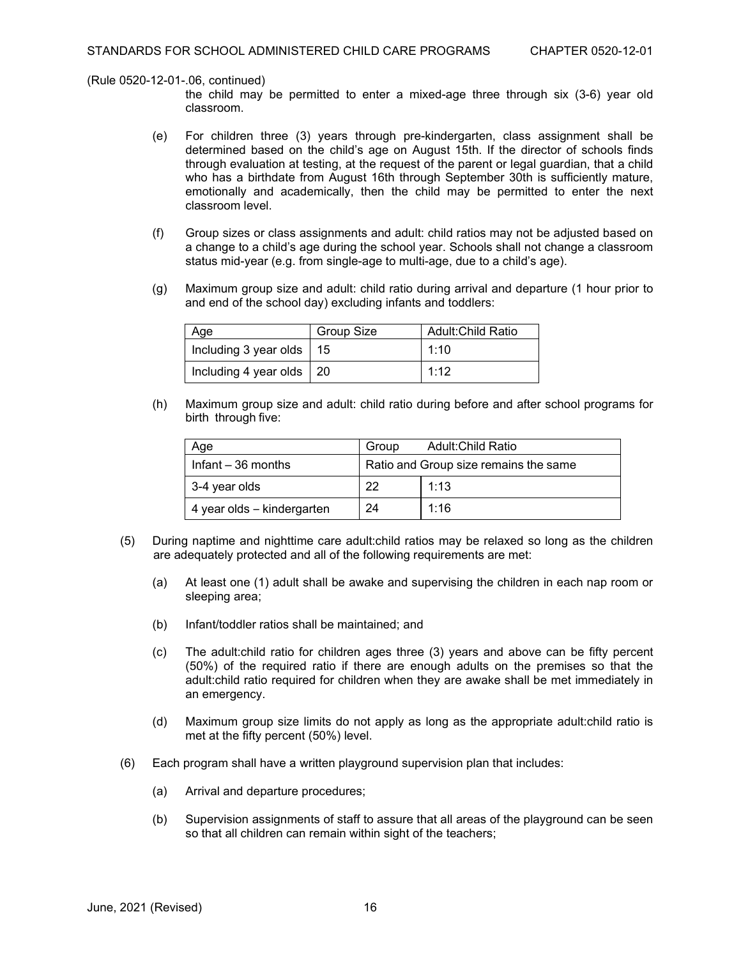the child may be permitted to enter a mixed-age three through six (3-6) year old classroom.

- (e) For children three (3) years through pre-kindergarten, class assignment shall be determined based on the child's age on August 15th. If the director of schools finds through evaluation at testing, at the request of the parent or legal guardian, that a child who has a birthdate from August 16th through September 30th is sufficiently mature, emotionally and academically, then the child may be permitted to enter the next classroom level.
- (f) Group sizes or class assignments and adult: child ratios may not be adjusted based on a change to a child's age during the school year. Schools shall not change a classroom status mid-year (e.g. from single-age to multi-age, due to a child's age).
- (g) Maximum group size and adult: child ratio during arrival and departure (1 hour prior to and end of the school day) excluding infants and toddlers:

| Age                                      | <b>Group Size</b> | <b>Adult:Child Ratio</b> |
|------------------------------------------|-------------------|--------------------------|
| $\vert$ Including 3 year olds $\vert$ 15 |                   | 1:10                     |
| Including 4 year olds   20               |                   | 1:12                     |

(h) Maximum group size and adult: child ratio during before and after school programs for birth through five:

| Age                        | Group | Adult:Child Ratio                     |
|----------------------------|-------|---------------------------------------|
| Infant $-36$ months        |       | Ratio and Group size remains the same |
| 3-4 year olds              | 22    | 1:13                                  |
| 4 year olds – kindergarten | 24    | 1:16                                  |

- (5) During naptime and nighttime care adult:child ratios may be relaxed so long as the children are adequately protected and all of the following requirements are met:
	- (a) At least one (1) adult shall be awake and supervising the children in each nap room or sleeping area;
	- (b) Infant/toddler ratios shall be maintained; and
	- (c) The adult:child ratio for children ages three (3) years and above can be fifty percent (50%) of the required ratio if there are enough adults on the premises so that the adult:child ratio required for children when they are awake shall be met immediately in an emergency.
	- (d) Maximum group size limits do not apply as long as the appropriate adult:child ratio is met at the fifty percent (50%) level.
- (6) Each program shall have a written playground supervision plan that includes:
	- (a) Arrival and departure procedures;
	- (b) Supervision assignments of staff to assure that all areas of the playground can be seen so that all children can remain within sight of the teachers;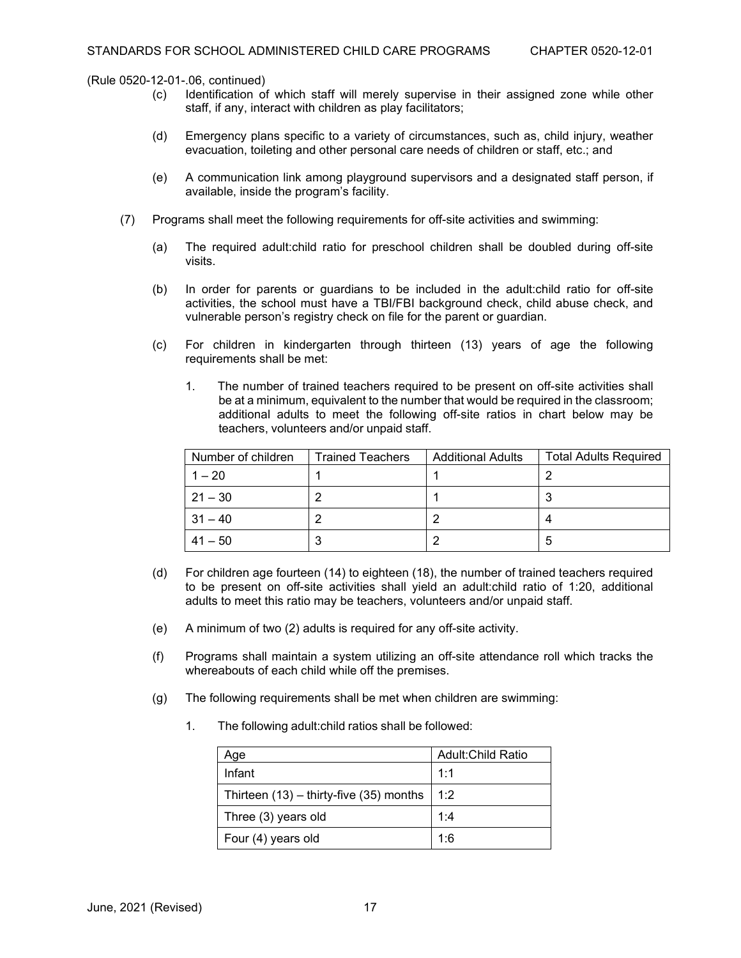(Rule 0520-12-01-.06, continued)<br>(c) ldentification of

- Identification of which staff will merely supervise in their assigned zone while other staff, if any, interact with children as play facilitators;
- (d) Emergency plans specific to a variety of circumstances, such as, child injury, weather evacuation, toileting and other personal care needs of children or staff, etc.; and
- (e) A communication link among playground supervisors and a designated staff person, if available, inside the program's facility.
- (7) Programs shall meet the following requirements for off-site activities and swimming:
	- (a) The required adult:child ratio for preschool children shall be doubled during off-site visits.
	- (b) In order for parents or guardians to be included in the adult:child ratio for off-site activities, the school must have a TBI/FBI background check, child abuse check, and vulnerable person's registry check on file for the parent or guardian.
	- (c) For children in kindergarten through thirteen (13) years of age the following requirements shall be met:
		- 1. The number of trained teachers required to be present on off-site activities shall be at a minimum, equivalent to the number that would be required in the classroom; additional adults to meet the following off-site ratios in chart below may be teachers, volunteers and/or unpaid staff.

| Number of children | Trained Teachers | <b>Additional Adults</b> | <b>Total Adults Required</b> |
|--------------------|------------------|--------------------------|------------------------------|
| $1 - 20$           |                  |                          |                              |
| $21 - 30$          |                  |                          |                              |
| $31 - 40$          |                  |                          |                              |
| $41 - 50$          |                  |                          | 5                            |

- (d) For children age fourteen (14) to eighteen (18), the number of trained teachers required to be present on off-site activities shall yield an adult:child ratio of 1:20, additional adults to meet this ratio may be teachers, volunteers and/or unpaid staff.
- (e) A minimum of two (2) adults is required for any off-site activity.
- (f) Programs shall maintain a system utilizing an off-site attendance roll which tracks the whereabouts of each child while off the premises.
- (g) The following requirements shall be met when children are swimming:
	- 1. The following adult:child ratios shall be followed:

| Aqe                                         | <b>Adult:Child Ratio</b> |
|---------------------------------------------|--------------------------|
| Infant                                      | 1:1                      |
| Thirteen $(13)$ – thirty-five $(35)$ months | 1:2                      |
| Three (3) years old                         | 1:4                      |
| Four (4) years old                          | 1:6                      |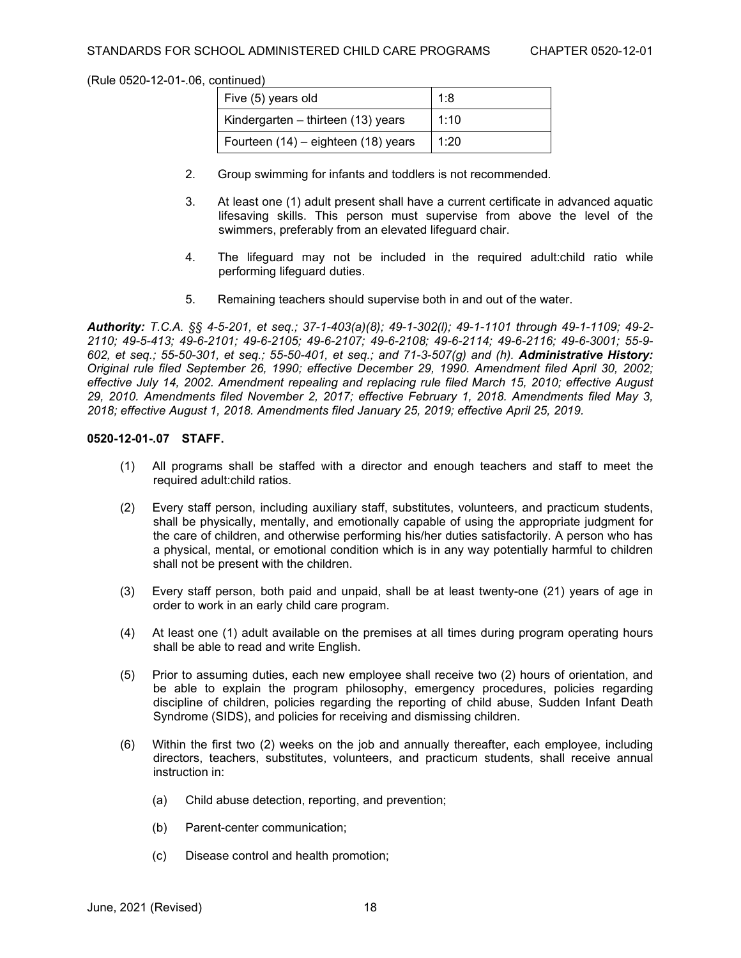| Five (5) years old                  | 1:8  |
|-------------------------------------|------|
| Kindergarten – thirteen (13) years  | 1:10 |
| Fourteen (14) - eighteen (18) years | 1:20 |

- 2. Group swimming for infants and toddlers is not recommended.
- 3. At least one (1) adult present shall have a current certificate in advanced aquatic lifesaving skills. This person must supervise from above the level of the swimmers, preferably from an elevated lifeguard chair.
- 4. The lifeguard may not be included in the required adult:child ratio while performing lifeguard duties.
- 5. Remaining teachers should supervise both in and out of the water.

*Authority: T.C.A. §§ 4-5-201, et seq.; 37-1-403(a)(8); 49-1-302(l); 49-1-1101 through 49-1-1109; 49-2- 2110; 49-5-413; 49-6-2101; 49-6-2105; 49-6-2107; 49-6-2108; 49-6-2114; 49-6-2116; 49-6-3001; 55-9- 602, et seq.; 55-50-301, et seq.; 55-50-401, et seq.; and 71-3-507(g) and (h). Administrative History: Original rule filed September 26, 1990; effective December 29, 1990. Amendment filed April 30, 2002; effective July 14, 2002. Amendment repealing and replacing rule filed March 15, 2010; effective August 29, 2010. Amendments filed November 2, 2017; effective February 1, 2018. Amendments filed May 3, 2018; effective August 1, 2018. Amendments filed January 25, 2019; effective April 25, 2019.*

# **0520-12-01-.07 STAFF.**

- (1) All programs shall be staffed with a director and enough teachers and staff to meet the required adult:child ratios.
- (2) Every staff person, including auxiliary staff, substitutes, volunteers, and practicum students, shall be physically, mentally, and emotionally capable of using the appropriate judgment for the care of children, and otherwise performing his/her duties satisfactorily. A person who has a physical, mental, or emotional condition which is in any way potentially harmful to children shall not be present with the children.
- (3) Every staff person, both paid and unpaid, shall be at least twenty-one (21) years of age in order to work in an early child care program.
- (4) At least one (1) adult available on the premises at all times during program operating hours shall be able to read and write English.
- (5) Prior to assuming duties, each new employee shall receive two (2) hours of orientation, and be able to explain the program philosophy, emergency procedures, policies regarding discipline of children, policies regarding the reporting of child abuse, Sudden Infant Death Syndrome (SIDS), and policies for receiving and dismissing children.
- (6) Within the first two (2) weeks on the job and annually thereafter, each employee, including directors, teachers, substitutes, volunteers, and practicum students, shall receive annual instruction in:
	- (a) Child abuse detection, reporting, and prevention;
	- (b) Parent-center communication;
	- (c) Disease control and health promotion;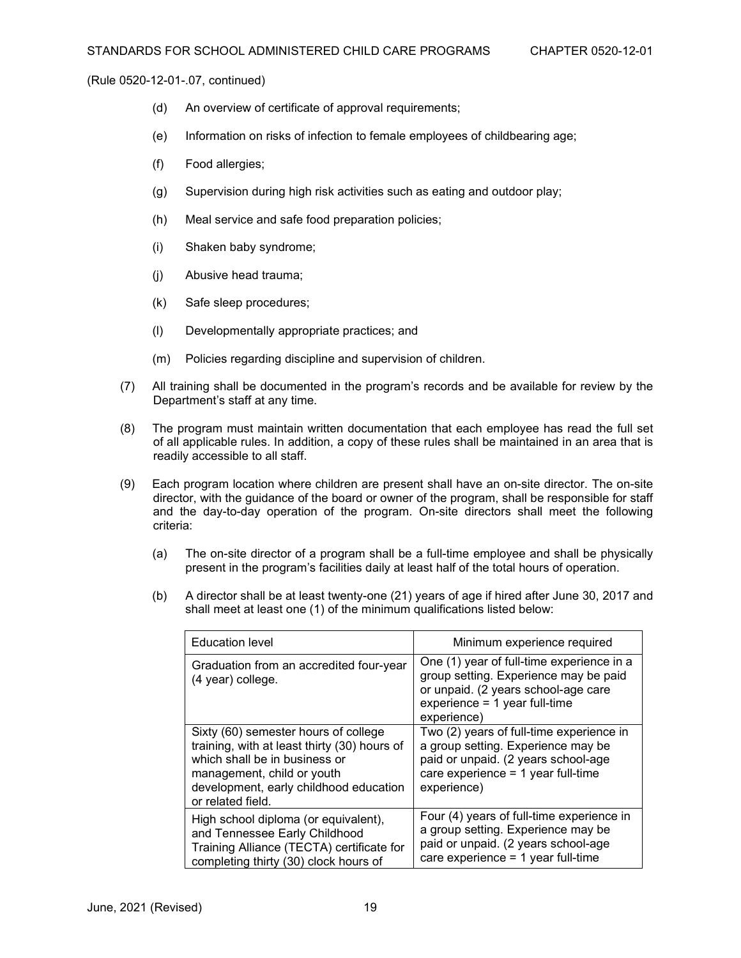- (d) An overview of certificate of approval requirements;
- (e) Information on risks of infection to female employees of childbearing age;
- (f) Food allergies;
- (g) Supervision during high risk activities such as eating and outdoor play;
- (h) Meal service and safe food preparation policies;
- (i) Shaken baby syndrome;
- (j) Abusive head trauma;
- (k) Safe sleep procedures;
- (l) Developmentally appropriate practices; and
- (m) Policies regarding discipline and supervision of children.
- (7) All training shall be documented in the program's records and be available for review by the Department's staff at any time.
- (8) The program must maintain written documentation that each employee has read the full set of all applicable rules. In addition, a copy of these rules shall be maintained in an area that is readily accessible to all staff.
- (9) Each program location where children are present shall have an on-site director. The on-site director, with the guidance of the board or owner of the program, shall be responsible for staff and the day-to-day operation of the program. On-site directors shall meet the following criteria:
	- (a) The on-site director of a program shall be a full-time employee and shall be physically present in the program's facilities daily at least half of the total hours of operation.
	- (b) A director shall be at least twenty-one (21) years of age if hired after June 30, 2017 and shall meet at least one (1) of the minimum qualifications listed below:

| <b>Education level</b>                                                                                                                                                                                             | Minimum experience required                                                                                                                                                  |
|--------------------------------------------------------------------------------------------------------------------------------------------------------------------------------------------------------------------|------------------------------------------------------------------------------------------------------------------------------------------------------------------------------|
| Graduation from an accredited four-year<br>(4 year) college.                                                                                                                                                       | One (1) year of full-time experience in a<br>group setting. Experience may be paid<br>or unpaid. (2 years school-age care<br>$experience = 1 year full-time$<br>experience)  |
| Sixty (60) semester hours of college<br>training, with at least thirty (30) hours of<br>which shall be in business or<br>management, child or youth<br>development, early childhood education<br>or related field. | Two (2) years of full-time experience in<br>a group setting. Experience may be<br>paid or unpaid. (2 years school-age<br>care experience $= 1$ year full-time<br>experience) |
| High school diploma (or equivalent),<br>and Tennessee Early Childhood<br>Training Alliance (TECTA) certificate for<br>completing thirty (30) clock hours of                                                        | Four (4) years of full-time experience in<br>a group setting. Experience may be<br>paid or unpaid. (2 years school-age<br>care experience = 1 year full-time                 |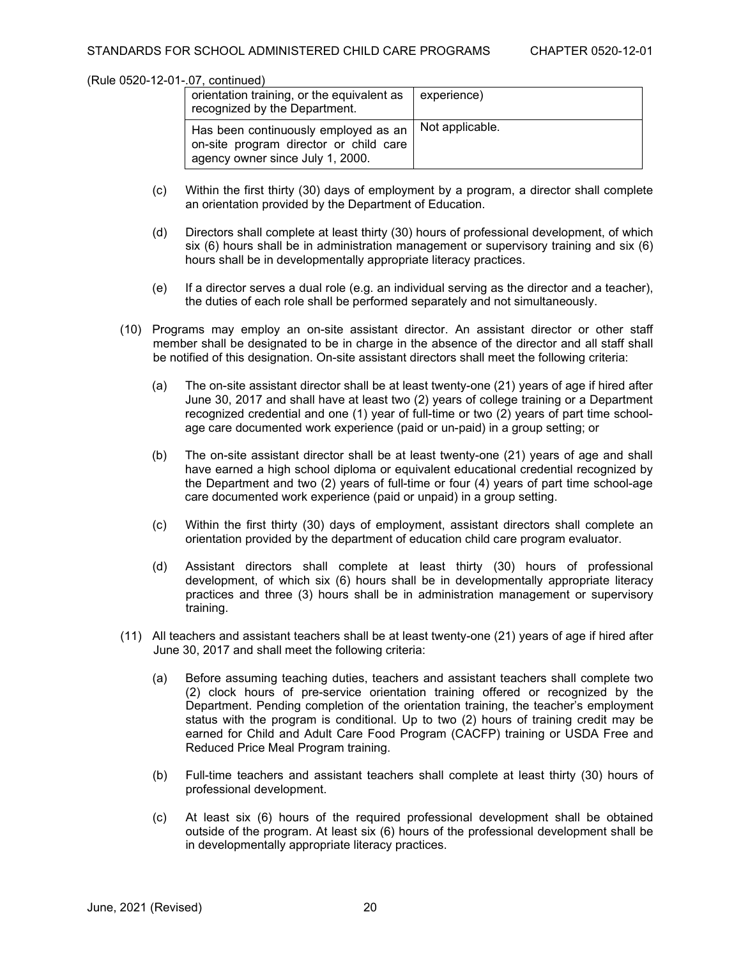| orientation training, or the equivalent as<br>recognized by the Department.                                        | experience)     |
|--------------------------------------------------------------------------------------------------------------------|-----------------|
| Has been continuously employed as an<br>on-site program director or child care<br>agency owner since July 1, 2000. | Not applicable. |

- (c) Within the first thirty (30) days of employment by a program, a director shall complete an orientation provided by the Department of Education.
- (d) Directors shall complete at least thirty (30) hours of professional development, of which six (6) hours shall be in administration management or supervisory training and six (6) hours shall be in developmentally appropriate literacy practices.
- (e) If a director serves a dual role (e.g. an individual serving as the director and a teacher), the duties of each role shall be performed separately and not simultaneously.
- (10) Programs may employ an on-site assistant director. An assistant director or other staff member shall be designated to be in charge in the absence of the director and all staff shall be notified of this designation. On-site assistant directors shall meet the following criteria:
	- (a) The on-site assistant director shall be at least twenty-one (21) years of age if hired after June 30, 2017 and shall have at least two (2) years of college training or a Department recognized credential and one (1) year of full-time or two (2) years of part time schoolage care documented work experience (paid or un-paid) in a group setting; or
	- (b) The on-site assistant director shall be at least twenty-one (21) years of age and shall have earned a high school diploma or equivalent educational credential recognized by the Department and two (2) years of full-time or four (4) years of part time school-age care documented work experience (paid or unpaid) in a group setting.
	- (c) Within the first thirty (30) days of employment, assistant directors shall complete an orientation provided by the department of education child care program evaluator.
	- (d) Assistant directors shall complete at least thirty (30) hours of professional development, of which six (6) hours shall be in developmentally appropriate literacy practices and three (3) hours shall be in administration management or supervisory training.
- (11) All teachers and assistant teachers shall be at least twenty-one (21) years of age if hired after June 30, 2017 and shall meet the following criteria:
	- (a) Before assuming teaching duties, teachers and assistant teachers shall complete two (2) clock hours of pre-service orientation training offered or recognized by the Department. Pending completion of the orientation training, the teacher's employment status with the program is conditional. Up to two (2) hours of training credit may be earned for Child and Adult Care Food Program (CACFP) training or USDA Free and Reduced Price Meal Program training.
	- (b) Full-time teachers and assistant teachers shall complete at least thirty (30) hours of professional development.
	- (c) At least six (6) hours of the required professional development shall be obtained outside of the program. At least six (6) hours of the professional development shall be in developmentally appropriate literacy practices.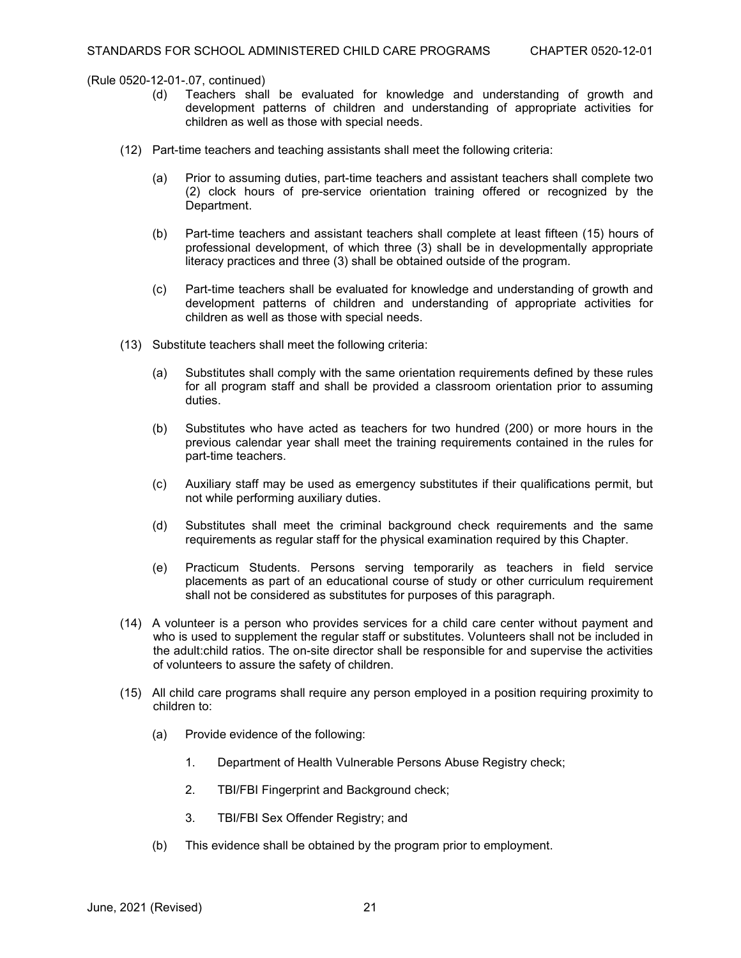- (d) Teachers shall be evaluated for knowledge and understanding of growth and development patterns of children and understanding of appropriate activities for children as well as those with special needs.
- (12) Part-time teachers and teaching assistants shall meet the following criteria:
	- (a) Prior to assuming duties, part-time teachers and assistant teachers shall complete two (2) clock hours of pre-service orientation training offered or recognized by the Department.
	- (b) Part-time teachers and assistant teachers shall complete at least fifteen (15) hours of professional development, of which three (3) shall be in developmentally appropriate literacy practices and three (3) shall be obtained outside of the program.
	- (c) Part-time teachers shall be evaluated for knowledge and understanding of growth and development patterns of children and understanding of appropriate activities for children as well as those with special needs.
- (13) Substitute teachers shall meet the following criteria:
	- (a) Substitutes shall comply with the same orientation requirements defined by these rules for all program staff and shall be provided a classroom orientation prior to assuming duties.
	- (b) Substitutes who have acted as teachers for two hundred (200) or more hours in the previous calendar year shall meet the training requirements contained in the rules for part-time teachers.
	- (c) Auxiliary staff may be used as emergency substitutes if their qualifications permit, but not while performing auxiliary duties.
	- (d) Substitutes shall meet the criminal background check requirements and the same requirements as regular staff for the physical examination required by this Chapter.
	- (e) Practicum Students. Persons serving temporarily as teachers in field service placements as part of an educational course of study or other curriculum requirement shall not be considered as substitutes for purposes of this paragraph.
- (14) A volunteer is a person who provides services for a child care center without payment and who is used to supplement the regular staff or substitutes. Volunteers shall not be included in the adult:child ratios. The on-site director shall be responsible for and supervise the activities of volunteers to assure the safety of children.
- (15) All child care programs shall require any person employed in a position requiring proximity to children to:
	- (a) Provide evidence of the following:
		- 1. Department of Health Vulnerable Persons Abuse Registry check;
		- 2. TBI/FBI Fingerprint and Background check;
		- 3. TBI/FBI Sex Offender Registry; and
	- (b) This evidence shall be obtained by the program prior to employment.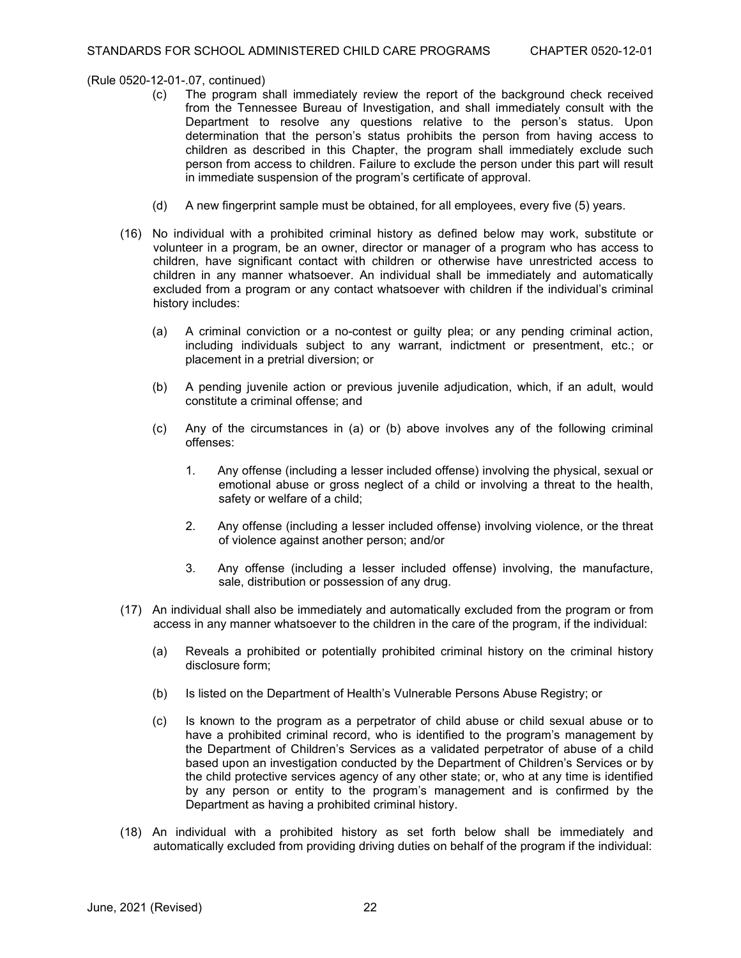- (c) The program shall immediately review the report of the background check received from the Tennessee Bureau of Investigation, and shall immediately consult with the Department to resolve any questions relative to the person's status. Upon determination that the person's status prohibits the person from having access to children as described in this Chapter, the program shall immediately exclude such person from access to children. Failure to exclude the person under this part will result in immediate suspension of the program's certificate of approval.
- (d) A new fingerprint sample must be obtained, for all employees, every five (5) years.
- (16) No individual with a prohibited criminal history as defined below may work, substitute or volunteer in a program, be an owner, director or manager of a program who has access to children, have significant contact with children or otherwise have unrestricted access to children in any manner whatsoever. An individual shall be immediately and automatically excluded from a program or any contact whatsoever with children if the individual's criminal history includes:
	- (a) A criminal conviction or a no-contest or guilty plea; or any pending criminal action, including individuals subject to any warrant, indictment or presentment, etc.; or placement in a pretrial diversion; or
	- (b) A pending juvenile action or previous juvenile adjudication, which, if an adult, would constitute a criminal offense; and
	- (c) Any of the circumstances in (a) or (b) above involves any of the following criminal offenses:
		- 1. Any offense (including a lesser included offense) involving the physical, sexual or emotional abuse or gross neglect of a child or involving a threat to the health, safety or welfare of a child;
		- 2. Any offense (including a lesser included offense) involving violence, or the threat of violence against another person; and/or
		- 3. Any offense (including a lesser included offense) involving, the manufacture, sale, distribution or possession of any drug.
- (17) An individual shall also be immediately and automatically excluded from the program or from access in any manner whatsoever to the children in the care of the program, if the individual:
	- (a) Reveals a prohibited or potentially prohibited criminal history on the criminal history disclosure form;
	- (b) Is listed on the Department of Health's Vulnerable Persons Abuse Registry; or
	- (c) Is known to the program as a perpetrator of child abuse or child sexual abuse or to have a prohibited criminal record, who is identified to the program's management by the Department of Children's Services as a validated perpetrator of abuse of a child based upon an investigation conducted by the Department of Children's Services or by the child protective services agency of any other state; or, who at any time is identified by any person or entity to the program's management and is confirmed by the Department as having a prohibited criminal history.
- (18) An individual with a prohibited history as set forth below shall be immediately and automatically excluded from providing driving duties on behalf of the program if the individual: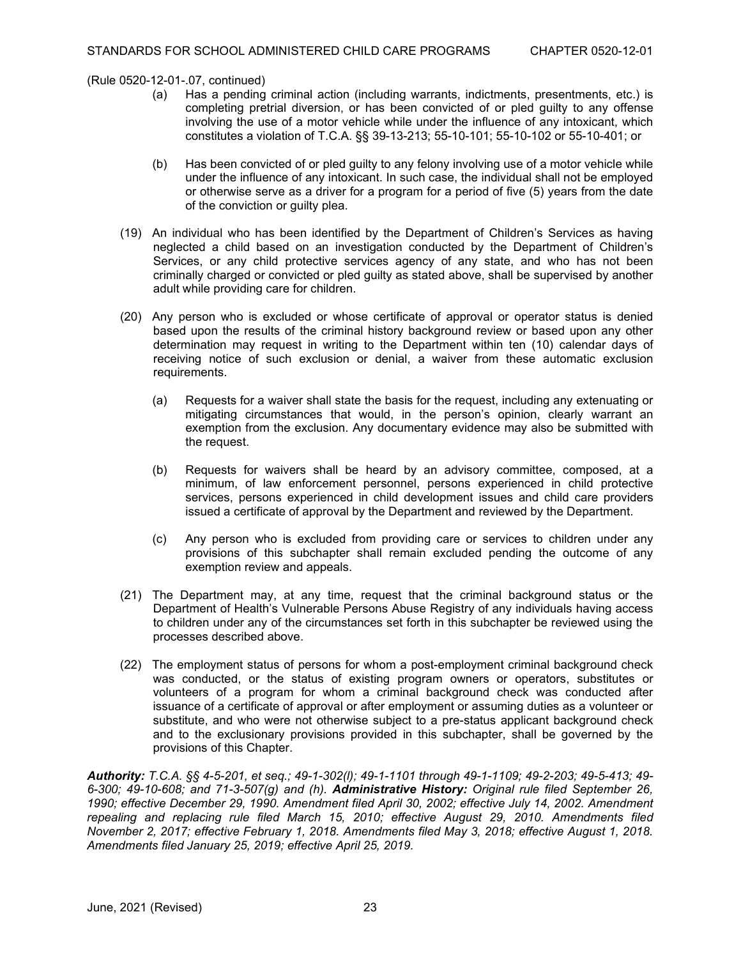- (a) Has a pending criminal action (including warrants, indictments, presentments, etc.) is completing pretrial diversion, or has been convicted of or pled guilty to any offense involving the use of a motor vehicle while under the influence of any intoxicant, which constitutes a violation of T.C.A. §§ 39-13-213; 55-10-101; 55-10-102 or 55-10-401; or
- (b) Has been convicted of or pled guilty to any felony involving use of a motor vehicle while under the influence of any intoxicant. In such case, the individual shall not be employed or otherwise serve as a driver for a program for a period of five (5) years from the date of the conviction or guilty plea.
- (19) An individual who has been identified by the Department of Children's Services as having neglected a child based on an investigation conducted by the Department of Children's Services, or any child protective services agency of any state, and who has not been criminally charged or convicted or pled guilty as stated above, shall be supervised by another adult while providing care for children.
- (20) Any person who is excluded or whose certificate of approval or operator status is denied based upon the results of the criminal history background review or based upon any other determination may request in writing to the Department within ten (10) calendar days of receiving notice of such exclusion or denial, a waiver from these automatic exclusion requirements.
	- (a) Requests for a waiver shall state the basis for the request, including any extenuating or mitigating circumstances that would, in the person's opinion, clearly warrant an exemption from the exclusion. Any documentary evidence may also be submitted with the request.
	- (b) Requests for waivers shall be heard by an advisory committee, composed, at a minimum, of law enforcement personnel, persons experienced in child protective services, persons experienced in child development issues and child care providers issued a certificate of approval by the Department and reviewed by the Department.
	- (c) Any person who is excluded from providing care or services to children under any provisions of this subchapter shall remain excluded pending the outcome of any exemption review and appeals.
- (21) The Department may, at any time, request that the criminal background status or the Department of Health's Vulnerable Persons Abuse Registry of any individuals having access to children under any of the circumstances set forth in this subchapter be reviewed using the processes described above.
- (22) The employment status of persons for whom a post-employment criminal background check was conducted, or the status of existing program owners or operators, substitutes or volunteers of a program for whom a criminal background check was conducted after issuance of a certificate of approval or after employment or assuming duties as a volunteer or substitute, and who were not otherwise subject to a pre-status applicant background check and to the exclusionary provisions provided in this subchapter, shall be governed by the provisions of this Chapter.

*Authority: T.C.A. §§ 4-5-201, et seq.; 49-1-302(l); 49-1-1101 through 49-1-1109; 49-2-203; 49-5-413; 49- 6-300; 49-10-608; and 71-3-507(g) and (h). Administrative History: Original rule filed September 26, 1990; effective December 29, 1990. Amendment filed April 30, 2002; effective July 14, 2002. Amendment repealing and replacing rule filed March 15, 2010; effective August 29, 2010. Amendments filed November 2, 2017; effective February 1, 2018. Amendments filed May 3, 2018; effective August 1, 2018. Amendments filed January 25, 2019; effective April 25, 2019.*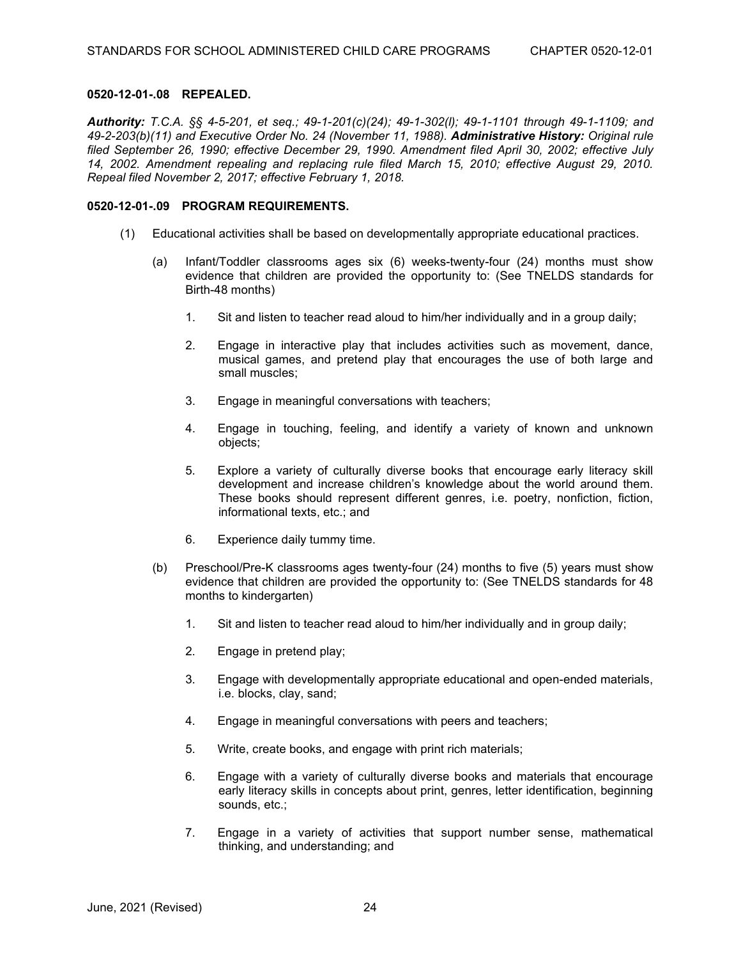### **0520-12-01-.08 REPEALED.**

*Authority: T.C.A. §§ 4-5-201, et seq.; 49-1-201(c)(24); 49-1-302(l); 49-1-1101 through 49-1-1109; and 49-2-203(b)(11) and Executive Order No. 24 (November 11, 1988). Administrative History: Original rule filed September 26, 1990; effective December 29, 1990. Amendment filed April 30, 2002; effective July 14, 2002. Amendment repealing and replacing rule filed March 15, 2010; effective August 29, 2010. Repeal filed November 2, 2017; effective February 1, 2018.*

# **0520-12-01-.09 PROGRAM REQUIREMENTS.**

- (1) Educational activities shall be based on developmentally appropriate educational practices.
	- (a) Infant/Toddler classrooms ages six (6) weeks-twenty-four (24) months must show evidence that children are provided the opportunity to: (See TNELDS standards for Birth-48 months)
		- 1. Sit and listen to teacher read aloud to him/her individually and in a group daily;
		- 2. Engage in interactive play that includes activities such as movement, dance, musical games, and pretend play that encourages the use of both large and small muscles;
		- 3. Engage in meaningful conversations with teachers;
		- 4. Engage in touching, feeling, and identify a variety of known and unknown objects;
		- 5. Explore a variety of culturally diverse books that encourage early literacy skill development and increase children's knowledge about the world around them. These books should represent different genres, i.e. poetry, nonfiction, fiction, informational texts, etc.; and
		- 6. Experience daily tummy time.
	- (b) Preschool/Pre-K classrooms ages twenty-four (24) months to five (5) years must show evidence that children are provided the opportunity to: (See TNELDS standards for 48 months to kindergarten)
		- 1. Sit and listen to teacher read aloud to him/her individually and in group daily;
		- 2. Engage in pretend play;
		- 3. Engage with developmentally appropriate educational and open-ended materials, i.e. blocks, clay, sand;
		- 4. Engage in meaningful conversations with peers and teachers;
		- 5. Write, create books, and engage with print rich materials;
		- 6. Engage with a variety of culturally diverse books and materials that encourage early literacy skills in concepts about print, genres, letter identification, beginning sounds, etc.;
		- 7. Engage in a variety of activities that support number sense, mathematical thinking, and understanding; and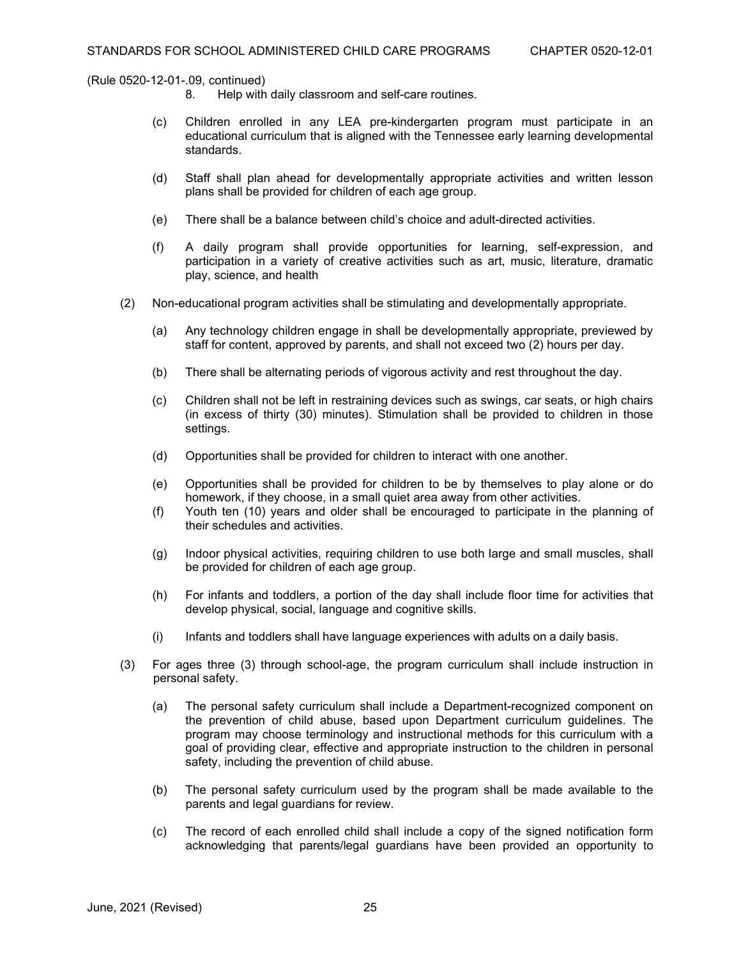- Help with daily classroom and self-care routines.
- (c) Children enrolled in any LEA pre-kindergarten program must participate in an educational curriculum that is aligned with the Tennessee early learning developmental standards.
- (d) Staff shall plan ahead for developmentally appropriate activities and written lesson plans shall be provided for children of each age group.
- (e) There shall be a balance between child's choice and adult-directed activities.
- (f) A daily program shall provide opportunities for learning, self-expression, and participation in a variety of creative activities such as art, music, literature, dramatic play, science, and health
- (2) Non-educational program activities shall be stimulating and developmentally appropriate.
	- (a) Any technology children engage in shall be developmentally appropriate, previewed by staff for content, approved by parents, and shall not exceed two (2) hours per day.
	- (b) There shall be alternating periods of vigorous activity and rest throughout the day.
	- (c) Children shall not be left in restraining devices such as swings, car seats, or high chairs (in excess of thirty (30) minutes). Stimulation shall be provided to children in those settings.
	- (d) Opportunities shall be provided for children to interact with one another.
	- (e) Opportunities shall be provided for children to be by themselves to play alone or do homework, if they choose, in a small quiet area away from other activities.
	- (f) Youth ten (10) years and older shall be encouraged to participate in the planning of their schedules and activities.
	- (g) Indoor physical activities, requiring children to use both large and small muscles, shall be provided for children of each age group.
	- (h) For infants and toddlers, a portion of the day shall include floor time for activities that develop physical, social, language and cognitive skills.
	- (i) Infants and toddlers shall have language experiences with adults on a daily basis.
- (3) For ages three (3) through school-age, the program curriculum shall include instruction in personal safety.
	- (a) The personal safety curriculum shall include a Department-recognized component on the prevention of child abuse, based upon Department curriculum guidelines. The program may choose terminology and instructional methods for this curriculum with a goal of providing clear, effective and appropriate instruction to the children in personal safety, including the prevention of child abuse.
	- (b) The personal safety curriculum used by the program shall be made available to the parents and legal guardians for review.
	- (c) The record of each enrolled child shall include a copy of the signed notification form acknowledging that parents/legal guardians have been provided an opportunity to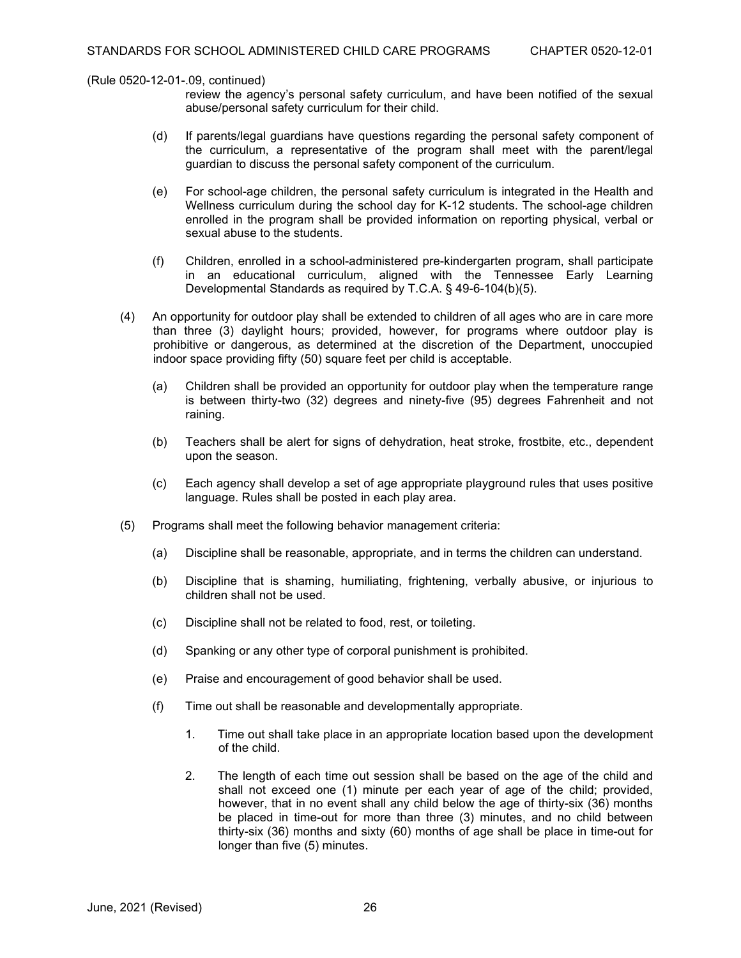- review the agency's personal safety curriculum, and have been notified of the sexual abuse/personal safety curriculum for their child.
- (d) If parents/legal guardians have questions regarding the personal safety component of the curriculum, a representative of the program shall meet with the parent/legal guardian to discuss the personal safety component of the curriculum.
- (e) For school-age children, the personal safety curriculum is integrated in the Health and Wellness curriculum during the school day for K-12 students. The school-age children enrolled in the program shall be provided information on reporting physical, verbal or sexual abuse to the students.
- (f) Children, enrolled in a school-administered pre-kindergarten program, shall participate in an educational curriculum, aligned with the Tennessee Early Learning Developmental Standards as required by T.C.A. § 49-6-104(b)(5).
- (4) An opportunity for outdoor play shall be extended to children of all ages who are in care more than three (3) daylight hours; provided, however, for programs where outdoor play is prohibitive or dangerous, as determined at the discretion of the Department, unoccupied indoor space providing fifty (50) square feet per child is acceptable.
	- (a) Children shall be provided an opportunity for outdoor play when the temperature range is between thirty-two (32) degrees and ninety-five (95) degrees Fahrenheit and not raining.
	- (b) Teachers shall be alert for signs of dehydration, heat stroke, frostbite, etc., dependent upon the season.
	- (c) Each agency shall develop a set of age appropriate playground rules that uses positive language. Rules shall be posted in each play area.
- (5) Programs shall meet the following behavior management criteria:
	- (a) Discipline shall be reasonable, appropriate, and in terms the children can understand.
	- (b) Discipline that is shaming, humiliating, frightening, verbally abusive, or injurious to children shall not be used.
	- (c) Discipline shall not be related to food, rest, or toileting.
	- (d) Spanking or any other type of corporal punishment is prohibited.
	- (e) Praise and encouragement of good behavior shall be used.
	- (f) Time out shall be reasonable and developmentally appropriate.
		- 1. Time out shall take place in an appropriate location based upon the development of the child.
		- 2. The length of each time out session shall be based on the age of the child and shall not exceed one (1) minute per each year of age of the child; provided, however, that in no event shall any child below the age of thirty-six (36) months be placed in time-out for more than three (3) minutes, and no child between thirty-six (36) months and sixty (60) months of age shall be place in time-out for longer than five (5) minutes.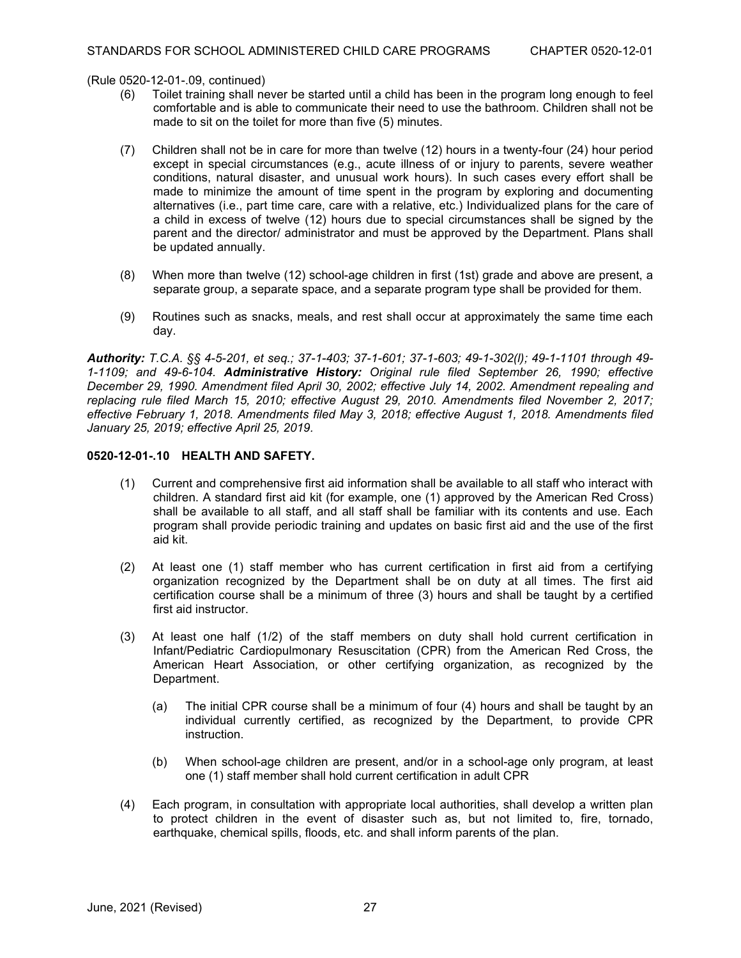(Rule 0520-12-01-.09, continued)<br>(6) Toilet training shall ne

- Toilet training shall never be started until a child has been in the program long enough to feel comfortable and is able to communicate their need to use the bathroom. Children shall not be made to sit on the toilet for more than five (5) minutes.
- (7) Children shall not be in care for more than twelve (12) hours in a twenty-four (24) hour period except in special circumstances (e.g., acute illness of or injury to parents, severe weather conditions, natural disaster, and unusual work hours). In such cases every effort shall be made to minimize the amount of time spent in the program by exploring and documenting alternatives (i.e., part time care, care with a relative, etc.) Individualized plans for the care of a child in excess of twelve (12) hours due to special circumstances shall be signed by the parent and the director/ administrator and must be approved by the Department. Plans shall be updated annually.
- (8) When more than twelve (12) school-age children in first (1st) grade and above are present, a separate group, a separate space, and a separate program type shall be provided for them.
- (9) Routines such as snacks, meals, and rest shall occur at approximately the same time each day.

*Authority: T.C.A. §§ 4-5-201, et seq.; 37-1-403; 37-1-601; 37-1-603; 49-1-302(l); 49-1-1101 through 49- 1-1109; and 49-6-104. Administrative History: Original rule filed September 26, 1990; effective December 29, 1990. Amendment filed April 30, 2002; effective July 14, 2002. Amendment repealing and replacing rule filed March 15, 2010; effective August 29, 2010. Amendments filed November 2, 2017; effective February 1, 2018. Amendments filed May 3, 2018; effective August 1, 2018. Amendments filed January 25, 2019; effective April 25, 2019.*

## **0520-12-01-.10 HEALTH AND SAFETY.**

- (1) Current and comprehensive first aid information shall be available to all staff who interact with children. A standard first aid kit (for example, one (1) approved by the American Red Cross) shall be available to all staff, and all staff shall be familiar with its contents and use. Each program shall provide periodic training and updates on basic first aid and the use of the first aid kit.
- (2) At least one (1) staff member who has current certification in first aid from a certifying organization recognized by the Department shall be on duty at all times. The first aid certification course shall be a minimum of three (3) hours and shall be taught by a certified first aid instructor.
- (3) At least one half (1/2) of the staff members on duty shall hold current certification in Infant/Pediatric Cardiopulmonary Resuscitation (CPR) from the American Red Cross, the American Heart Association, or other certifying organization, as recognized by the Department.
	- (a) The initial CPR course shall be a minimum of four (4) hours and shall be taught by an individual currently certified, as recognized by the Department, to provide CPR instruction.
	- (b) When school-age children are present, and/or in a school-age only program, at least one (1) staff member shall hold current certification in adult CPR
- (4) Each program, in consultation with appropriate local authorities, shall develop a written plan to protect children in the event of disaster such as, but not limited to, fire, tornado, earthquake, chemical spills, floods, etc. and shall inform parents of the plan.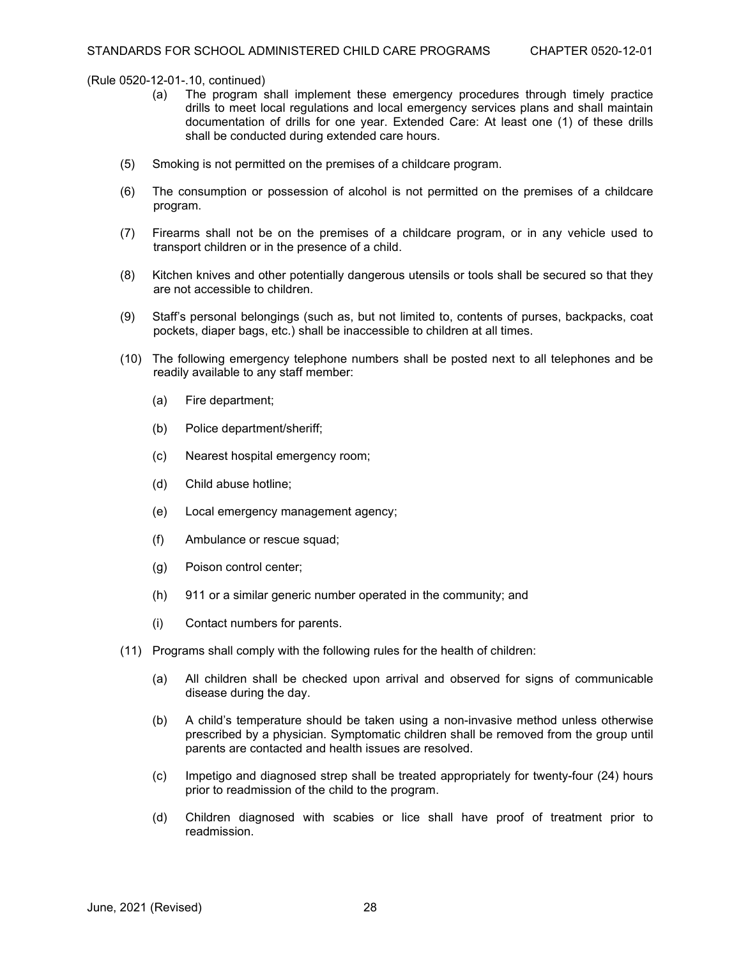- (a) The program shall implement these emergency procedures through timely practice drills to meet local regulations and local emergency services plans and shall maintain documentation of drills for one year. Extended Care: At least one (1) of these drills shall be conducted during extended care hours.
- (5) Smoking is not permitted on the premises of a childcare program.
- (6) The consumption or possession of alcohol is not permitted on the premises of a childcare program.
- (7) Firearms shall not be on the premises of a childcare program, or in any vehicle used to transport children or in the presence of a child.
- (8) Kitchen knives and other potentially dangerous utensils or tools shall be secured so that they are not accessible to children.
- (9) Staff's personal belongings (such as, but not limited to, contents of purses, backpacks, coat pockets, diaper bags, etc.) shall be inaccessible to children at all times.
- (10) The following emergency telephone numbers shall be posted next to all telephones and be readily available to any staff member:
	- (a) Fire department;
	- (b) Police department/sheriff;
	- (c) Nearest hospital emergency room;
	- (d) Child abuse hotline;
	- (e) Local emergency management agency;
	- (f) Ambulance or rescue squad;
	- (g) Poison control center;
	- (h) 911 or a similar generic number operated in the community; and
	- (i) Contact numbers for parents.
- (11) Programs shall comply with the following rules for the health of children:
	- (a) All children shall be checked upon arrival and observed for signs of communicable disease during the day.
	- (b) A child's temperature should be taken using a non-invasive method unless otherwise prescribed by a physician. Symptomatic children shall be removed from the group until parents are contacted and health issues are resolved.
	- (c) Impetigo and diagnosed strep shall be treated appropriately for twenty-four (24) hours prior to readmission of the child to the program.
	- (d) Children diagnosed with scabies or lice shall have proof of treatment prior to readmission.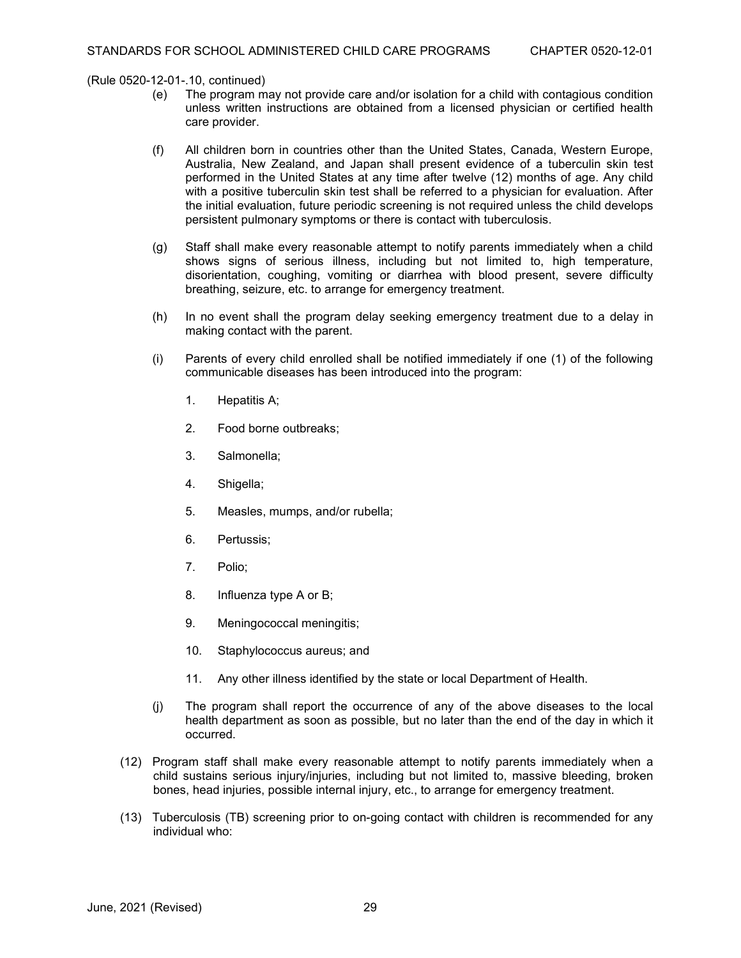- (e) The program may not provide care and/or isolation for a child with contagious condition unless written instructions are obtained from a licensed physician or certified health care provider.
- (f) All children born in countries other than the United States, Canada, Western Europe, Australia, New Zealand, and Japan shall present evidence of a tuberculin skin test performed in the United States at any time after twelve (12) months of age. Any child with a positive tuberculin skin test shall be referred to a physician for evaluation. After the initial evaluation, future periodic screening is not required unless the child develops persistent pulmonary symptoms or there is contact with tuberculosis.
- (g) Staff shall make every reasonable attempt to notify parents immediately when a child shows signs of serious illness, including but not limited to, high temperature, disorientation, coughing, vomiting or diarrhea with blood present, severe difficulty breathing, seizure, etc. to arrange for emergency treatment.
- (h) In no event shall the program delay seeking emergency treatment due to a delay in making contact with the parent.
- (i) Parents of every child enrolled shall be notified immediately if one (1) of the following communicable diseases has been introduced into the program:
	- 1. Hepatitis A;
	- 2. Food borne outbreaks;
	- 3. Salmonella;
	- 4. Shigella;
	- 5. Measles, mumps, and/or rubella;
	- 6. Pertussis;
	- 7. Polio;
	- 8. Influenza type A or B;
	- 9. Meningococcal meningitis;
	- 10. Staphylococcus aureus; and
	- 11. Any other illness identified by the state or local Department of Health.
- (j) The program shall report the occurrence of any of the above diseases to the local health department as soon as possible, but no later than the end of the day in which it occurred.
- (12) Program staff shall make every reasonable attempt to notify parents immediately when a child sustains serious injury/injuries, including but not limited to, massive bleeding, broken bones, head injuries, possible internal injury, etc., to arrange for emergency treatment.
- (13) Tuberculosis (TB) screening prior to on-going contact with children is recommended for any individual who: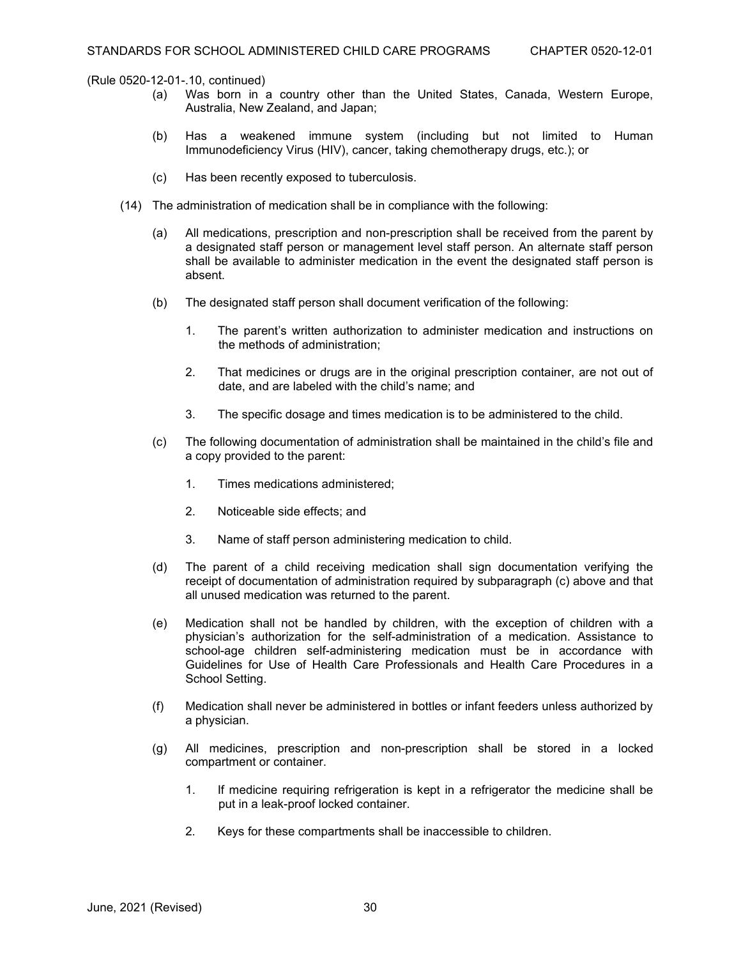- (a) Was born in a country other than the United States, Canada, Western Europe, Australia, New Zealand, and Japan;
- (b) Has a weakened immune system (including but not limited to Human Immunodeficiency Virus (HIV), cancer, taking chemotherapy drugs, etc.); or
- (c) Has been recently exposed to tuberculosis.
- (14) The administration of medication shall be in compliance with the following:
	- (a) All medications, prescription and non-prescription shall be received from the parent by a designated staff person or management level staff person. An alternate staff person shall be available to administer medication in the event the designated staff person is absent.
	- (b) The designated staff person shall document verification of the following:
		- 1. The parent's written authorization to administer medication and instructions on the methods of administration;
		- 2. That medicines or drugs are in the original prescription container, are not out of date, and are labeled with the child's name; and
		- 3. The specific dosage and times medication is to be administered to the child.
	- (c) The following documentation of administration shall be maintained in the child's file and a copy provided to the parent:
		- 1. Times medications administered;
		- 2. Noticeable side effects; and
		- 3. Name of staff person administering medication to child.
	- (d) The parent of a child receiving medication shall sign documentation verifying the receipt of documentation of administration required by subparagraph (c) above and that all unused medication was returned to the parent.
	- (e) Medication shall not be handled by children, with the exception of children with a physician's authorization for the self-administration of a medication. Assistance to school-age children self-administering medication must be in accordance with Guidelines for Use of Health Care Professionals and Health Care Procedures in a School Setting.
	- (f) Medication shall never be administered in bottles or infant feeders unless authorized by a physician.
	- (g) All medicines, prescription and non-prescription shall be stored in a locked compartment or container.
		- 1. If medicine requiring refrigeration is kept in a refrigerator the medicine shall be put in a leak-proof locked container.
		- 2. Keys for these compartments shall be inaccessible to children.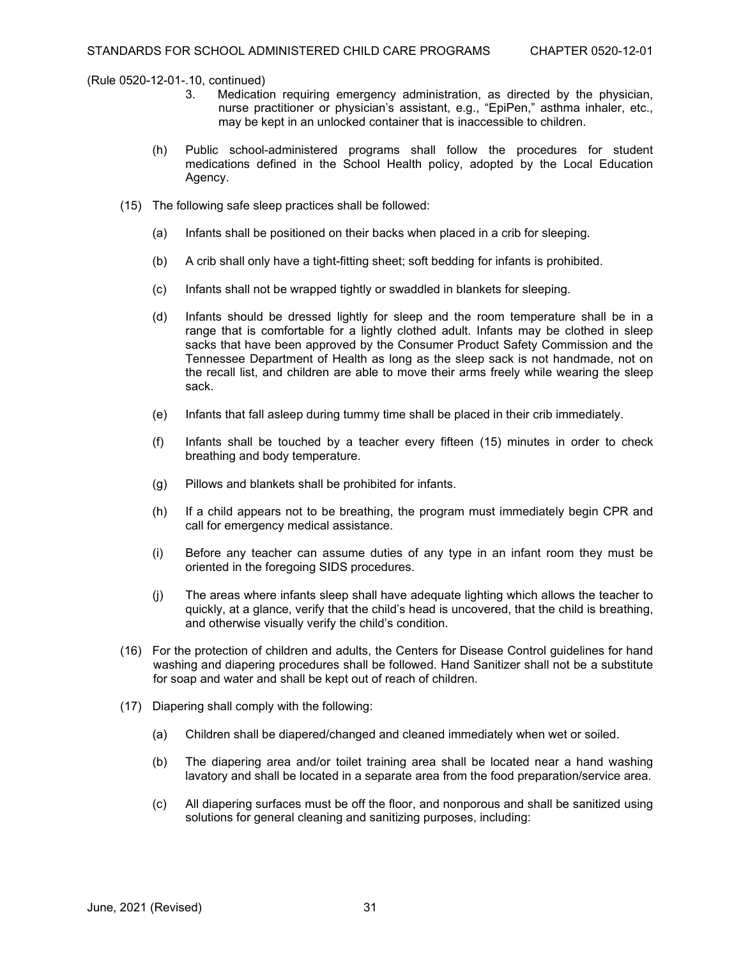- Medication requiring emergency administration, as directed by the physician, nurse practitioner or physician's assistant, e.g., "EpiPen," asthma inhaler, etc., may be kept in an unlocked container that is inaccessible to children.
- (h) Public school-administered programs shall follow the procedures for student medications defined in the School Health policy, adopted by the Local Education Agency.
- (15) The following safe sleep practices shall be followed:
	- (a) Infants shall be positioned on their backs when placed in a crib for sleeping.
	- (b) A crib shall only have a tight-fitting sheet; soft bedding for infants is prohibited.
	- (c) Infants shall not be wrapped tightly or swaddled in blankets for sleeping.
	- (d) Infants should be dressed lightly for sleep and the room temperature shall be in a range that is comfortable for a lightly clothed adult. Infants may be clothed in sleep sacks that have been approved by the Consumer Product Safety Commission and the Tennessee Department of Health as long as the sleep sack is not handmade, not on the recall list, and children are able to move their arms freely while wearing the sleep sack.
	- (e) Infants that fall asleep during tummy time shall be placed in their crib immediately.
	- (f) Infants shall be touched by a teacher every fifteen (15) minutes in order to check breathing and body temperature.
	- (g) Pillows and blankets shall be prohibited for infants.
	- (h) If a child appears not to be breathing, the program must immediately begin CPR and call for emergency medical assistance.
	- (i) Before any teacher can assume duties of any type in an infant room they must be oriented in the foregoing SIDS procedures.
	- (j) The areas where infants sleep shall have adequate lighting which allows the teacher to quickly, at a glance, verify that the child's head is uncovered, that the child is breathing, and otherwise visually verify the child's condition.
- (16) For the protection of children and adults, the Centers for Disease Control guidelines for hand washing and diapering procedures shall be followed. Hand Sanitizer shall not be a substitute for soap and water and shall be kept out of reach of children.
- (17) Diapering shall comply with the following:
	- (a) Children shall be diapered/changed and cleaned immediately when wet or soiled.
	- (b) The diapering area and/or toilet training area shall be located near a hand washing lavatory and shall be located in a separate area from the food preparation/service area.
	- (c) All diapering surfaces must be off the floor, and nonporous and shall be sanitized using solutions for general cleaning and sanitizing purposes, including: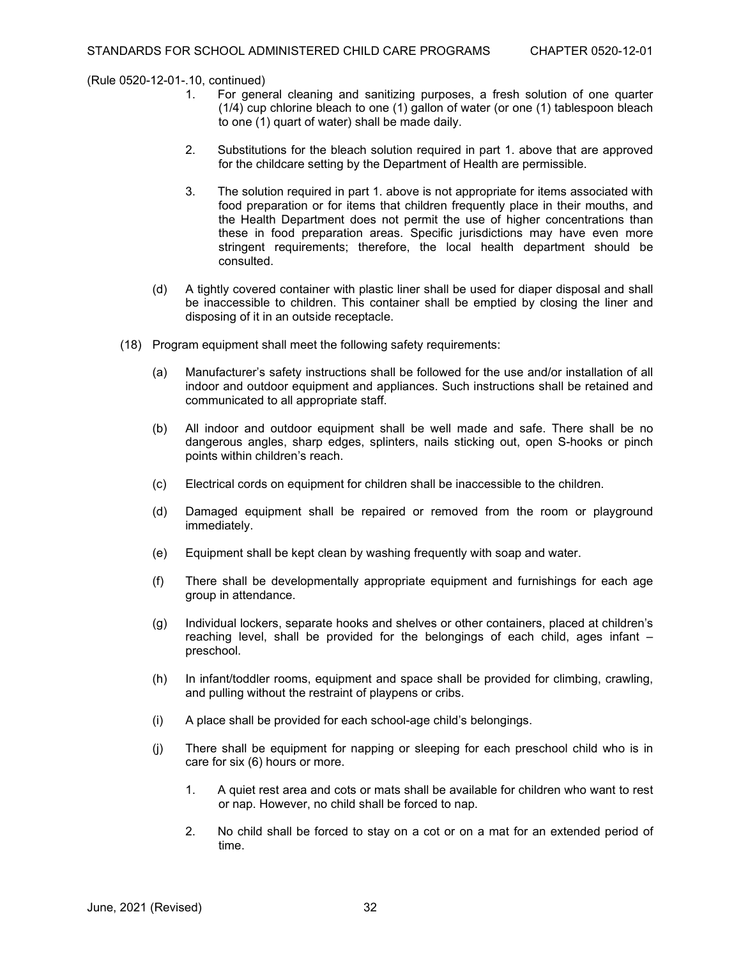- For general cleaning and sanitizing purposes, a fresh solution of one quarter (1/4) cup chlorine bleach to one (1) gallon of water (or one (1) tablespoon bleach to one (1) quart of water) shall be made daily.
- 2. Substitutions for the bleach solution required in part 1. above that are approved for the childcare setting by the Department of Health are permissible.
- 3. The solution required in part 1. above is not appropriate for items associated with food preparation or for items that children frequently place in their mouths, and the Health Department does not permit the use of higher concentrations than these in food preparation areas. Specific jurisdictions may have even more stringent requirements; therefore, the local health department should be consulted.
- (d) A tightly covered container with plastic liner shall be used for diaper disposal and shall be inaccessible to children. This container shall be emptied by closing the liner and disposing of it in an outside receptacle.
- (18) Program equipment shall meet the following safety requirements:
	- (a) Manufacturer's safety instructions shall be followed for the use and/or installation of all indoor and outdoor equipment and appliances. Such instructions shall be retained and communicated to all appropriate staff.
	- (b) All indoor and outdoor equipment shall be well made and safe. There shall be no dangerous angles, sharp edges, splinters, nails sticking out, open S-hooks or pinch points within children's reach.
	- (c) Electrical cords on equipment for children shall be inaccessible to the children.
	- (d) Damaged equipment shall be repaired or removed from the room or playground immediately.
	- (e) Equipment shall be kept clean by washing frequently with soap and water.
	- (f) There shall be developmentally appropriate equipment and furnishings for each age group in attendance.
	- (g) Individual lockers, separate hooks and shelves or other containers, placed at children's reaching level, shall be provided for the belongings of each child, ages infant – preschool.
	- (h) In infant/toddler rooms, equipment and space shall be provided for climbing, crawling, and pulling without the restraint of playpens or cribs.
	- (i) A place shall be provided for each school-age child's belongings.
	- (j) There shall be equipment for napping or sleeping for each preschool child who is in care for six (6) hours or more.
		- 1. A quiet rest area and cots or mats shall be available for children who want to rest or nap. However, no child shall be forced to nap.
		- 2. No child shall be forced to stay on a cot or on a mat for an extended period of time.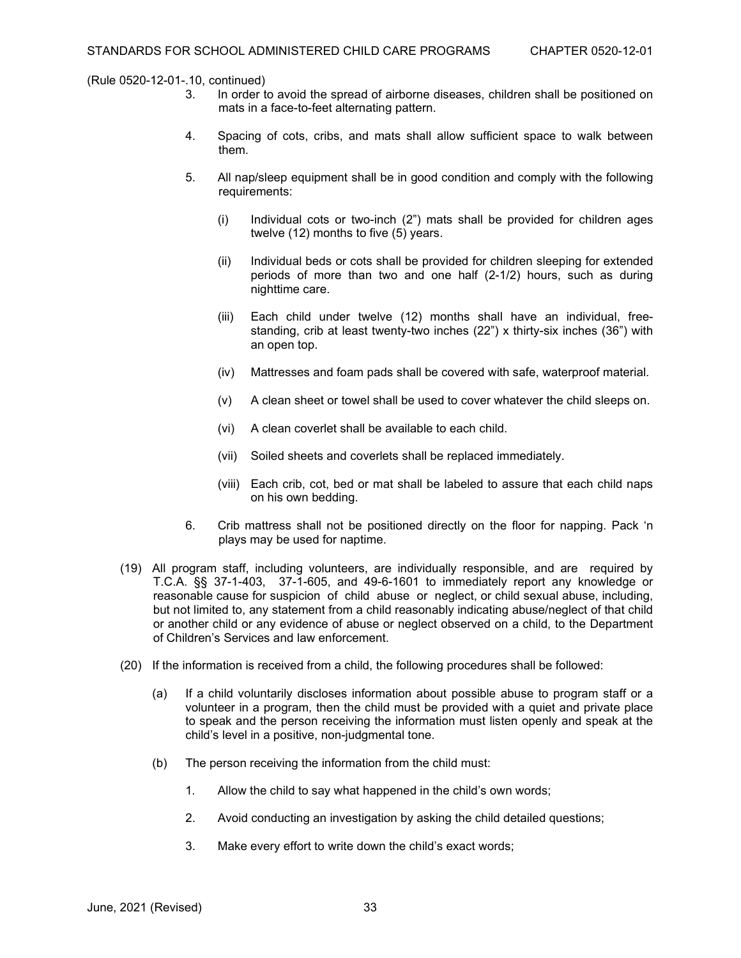- In order to avoid the spread of airborne diseases, children shall be positioned on mats in a face-to-feet alternating pattern.
- 4. Spacing of cots, cribs, and mats shall allow sufficient space to walk between them.
- 5. All nap/sleep equipment shall be in good condition and comply with the following requirements:
	- (i) Individual cots or two-inch (2") mats shall be provided for children ages twelve (12) months to five (5) years.
	- (ii) Individual beds or cots shall be provided for children sleeping for extended periods of more than two and one half (2-1/2) hours, such as during nighttime care.
	- (iii) Each child under twelve (12) months shall have an individual, freestanding, crib at least twenty-two inches (22") x thirty-six inches (36") with an open top.
	- (iv) Mattresses and foam pads shall be covered with safe, waterproof material.
	- (v) A clean sheet or towel shall be used to cover whatever the child sleeps on.
	- (vi) A clean coverlet shall be available to each child.
	- (vii) Soiled sheets and coverlets shall be replaced immediately.
	- (viii) Each crib, cot, bed or mat shall be labeled to assure that each child naps on his own bedding.
- 6. Crib mattress shall not be positioned directly on the floor for napping. Pack 'n plays may be used for naptime.
- (19) All program staff, including volunteers, are individually responsible, and are required by T.C.A. §§ 37-1-403, 37-1-605, and 49-6-1601 to immediately report any knowledge or reasonable cause for suspicion of child abuse or neglect, or child sexual abuse, including, but not limited to, any statement from a child reasonably indicating abuse/neglect of that child or another child or any evidence of abuse or neglect observed on a child, to the Department of Children's Services and law enforcement.
- (20) If the information is received from a child, the following procedures shall be followed:
	- (a) If a child voluntarily discloses information about possible abuse to program staff or a volunteer in a program, then the child must be provided with a quiet and private place to speak and the person receiving the information must listen openly and speak at the child's level in a positive, non-judgmental tone.
	- (b) The person receiving the information from the child must:
		- 1. Allow the child to say what happened in the child's own words;
		- 2. Avoid conducting an investigation by asking the child detailed questions;
		- 3. Make every effort to write down the child's exact words;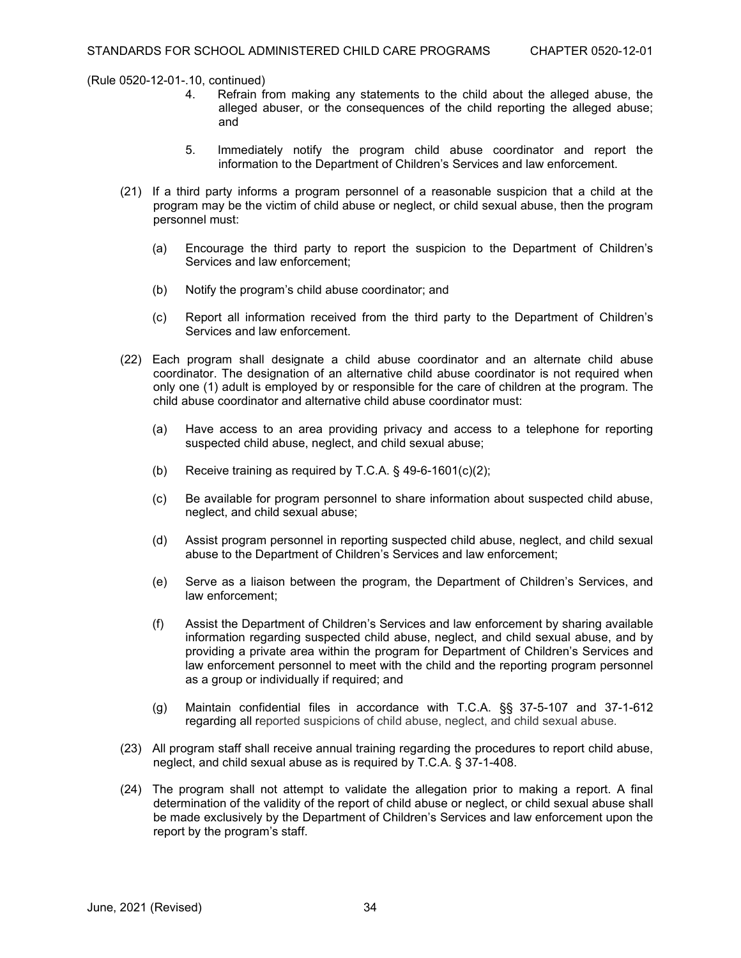- 4. Refrain from making any statements to the child about the alleged abuse, the alleged abuser, or the consequences of the child reporting the alleged abuse; and
- 5. Immediately notify the program child abuse coordinator and report the information to the Department of Children's Services and law enforcement.
- (21) If a third party informs a program personnel of a reasonable suspicion that a child at the program may be the victim of child abuse or neglect, or child sexual abuse, then the program personnel must:
	- (a) Encourage the third party to report the suspicion to the Department of Children's Services and law enforcement;
	- (b) Notify the program's child abuse coordinator; and
	- (c) Report all information received from the third party to the Department of Children's Services and law enforcement.
- (22) Each program shall designate a child abuse coordinator and an alternate child abuse coordinator. The designation of an alternative child abuse coordinator is not required when only one (1) adult is employed by or responsible for the care of children at the program. The child abuse coordinator and alternative child abuse coordinator must:
	- (a) Have access to an area providing privacy and access to a telephone for reporting suspected child abuse, neglect, and child sexual abuse;
	- (b) Receive training as required by T.C.A. § 49-6-1601(c)(2);
	- (c) Be available for program personnel to share information about suspected child abuse, neglect, and child sexual abuse;
	- (d) Assist program personnel in reporting suspected child abuse, neglect, and child sexual abuse to the Department of Children's Services and law enforcement;
	- (e) Serve as a liaison between the program, the Department of Children's Services, and law enforcement;
	- (f) Assist the Department of Children's Services and law enforcement by sharing available information regarding suspected child abuse, neglect, and child sexual abuse, and by providing a private area within the program for Department of Children's Services and law enforcement personnel to meet with the child and the reporting program personnel as a group or individually if required; and
	- (g) Maintain confidential files in accordance with T.C.A. §§ 37-5-107 and 37-1-612 regarding all reported suspicions of child abuse, neglect, and child sexual abuse.
- (23) All program staff shall receive annual training regarding the procedures to report child abuse, neglect, and child sexual abuse as is required by T.C.A. § 37-1-408.
- (24) The program shall not attempt to validate the allegation prior to making a report. A final determination of the validity of the report of child abuse or neglect, or child sexual abuse shall be made exclusively by the Department of Children's Services and law enforcement upon the report by the program's staff.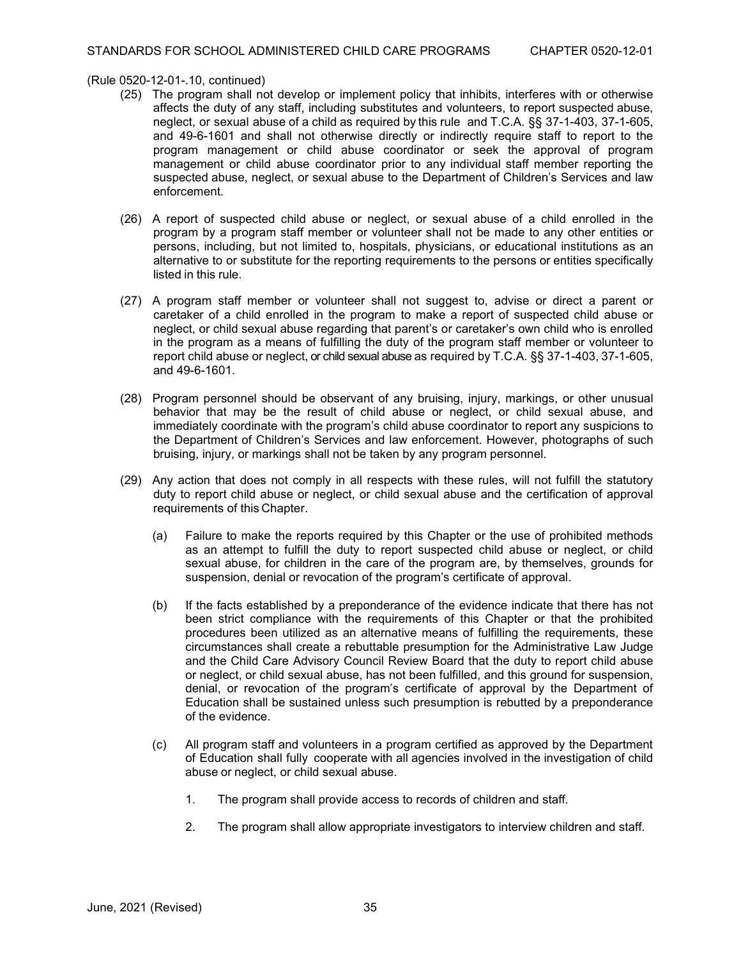- (25) The program shall not develop or implement policy that inhibits, interferes with or otherwise affects the duty of any staff, including substitutes and volunteers, to report suspected abuse, neglect, or sexual abuse of a child as required by this rule and T.C.A. §§ 37-1-403, 37-1-605, and 49-6-1601 and shall not otherwise directly or indirectly require staff to report to the program management or child abuse coordinator or seek the approval of program management or child abuse coordinator prior to any individual staff member reporting the suspected abuse, neglect, or sexual abuse to the Department of Children's Services and law enforcement.
- (26) A report of suspected child abuse or neglect, or sexual abuse of a child enrolled in the program by a program staff member or volunteer shall not be made to any other entities or persons, including, but not limited to, hospitals, physicians, or educational institutions as an alternative to or substitute for the reporting requirements to the persons or entities specifically listed in this rule.
- (27) A program staff member or volunteer shall not suggest to, advise or direct a parent or caretaker of a child enrolled in the program to make a report of suspected child abuse or neglect, or child sexual abuse regarding that parent's or caretaker's own child who is enrolled in the program as a means of fulfilling the duty of the program staff member or volunteer to report child abuse or neglect, or child sexual abuse as required by T.C.A. §§ 37-1-403, 37-1-605, and 49-6-1601.
- (28) Program personnel should be observant of any bruising, injury, markings, or other unusual behavior that may be the result of child abuse or neglect, or child sexual abuse, and immediately coordinate with the program's child abuse coordinator to report any suspicions to the Department of Children's Services and law enforcement. However, photographs of such bruising, injury, or markings shall not be taken by any program personnel.
- (29) Any action that does not comply in all respects with these rules, will not fulfill the statutory duty to report child abuse or neglect, or child sexual abuse and the certification of approval requirements of this Chapter.
	- (a) Failure to make the reports required by this Chapter or the use of prohibited methods as an attempt to fulfill the duty to report suspected child abuse or neglect, or child sexual abuse, for children in the care of the program are, by themselves, grounds for suspension, denial or revocation of the program's certificate of approval.
	- (b) If the facts established by a preponderance of the evidence indicate that there has not been strict compliance with the requirements of this Chapter or that the prohibited procedures been utilized as an alternative means of fulfilling the requirements, these circumstances shall create a rebuttable presumption for the Administrative Law Judge and the Child Care Advisory Council Review Board that the duty to report child abuse or neglect, or child sexual abuse, has not been fulfilled, and this ground for suspension, denial, or revocation of the program's certificate of approval by the Department of Education shall be sustained unless such presumption is rebutted by a preponderance of the evidence.
	- (c) All program staff and volunteers in a program certified as approved by the Department of Education shall fully cooperate with all agencies involved in the investigation of child abuse or neglect, or child sexual abuse.
		- 1. The program shall provide access to records of children and staff.
		- 2. The program shall allow appropriate investigators to interview children and staff.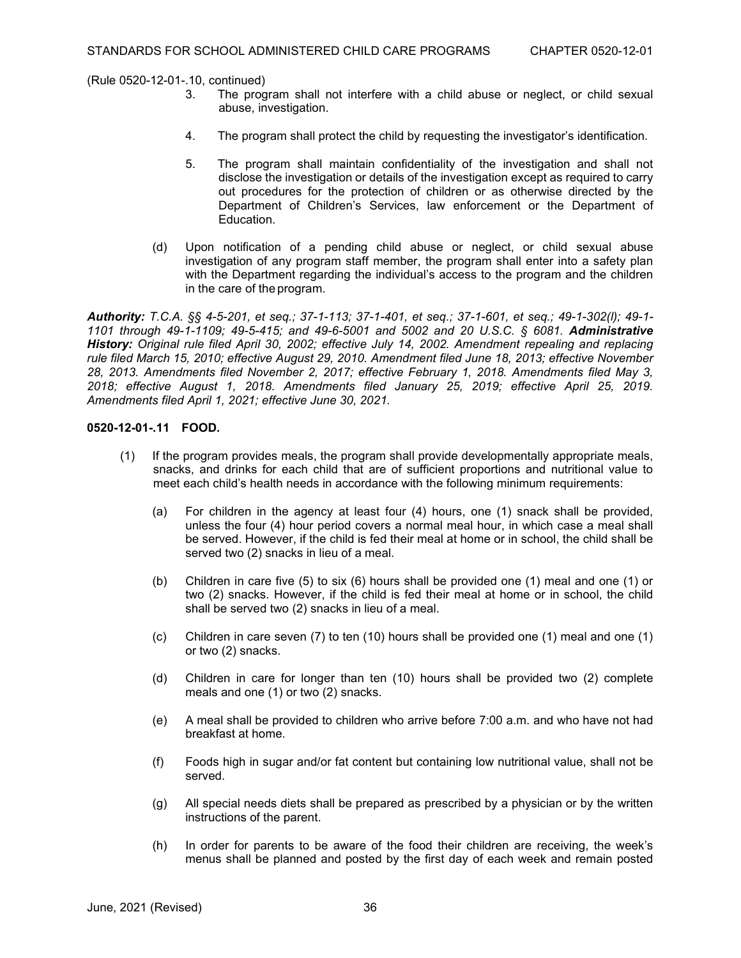- The program shall not interfere with a child abuse or neglect, or child sexual abuse, investigation.
- 4. The program shall protect the child by requesting the investigator's identification.
- 5. The program shall maintain confidentiality of the investigation and shall not disclose the investigation or details of the investigation except as required to carry out procedures for the protection of children or as otherwise directed by the Department of Children's Services, law enforcement or the Department of Education.
- (d) Upon notification of a pending child abuse or neglect, or child sexual abuse investigation of any program staff member, the program shall enter into a safety plan with the Department regarding the individual's access to the program and the children in the care of the program.

*Authority: T.C.A. §§ 4-5-201, et seq.; 37-1-113; 37-1-401, et seq.; 37-1-601, et seq.; 49-1-302(l); 49-1- 1101 through 49-1-1109; 49-5-415; and 49-6-5001 and 5002 and 20 U.S.C. § 6081. Administrative History: Original rule filed April 30, 2002; effective July 14, 2002. Amendment repealing and replacing rule filed March 15, 2010; effective August 29, 2010. Amendment filed June 18, 2013; effective November 28, 2013. Amendments filed November 2, 2017; effective February 1, 2018. Amendments filed May 3, 2018; effective August 1, 2018. Amendments filed January 25, 2019; effective April 25, 2019. Amendments filed April 1, 2021; effective June 30, 2021.*

# **0520-12-01-.11 FOOD.**

- (1) If the program provides meals, the program shall provide developmentally appropriate meals, snacks, and drinks for each child that are of sufficient proportions and nutritional value to meet each child's health needs in accordance with the following minimum requirements:
	- (a) For children in the agency at least four (4) hours, one (1) snack shall be provided, unless the four (4) hour period covers a normal meal hour, in which case a meal shall be served. However, if the child is fed their meal at home or in school, the child shall be served two (2) snacks in lieu of a meal.
	- (b) Children in care five (5) to six (6) hours shall be provided one (1) meal and one (1) or two (2) snacks. However, if the child is fed their meal at home or in school, the child shall be served two (2) snacks in lieu of a meal.
	- (c) Children in care seven (7) to ten (10) hours shall be provided one (1) meal and one (1) or two (2) snacks.
	- (d) Children in care for longer than ten (10) hours shall be provided two (2) complete meals and one  $(1)$  or two  $(2)$  snacks.
	- (e) A meal shall be provided to children who arrive before 7:00 a.m. and who have not had breakfast at home.
	- (f) Foods high in sugar and/or fat content but containing low nutritional value, shall not be served.
	- (g) All special needs diets shall be prepared as prescribed by a physician or by the written instructions of the parent.
	- (h) In order for parents to be aware of the food their children are receiving, the week's menus shall be planned and posted by the first day of each week and remain posted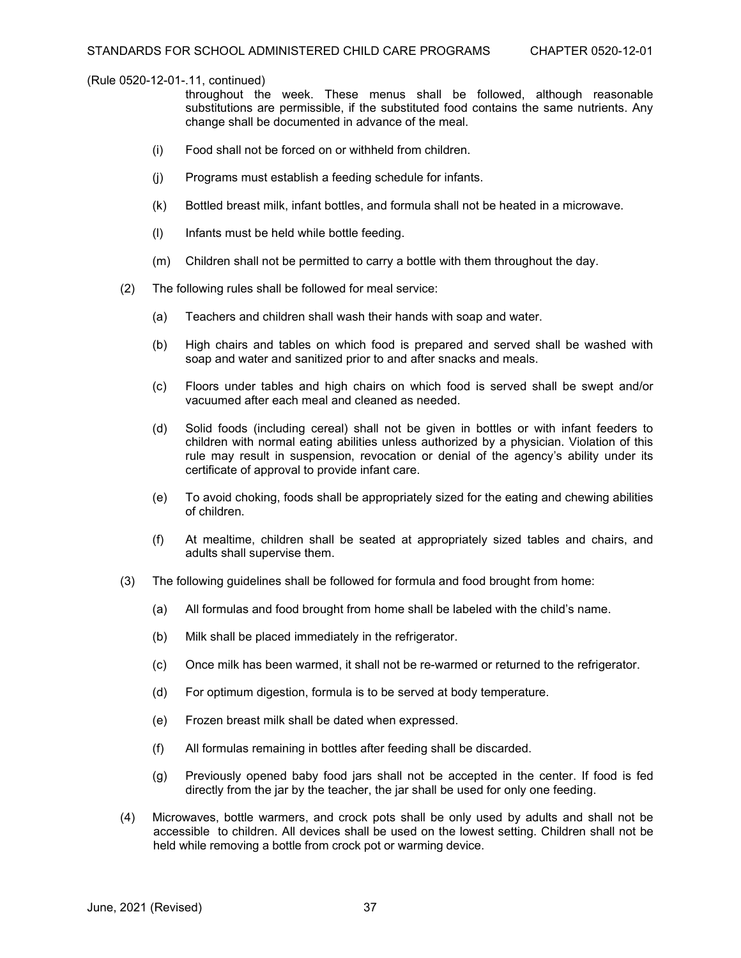throughout the week. These menus shall be followed, although reasonable substitutions are permissible, if the substituted food contains the same nutrients. Any change shall be documented in advance of the meal.

- (i) Food shall not be forced on or withheld from children.
- (j) Programs must establish a feeding schedule for infants.
- (k) Bottled breast milk, infant bottles, and formula shall not be heated in a microwave.
- (l) Infants must be held while bottle feeding.
- (m) Children shall not be permitted to carry a bottle with them throughout the day.
- (2) The following rules shall be followed for meal service:
	- (a) Teachers and children shall wash their hands with soap and water.
	- (b) High chairs and tables on which food is prepared and served shall be washed with soap and water and sanitized prior to and after snacks and meals.
	- (c) Floors under tables and high chairs on which food is served shall be swept and/or vacuumed after each meal and cleaned as needed.
	- (d) Solid foods (including cereal) shall not be given in bottles or with infant feeders to children with normal eating abilities unless authorized by a physician. Violation of this rule may result in suspension, revocation or denial of the agency's ability under its certificate of approval to provide infant care.
	- (e) To avoid choking, foods shall be appropriately sized for the eating and chewing abilities of children.
	- (f) At mealtime, children shall be seated at appropriately sized tables and chairs, and adults shall supervise them.
- (3) The following guidelines shall be followed for formula and food brought from home:
	- (a) All formulas and food brought from home shall be labeled with the child's name.
	- (b) Milk shall be placed immediately in the refrigerator.
	- (c) Once milk has been warmed, it shall not be re-warmed or returned to the refrigerator.
	- (d) For optimum digestion, formula is to be served at body temperature.
	- (e) Frozen breast milk shall be dated when expressed.
	- (f) All formulas remaining in bottles after feeding shall be discarded.
	- (g) Previously opened baby food jars shall not be accepted in the center. If food is fed directly from the jar by the teacher, the jar shall be used for only one feeding.
- (4) Microwaves, bottle warmers, and crock pots shall be only used by adults and shall not be accessible to children. All devices shall be used on the lowest setting. Children shall not be held while removing a bottle from crock pot or warming device.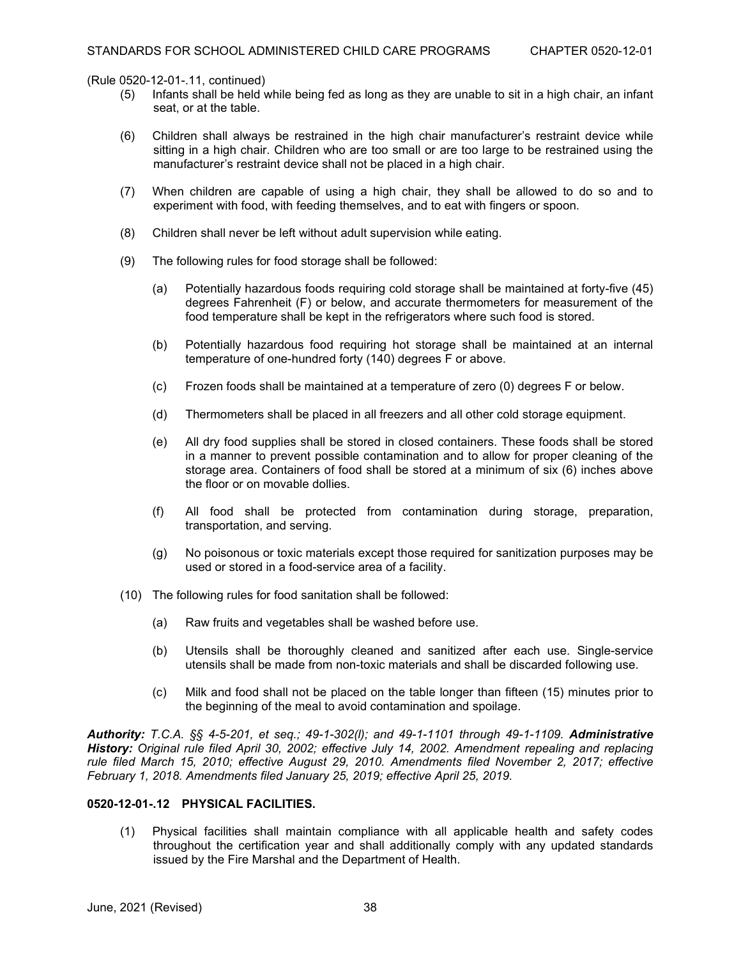- (5) Infants shall be held while being fed as long as they are unable to sit in a high chair, an infant seat, or at the table.
- (6) Children shall always be restrained in the high chair manufacturer's restraint device while sitting in a high chair. Children who are too small or are too large to be restrained using the manufacturer's restraint device shall not be placed in a high chair.
- (7) When children are capable of using a high chair, they shall be allowed to do so and to experiment with food, with feeding themselves, and to eat with fingers or spoon.
- (8) Children shall never be left without adult supervision while eating.
- (9) The following rules for food storage shall be followed:
	- (a) Potentially hazardous foods requiring cold storage shall be maintained at forty-five (45) degrees Fahrenheit (F) or below, and accurate thermometers for measurement of the food temperature shall be kept in the refrigerators where such food is stored.
	- (b) Potentially hazardous food requiring hot storage shall be maintained at an internal temperature of one-hundred forty (140) degrees F or above.
	- (c) Frozen foods shall be maintained at a temperature of zero (0) degrees F or below.
	- (d) Thermometers shall be placed in all freezers and all other cold storage equipment.
	- (e) All dry food supplies shall be stored in closed containers. These foods shall be stored in a manner to prevent possible contamination and to allow for proper cleaning of the storage area. Containers of food shall be stored at a minimum of six (6) inches above the floor or on movable dollies.
	- (f) All food shall be protected from contamination during storage, preparation, transportation, and serving.
	- (g) No poisonous or toxic materials except those required for sanitization purposes may be used or stored in a food-service area of a facility.
- (10) The following rules for food sanitation shall be followed:
	- (a) Raw fruits and vegetables shall be washed before use.
	- (b) Utensils shall be thoroughly cleaned and sanitized after each use. Single-service utensils shall be made from non-toxic materials and shall be discarded following use.
	- (c) Milk and food shall not be placed on the table longer than fifteen (15) minutes prior to the beginning of the meal to avoid contamination and spoilage.

*Authority: T.C.A. §§ 4-5-201, et seq.; 49-1-302(l); and 49-1-1101 through 49-1-1109. Administrative History: Original rule filed April 30, 2002; effective July 14, 2002. Amendment repealing and replacing rule filed March 15, 2010; effective August 29, 2010. Amendments filed November 2, 2017; effective February 1, 2018. Amendments filed January 25, 2019; effective April 25, 2019.*

#### **0520-12-01-.12 PHYSICAL FACILITIES.**

(1) Physical facilities shall maintain compliance with all applicable health and safety codes throughout the certification year and shall additionally comply with any updated standards issued by the Fire Marshal and the Department of Health.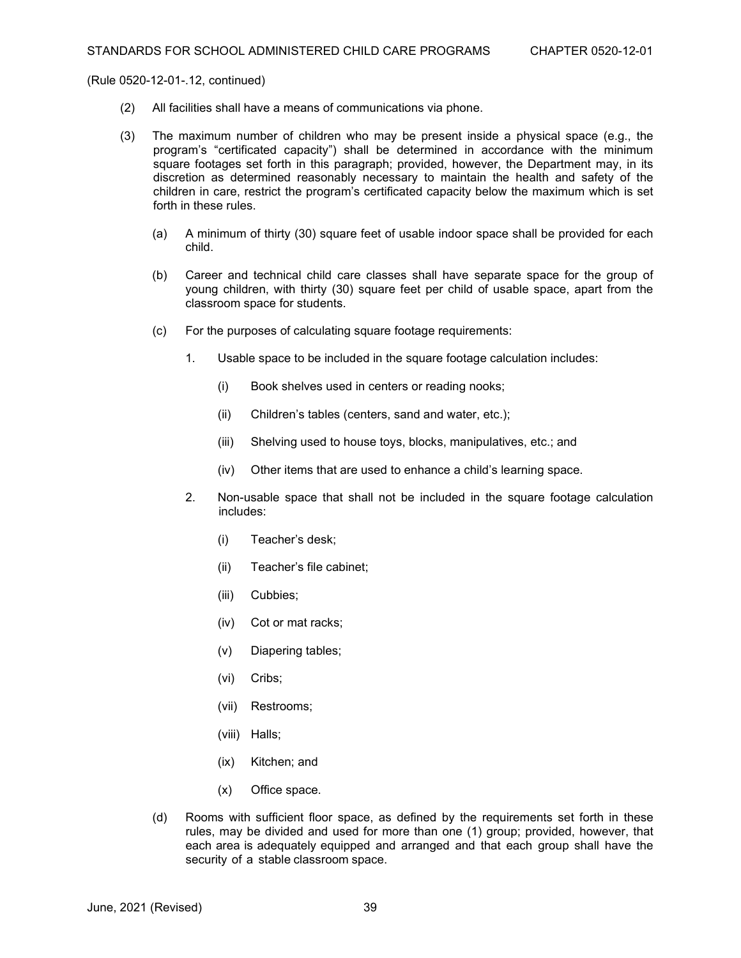- (2) All facilities shall have a means of communications via phone.
- (3) The maximum number of children who may be present inside a physical space (e.g., the program's "certificated capacity") shall be determined in accordance with the minimum square footages set forth in this paragraph; provided, however, the Department may, in its discretion as determined reasonably necessary to maintain the health and safety of the children in care, restrict the program's certificated capacity below the maximum which is set forth in these rules.
	- (a) A minimum of thirty (30) square feet of usable indoor space shall be provided for each child.
	- (b) Career and technical child care classes shall have separate space for the group of young children, with thirty (30) square feet per child of usable space, apart from the classroom space for students.
	- (c) For the purposes of calculating square footage requirements:
		- 1. Usable space to be included in the square footage calculation includes:
			- (i) Book shelves used in centers or reading nooks;
			- (ii) Children's tables (centers, sand and water, etc.);
			- (iii) Shelving used to house toys, blocks, manipulatives, etc.; and
			- (iv) Other items that are used to enhance a child's learning space.
		- 2. Non-usable space that shall not be included in the square footage calculation includes:
			- (i) Teacher's desk;
			- (ii) Teacher's file cabinet;
			- (iii) Cubbies;
			- (iv) Cot or mat racks;
			- (v) Diapering tables;
			- (vi) Cribs;
			- (vii) Restrooms;
			- (viii) Halls;
			- (ix) Kitchen; and
			- (x) Office space.
	- (d) Rooms with sufficient floor space, as defined by the requirements set forth in these rules, may be divided and used for more than one (1) group; provided, however, that each area is adequately equipped and arranged and that each group shall have the security of a stable classroom space.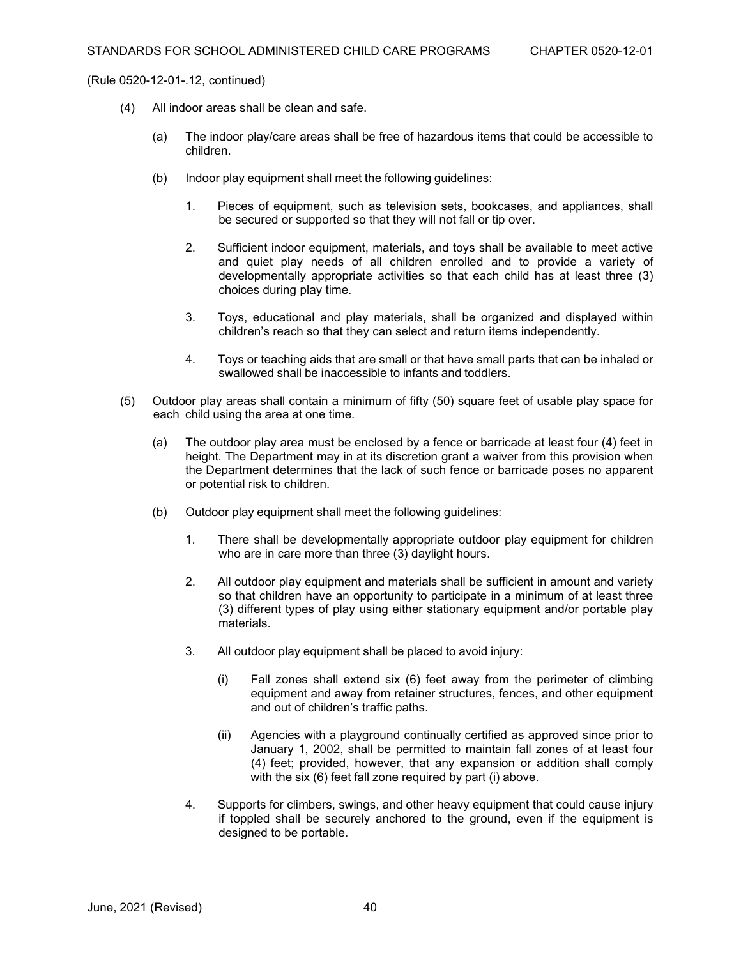- (4) All indoor areas shall be clean and safe.
	- (a) The indoor play/care areas shall be free of hazardous items that could be accessible to children.
	- (b) Indoor play equipment shall meet the following guidelines:
		- 1. Pieces of equipment, such as television sets, bookcases, and appliances, shall be secured or supported so that they will not fall or tip over.
		- 2. Sufficient indoor equipment, materials, and toys shall be available to meet active and quiet play needs of all children enrolled and to provide a variety of developmentally appropriate activities so that each child has at least three (3) choices during play time.
		- 3. Toys, educational and play materials, shall be organized and displayed within children's reach so that they can select and return items independently.
		- 4. Toys or teaching aids that are small or that have small parts that can be inhaled or swallowed shall be inaccessible to infants and toddlers.
- (5) Outdoor play areas shall contain a minimum of fifty (50) square feet of usable play space for each child using the area at one time.
	- (a) The outdoor play area must be enclosed by a fence or barricade at least four (4) feet in height. The Department may in at its discretion grant a waiver from this provision when the Department determines that the lack of such fence or barricade poses no apparent or potential risk to children.
	- (b) Outdoor play equipment shall meet the following guidelines:
		- 1. There shall be developmentally appropriate outdoor play equipment for children who are in care more than three (3) daylight hours.
		- 2. All outdoor play equipment and materials shall be sufficient in amount and variety so that children have an opportunity to participate in a minimum of at least three (3) different types of play using either stationary equipment and/or portable play materials.
		- 3. All outdoor play equipment shall be placed to avoid injury:
			- (i) Fall zones shall extend six (6) feet away from the perimeter of climbing equipment and away from retainer structures, fences, and other equipment and out of children's traffic paths.
			- (ii) Agencies with a playground continually certified as approved since prior to January 1, 2002, shall be permitted to maintain fall zones of at least four (4) feet; provided, however, that any expansion or addition shall comply with the six (6) feet fall zone required by part (i) above.
		- 4. Supports for climbers, swings, and other heavy equipment that could cause injury if toppled shall be securely anchored to the ground, even if the equipment is designed to be portable.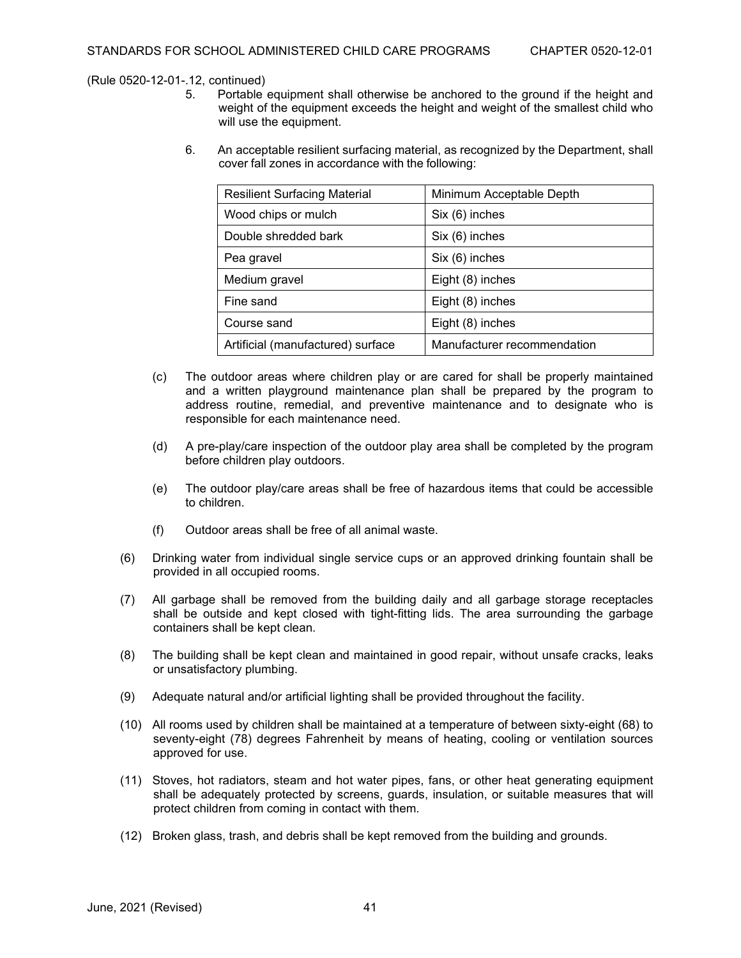- Portable equipment shall otherwise be anchored to the ground if the height and weight of the equipment exceeds the height and weight of the smallest child who will use the equipment.
- 6. An acceptable resilient surfacing material, as recognized by the Department, shall cover fall zones in accordance with the following:

| <b>Resilient Surfacing Material</b> | Minimum Acceptable Depth    |
|-------------------------------------|-----------------------------|
| Wood chips or mulch                 | Six (6) inches              |
| Double shredded bark                | Six (6) inches              |
| Pea gravel                          | Six (6) inches              |
| Medium gravel                       | Eight (8) inches            |
| Fine sand                           | Eight (8) inches            |
| Course sand                         | Eight (8) inches            |
| Artificial (manufactured) surface   | Manufacturer recommendation |

- (c) The outdoor areas where children play or are cared for shall be properly maintained and a written playground maintenance plan shall be prepared by the program to address routine, remedial, and preventive maintenance and to designate who is responsible for each maintenance need.
- (d) A pre-play/care inspection of the outdoor play area shall be completed by the program before children play outdoors.
- (e) The outdoor play/care areas shall be free of hazardous items that could be accessible to children.
- (f) Outdoor areas shall be free of all animal waste.
- (6) Drinking water from individual single service cups or an approved drinking fountain shall be provided in all occupied rooms.
- (7) All garbage shall be removed from the building daily and all garbage storage receptacles shall be outside and kept closed with tight-fitting lids. The area surrounding the garbage containers shall be kept clean.
- (8) The building shall be kept clean and maintained in good repair, without unsafe cracks, leaks or unsatisfactory plumbing.
- (9) Adequate natural and/or artificial lighting shall be provided throughout the facility.
- (10) All rooms used by children shall be maintained at a temperature of between sixty-eight (68) to seventy-eight (78) degrees Fahrenheit by means of heating, cooling or ventilation sources approved for use.
- (11) Stoves, hot radiators, steam and hot water pipes, fans, or other heat generating equipment shall be adequately protected by screens, guards, insulation, or suitable measures that will protect children from coming in contact with them.
- (12) Broken glass, trash, and debris shall be kept removed from the building and grounds.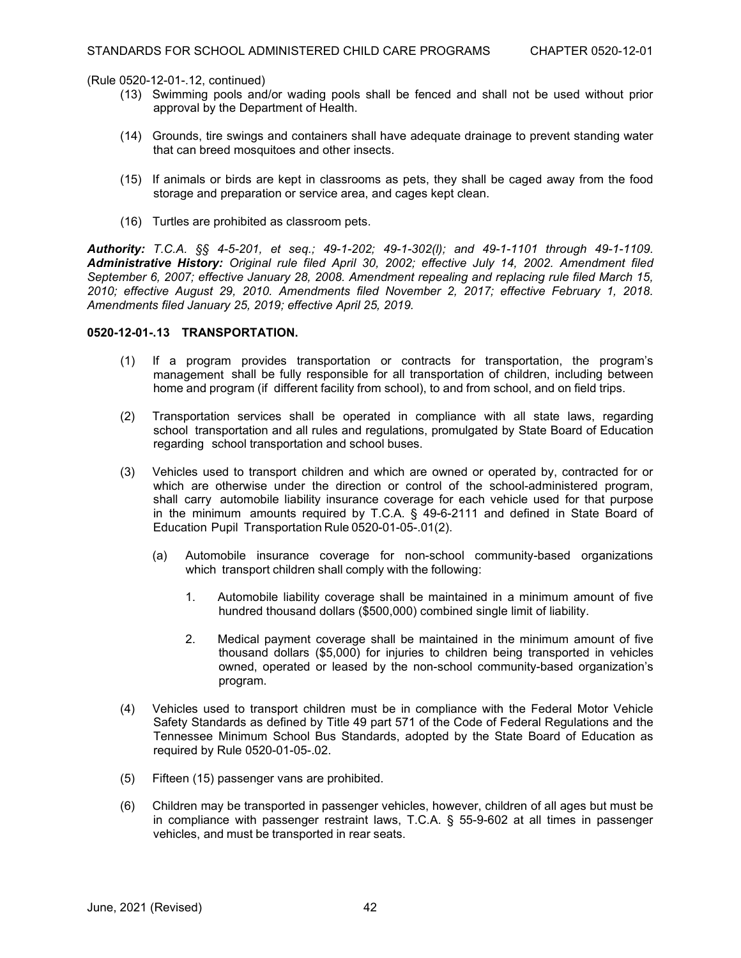- (13) Swimming pools and/or wading pools shall be fenced and shall not be used without prior approval by the Department of Health.
- (14) Grounds, tire swings and containers shall have adequate drainage to prevent standing water that can breed mosquitoes and other insects.
- (15) If animals or birds are kept in classrooms as pets, they shall be caged away from the food storage and preparation or service area, and cages kept clean.
- (16) Turtles are prohibited as classroom pets.

*Authority: T.C.A. §§ 4-5-201, et seq.; 49-1-202; 49-1-302(l); and 49-1-1101 through 49-1-1109. Administrative History: Original rule filed April 30, 2002; effective July 14, 2002. Amendment filed September 6, 2007; effective January 28, 2008. Amendment repealing and replacing rule filed March 15, 2010; effective August 29, 2010. Amendments filed November 2, 2017; effective February 1, 2018. Amendments filed January 25, 2019; effective April 25, 2019.*

# **0520-12-01-.13 TRANSPORTATION.**

- (1) If a program provides transportation or contracts for transportation, the program's management shall be fully responsible for all transportation of children, including between home and program (if different facility from school), to and from school, and on field trips.
- (2) Transportation services shall be operated in compliance with all state laws, regarding school transportation and all rules and regulations, promulgated by State Board of Education regarding school transportation and school buses.
- (3) Vehicles used to transport children and which are owned or operated by, contracted for or which are otherwise under the direction or control of the school-administered program, shall carry automobile liability insurance coverage for each vehicle used for that purpose in the minimum amounts required by T.C.A. § 49-6-2111 and defined in State Board of Education Pupil Transportation Rule 0520-01-05-.01(2).
	- (a) Automobile insurance coverage for non-school community-based organizations which transport children shall comply with the following:
		- 1. Automobile liability coverage shall be maintained in a minimum amount of five hundred thousand dollars (\$500,000) combined single limit of liability.
		- 2. Medical payment coverage shall be maintained in the minimum amount of five thousand dollars (\$5,000) for injuries to children being transported in vehicles owned, operated or leased by the non-school community-based organization's program.
- (4) Vehicles used to transport children must be in compliance with the Federal Motor Vehicle Safety Standards as defined by Title 49 part 571 of the Code of Federal Regulations and the Tennessee Minimum School Bus Standards, adopted by the State Board of Education as required by Rule 0520-01-05-.02.
- (5) Fifteen (15) passenger vans are prohibited.
- (6) Children may be transported in passenger vehicles, however, children of all ages but must be in compliance with passenger restraint laws, T.C.A. § 55-9-602 at all times in passenger vehicles, and must be transported in rear seats.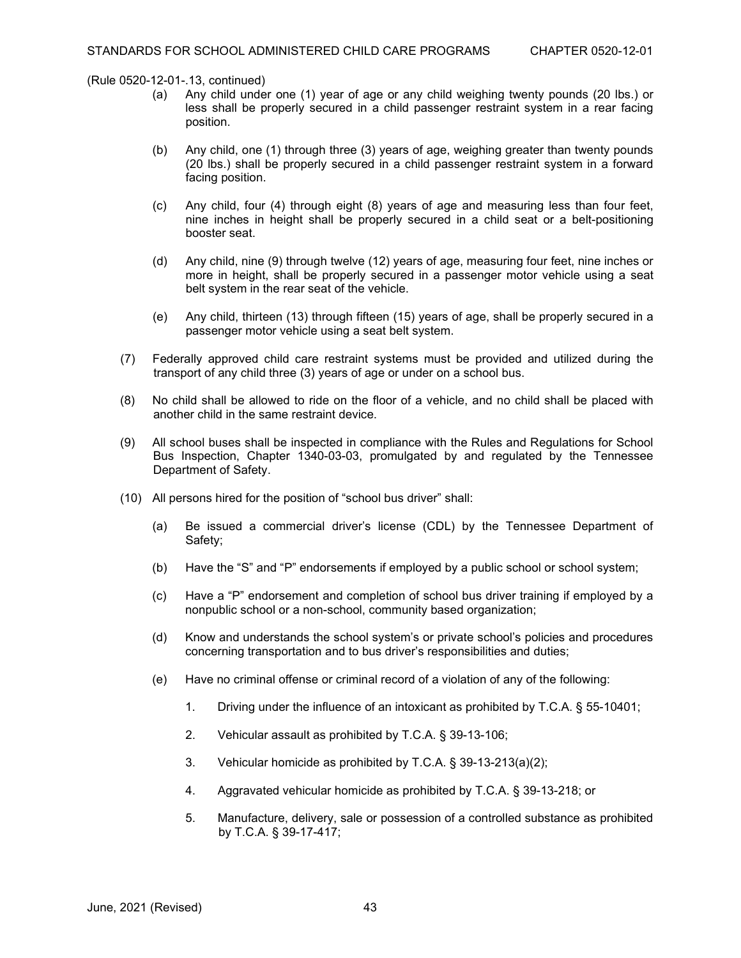- (a) Any child under one (1) year of age or any child weighing twenty pounds (20 lbs.) or less shall be properly secured in a child passenger restraint system in a rear facing position.
- (b) Any child, one (1) through three (3) years of age, weighing greater than twenty pounds (20 lbs.) shall be properly secured in a child passenger restraint system in a forward facing position.
- (c) Any child, four (4) through eight (8) years of age and measuring less than four feet, nine inches in height shall be properly secured in a child seat or a belt-positioning booster seat.
- (d) Any child, nine (9) through twelve (12) years of age, measuring four feet, nine inches or more in height, shall be properly secured in a passenger motor vehicle using a seat belt system in the rear seat of the vehicle.
- (e) Any child, thirteen (13) through fifteen (15) years of age, shall be properly secured in a passenger motor vehicle using a seat belt system.
- (7) Federally approved child care restraint systems must be provided and utilized during the transport of any child three (3) years of age or under on a school bus.
- (8) No child shall be allowed to ride on the floor of a vehicle, and no child shall be placed with another child in the same restraint device.
- (9) All school buses shall be inspected in compliance with the Rules and Regulations for School Bus Inspection, Chapter 1340-03-03, promulgated by and regulated by the Tennessee Department of Safety.
- (10) All persons hired for the position of "school bus driver" shall:
	- (a) Be issued a commercial driver's license (CDL) by the Tennessee Department of Safety;
	- (b) Have the "S" and "P" endorsements if employed by a public school or school system;
	- (c) Have a "P" endorsement and completion of school bus driver training if employed by a nonpublic school or a non-school, community based organization;
	- (d) Know and understands the school system's or private school's policies and procedures concerning transportation and to bus driver's responsibilities and duties;
	- (e) Have no criminal offense or criminal record of a violation of any of the following:
		- 1. Driving under the influence of an intoxicant as prohibited by T.C.A. § 55-10401;
		- 2. Vehicular assault as prohibited by T.C.A. § 39-13-106;
		- 3. Vehicular homicide as prohibited by T.C.A. § 39-13-213(a)(2);
		- 4. Aggravated vehicular homicide as prohibited by T.C.A. § 39-13-218; or
		- 5. Manufacture, delivery, sale or possession of a controlled substance as prohibited by T.C.A. § 39-17-417;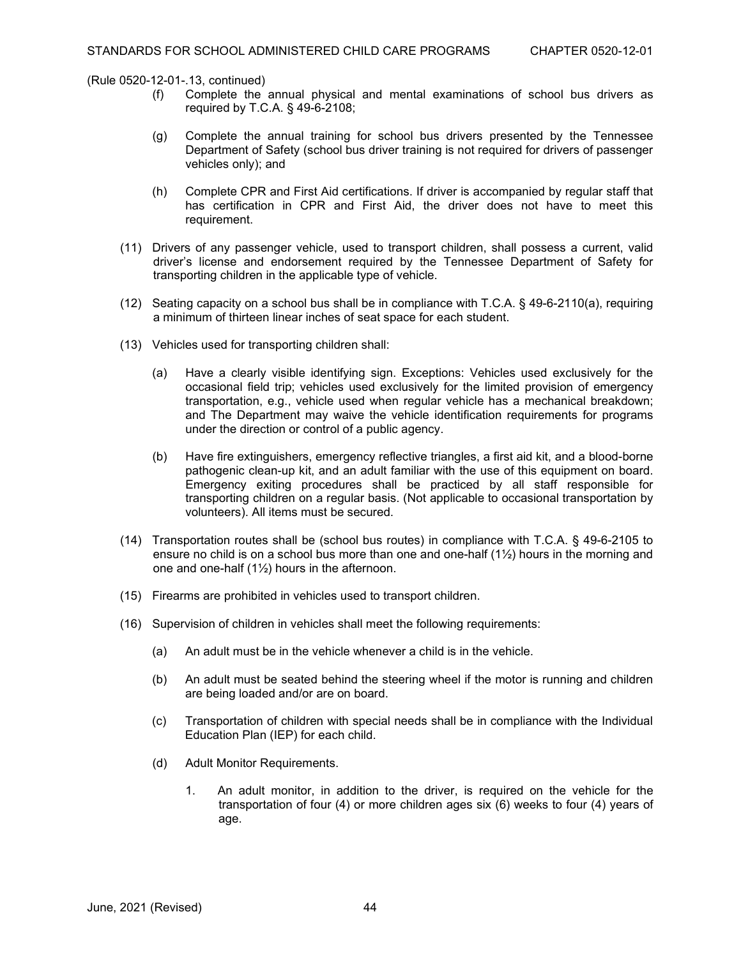- (f) Complete the annual physical and mental examinations of school bus drivers as required by T.C.A. § 49-6-2108;
- (g) Complete the annual training for school bus drivers presented by the Tennessee Department of Safety (school bus driver training is not required for drivers of passenger vehicles only); and
- (h) Complete CPR and First Aid certifications. If driver is accompanied by regular staff that has certification in CPR and First Aid, the driver does not have to meet this requirement.
- (11) Drivers of any passenger vehicle, used to transport children, shall possess a current, valid driver's license and endorsement required by the Tennessee Department of Safety for transporting children in the applicable type of vehicle.
- (12) Seating capacity on a school bus shall be in compliance with T.C.A. § 49-6-2110(a), requiring a minimum of thirteen linear inches of seat space for each student.
- (13) Vehicles used for transporting children shall:
	- (a) Have a clearly visible identifying sign. Exceptions: Vehicles used exclusively for the occasional field trip; vehicles used exclusively for the limited provision of emergency transportation, e.g., vehicle used when regular vehicle has a mechanical breakdown; and The Department may waive the vehicle identification requirements for programs under the direction or control of a public agency.
	- (b) Have fire extinguishers, emergency reflective triangles, a first aid kit, and a blood-borne pathogenic clean-up kit, and an adult familiar with the use of this equipment on board. Emergency exiting procedures shall be practiced by all staff responsible for transporting children on a regular basis. (Not applicable to occasional transportation by volunteers). All items must be secured.
- (14) Transportation routes shall be (school bus routes) in compliance with T.C.A. § 49-6-2105 to ensure no child is on a school bus more than one and one-half (1½) hours in the morning and one and one-half (1½) hours in the afternoon.
- (15) Firearms are prohibited in vehicles used to transport children.
- (16) Supervision of children in vehicles shall meet the following requirements:
	- (a) An adult must be in the vehicle whenever a child is in the vehicle.
	- (b) An adult must be seated behind the steering wheel if the motor is running and children are being loaded and/or are on board.
	- (c) Transportation of children with special needs shall be in compliance with the Individual Education Plan (IEP) for each child.
	- (d) Adult Monitor Requirements.
		- 1. An adult monitor, in addition to the driver, is required on the vehicle for the transportation of four (4) or more children ages six (6) weeks to four (4) years of age.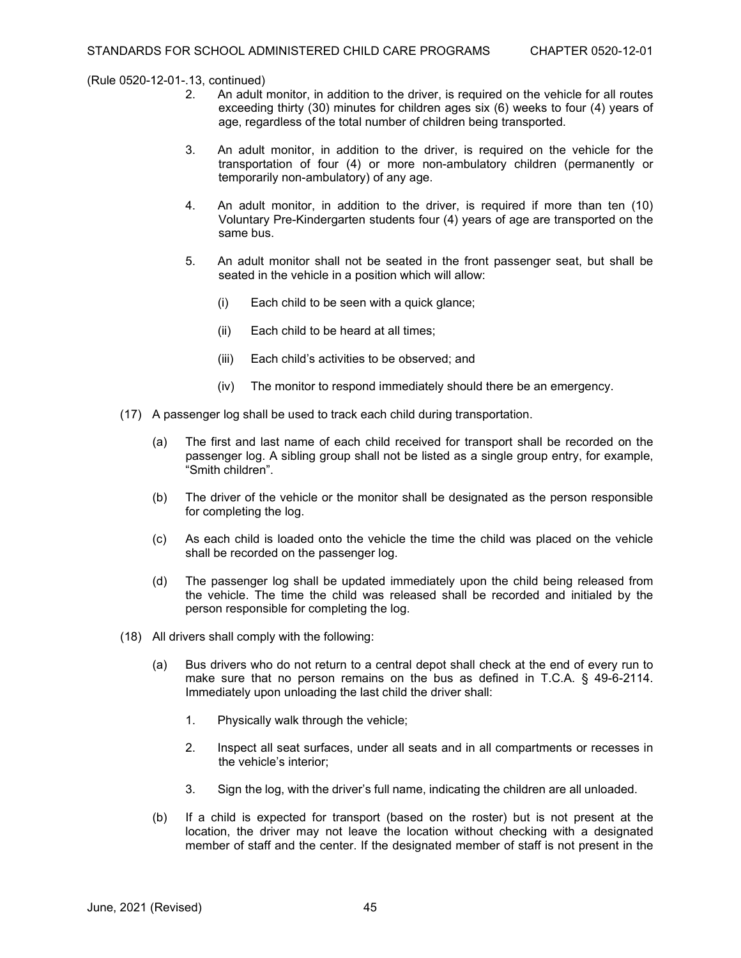- An adult monitor, in addition to the driver, is required on the vehicle for all routes exceeding thirty (30) minutes for children ages six (6) weeks to four (4) years of age, regardless of the total number of children being transported.
- 3. An adult monitor, in addition to the driver, is required on the vehicle for the transportation of four (4) or more non-ambulatory children (permanently or temporarily non-ambulatory) of any age.
- 4. An adult monitor, in addition to the driver, is required if more than ten (10) Voluntary Pre-Kindergarten students four (4) years of age are transported on the same bus.
- 5. An adult monitor shall not be seated in the front passenger seat, but shall be seated in the vehicle in a position which will allow:
	- (i) Each child to be seen with a quick glance;
	- (ii) Each child to be heard at all times;
	- (iii) Each child's activities to be observed; and
	- (iv) The monitor to respond immediately should there be an emergency.
- (17) A passenger log shall be used to track each child during transportation.
	- (a) The first and last name of each child received for transport shall be recorded on the passenger log. A sibling group shall not be listed as a single group entry, for example, "Smith children".
	- (b) The driver of the vehicle or the monitor shall be designated as the person responsible for completing the log.
	- (c) As each child is loaded onto the vehicle the time the child was placed on the vehicle shall be recorded on the passenger log.
	- (d) The passenger log shall be updated immediately upon the child being released from the vehicle. The time the child was released shall be recorded and initialed by the person responsible for completing the log.
- (18) All drivers shall comply with the following:
	- (a) Bus drivers who do not return to a central depot shall check at the end of every run to make sure that no person remains on the bus as defined in T.C.A. § 49-6-2114. Immediately upon unloading the last child the driver shall:
		- 1. Physically walk through the vehicle;
		- 2. Inspect all seat surfaces, under all seats and in all compartments or recesses in the vehicle's interior;
		- 3. Sign the log, with the driver's full name, indicating the children are all unloaded.
	- (b) If a child is expected for transport (based on the roster) but is not present at the location, the driver may not leave the location without checking with a designated member of staff and the center. If the designated member of staff is not present in the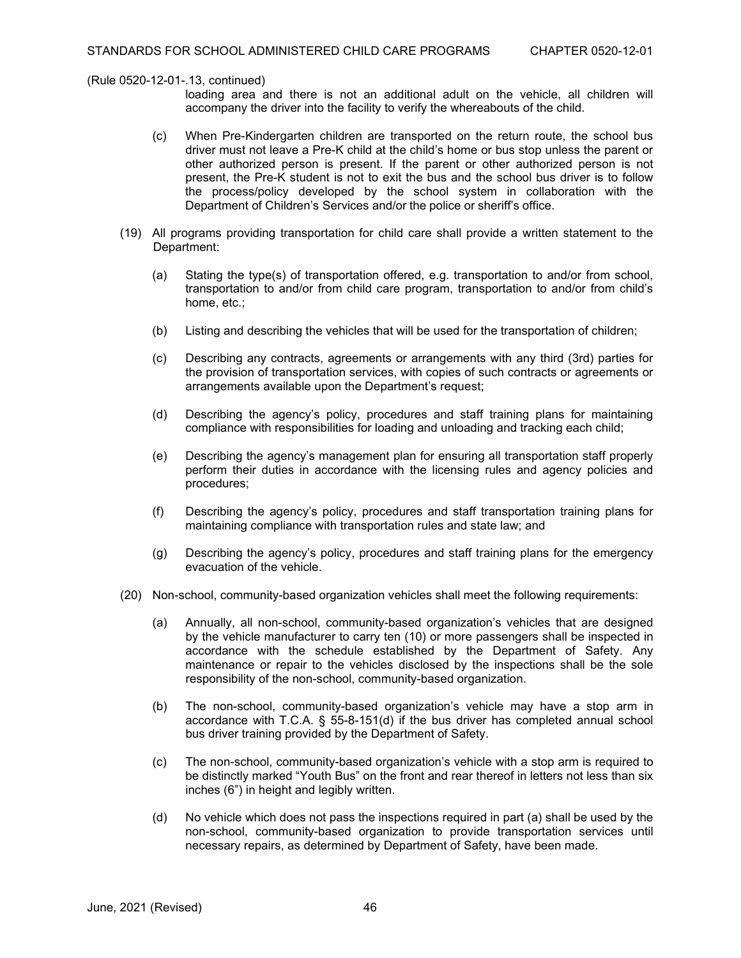- loading area and there is not an additional adult on the vehicle, all children will accompany the driver into the facility to verify the whereabouts of the child.
- (c) When Pre-Kindergarten children are transported on the return route, the school bus driver must not leave a Pre-K child at the child's home or bus stop unless the parent or other authorized person is present. If the parent or other authorized person is not present, the Pre-K student is not to exit the bus and the school bus driver is to follow the process/policy developed by the school system in collaboration with the Department of Children's Services and/or the police or sheriff's office.
- (19) All programs providing transportation for child care shall provide a written statement to the Department:
	- (a) Stating the type(s) of transportation offered, e.g. transportation to and/or from school, transportation to and/or from child care program, transportation to and/or from child's home, etc.;
	- (b) Listing and describing the vehicles that will be used for the transportation of children;
	- (c) Describing any contracts, agreements or arrangements with any third (3rd) parties for the provision of transportation services, with copies of such contracts or agreements or arrangements available upon the Department's request;
	- (d) Describing the agency's policy, procedures and staff training plans for maintaining compliance with responsibilities for loading and unloading and tracking each child;
	- (e) Describing the agency's management plan for ensuring all transportation staff properly perform their duties in accordance with the licensing rules and agency policies and procedures;
	- (f) Describing the agency's policy, procedures and staff transportation training plans for maintaining compliance with transportation rules and state law; and
	- (g) Describing the agency's policy, procedures and staff training plans for the emergency evacuation of the vehicle.
- (20) Non-school, community-based organization vehicles shall meet the following requirements:
	- (a) Annually, all non-school, community-based organization's vehicles that are designed by the vehicle manufacturer to carry ten (10) or more passengers shall be inspected in accordance with the schedule established by the Department of Safety. Any maintenance or repair to the vehicles disclosed by the inspections shall be the sole responsibility of the non-school, community-based organization.
	- (b) The non-school, community-based organization's vehicle may have a stop arm in accordance with T.C.A. § 55-8-151(d) if the bus driver has completed annual school bus driver training provided by the Department of Safety.
	- (c) The non-school, community-based organization's vehicle with a stop arm is required to be distinctly marked "Youth Bus" on the front and rear thereof in letters not less than six inches (6") in height and legibly written.
	- (d) No vehicle which does not pass the inspections required in part (a) shall be used by the non-school, community-based organization to provide transportation services until necessary repairs, as determined by Department of Safety, have been made.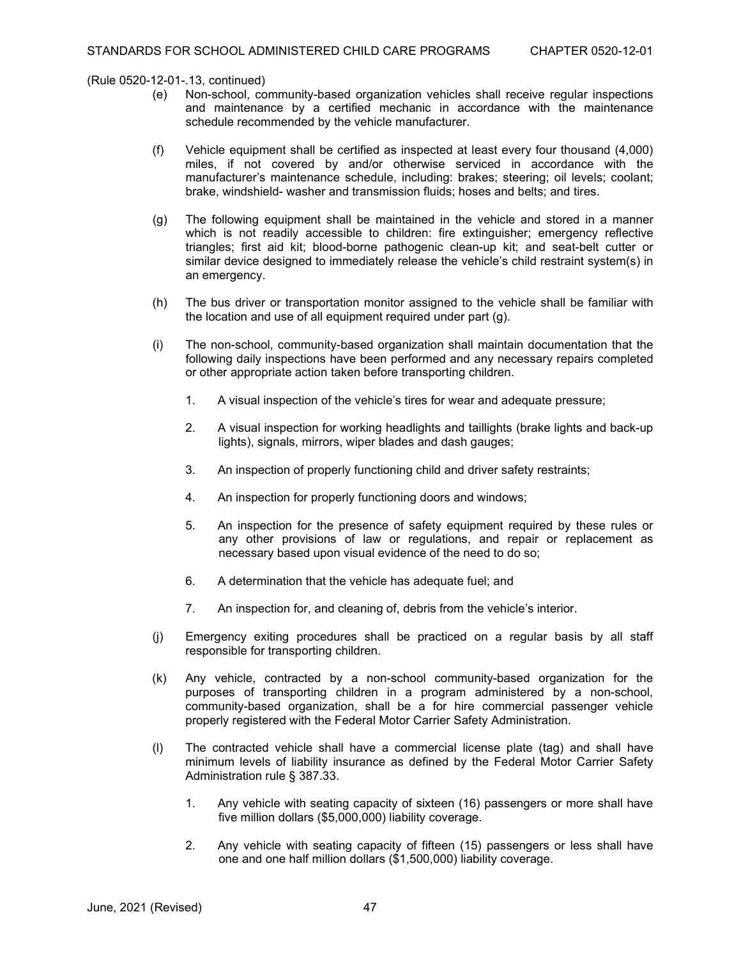- (e) Non-school, community-based organization vehicles shall receive regular inspections and maintenance by a certified mechanic in accordance with the maintenance schedule recommended by the vehicle manufacturer.
- (f) Vehicle equipment shall be certified as inspected at least every four thousand (4,000) miles, if not covered by and/or otherwise serviced in accordance with the manufacturer's maintenance schedule, including: brakes; steering; oil levels; coolant; brake, windshield- washer and transmission fluids; hoses and belts; and tires.
- (g) The following equipment shall be maintained in the vehicle and stored in a manner which is not readily accessible to children: fire extinguisher; emergency reflective triangles; first aid kit; blood-borne pathogenic clean-up kit; and seat-belt cutter or similar device designed to immediately release the vehicle's child restraint system(s) in an emergency.
- (h) The bus driver or transportation monitor assigned to the vehicle shall be familiar with the location and use of all equipment required under part (g).
- (i) The non-school, community-based organization shall maintain documentation that the following daily inspections have been performed and any necessary repairs completed or other appropriate action taken before transporting children.
	- 1. A visual inspection of the vehicle's tires for wear and adequate pressure;
	- 2. A visual inspection for working headlights and taillights (brake lights and back-up lights), signals, mirrors, wiper blades and dash gauges;
	- 3. An inspection of properly functioning child and driver safety restraints;
	- 4. An inspection for properly functioning doors and windows;
	- 5. An inspection for the presence of safety equipment required by these rules or any other provisions of law or regulations, and repair or replacement as necessary based upon visual evidence of the need to do so;
	- 6. A determination that the vehicle has adequate fuel; and
	- 7. An inspection for, and cleaning of, debris from the vehicle's interior.
- (j) Emergency exiting procedures shall be practiced on a regular basis by all staff responsible for transporting children.
- (k) Any vehicle, contracted by a non-school community-based organization for the purposes of transporting children in a program administered by a non-school, community-based organization, shall be a for hire commercial passenger vehicle properly registered with the Federal Motor Carrier Safety Administration.
- (l) The contracted vehicle shall have a commercial license plate (tag) and shall have minimum levels of liability insurance as defined by the Federal Motor Carrier Safety Administration rule § 387.33.
	- 1. Any vehicle with seating capacity of sixteen (16) passengers or more shall have five million dollars (\$5,000,000) liability coverage.
	- 2. Any vehicle with seating capacity of fifteen (15) passengers or less shall have one and one half million dollars (\$1,500,000) liability coverage.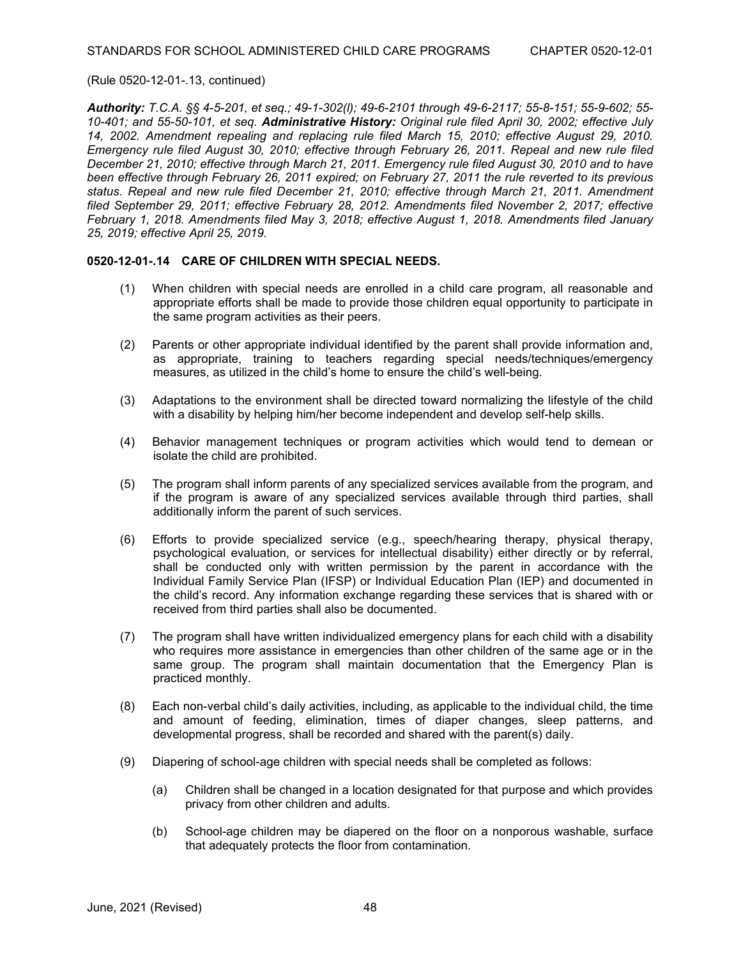*Authority: T.C.A. §§ 4-5-201, et seq.; 49-1-302(l); 49-6-2101 through 49-6-2117; 55-8-151; 55-9-602; 55- 10-401; and 55-50-101, et seq. Administrative History: Original rule filed April 30, 2002; effective July 14, 2002. Amendment repealing and replacing rule filed March 15, 2010; effective August 29, 2010. Emergency rule filed August 30, 2010; effective through February 26, 2011. Repeal and new rule filed December 21, 2010; effective through March 21, 2011. Emergency rule filed August 30, 2010 and to have been effective through February 26, 2011 expired; on February 27, 2011 the rule reverted to its previous status. Repeal and new rule filed December 21, 2010; effective through March 21, 2011. Amendment filed September 29, 2011; effective February 28, 2012. Amendments filed November 2, 2017; effective February 1, 2018. Amendments filed May 3, 2018; effective August 1, 2018. Amendments filed January 25, 2019; effective April 25, 2019.*

## **0520-12-01-.14 CARE OF CHILDREN WITH SPECIAL NEEDS.**

- (1) When children with special needs are enrolled in a child care program, all reasonable and appropriate efforts shall be made to provide those children equal opportunity to participate in the same program activities as their peers.
- (2) Parents or other appropriate individual identified by the parent shall provide information and, as appropriate, training to teachers regarding special needs/techniques/emergency measures, as utilized in the child's home to ensure the child's well-being.
- (3) Adaptations to the environment shall be directed toward normalizing the lifestyle of the child with a disability by helping him/her become independent and develop self-help skills.
- (4) Behavior management techniques or program activities which would tend to demean or isolate the child are prohibited.
- (5) The program shall inform parents of any specialized services available from the program, and if the program is aware of any specialized services available through third parties, shall additionally inform the parent of such services.
- (6) Efforts to provide specialized service (e.g., speech/hearing therapy, physical therapy, psychological evaluation, or services for intellectual disability) either directly or by referral, shall be conducted only with written permission by the parent in accordance with the Individual Family Service Plan (IFSP) or Individual Education Plan (IEP) and documented in the child's record. Any information exchange regarding these services that is shared with or received from third parties shall also be documented.
- (7) The program shall have written individualized emergency plans for each child with a disability who requires more assistance in emergencies than other children of the same age or in the same group. The program shall maintain documentation that the Emergency Plan is practiced monthly.
- (8) Each non-verbal child's daily activities, including, as applicable to the individual child, the time and amount of feeding, elimination, times of diaper changes, sleep patterns, and developmental progress, shall be recorded and shared with the parent(s) daily.
- (9) Diapering of school-age children with special needs shall be completed as follows:
	- (a) Children shall be changed in a location designated for that purpose and which provides privacy from other children and adults.
	- (b) School-age children may be diapered on the floor on a nonporous washable, surface that adequately protects the floor from contamination.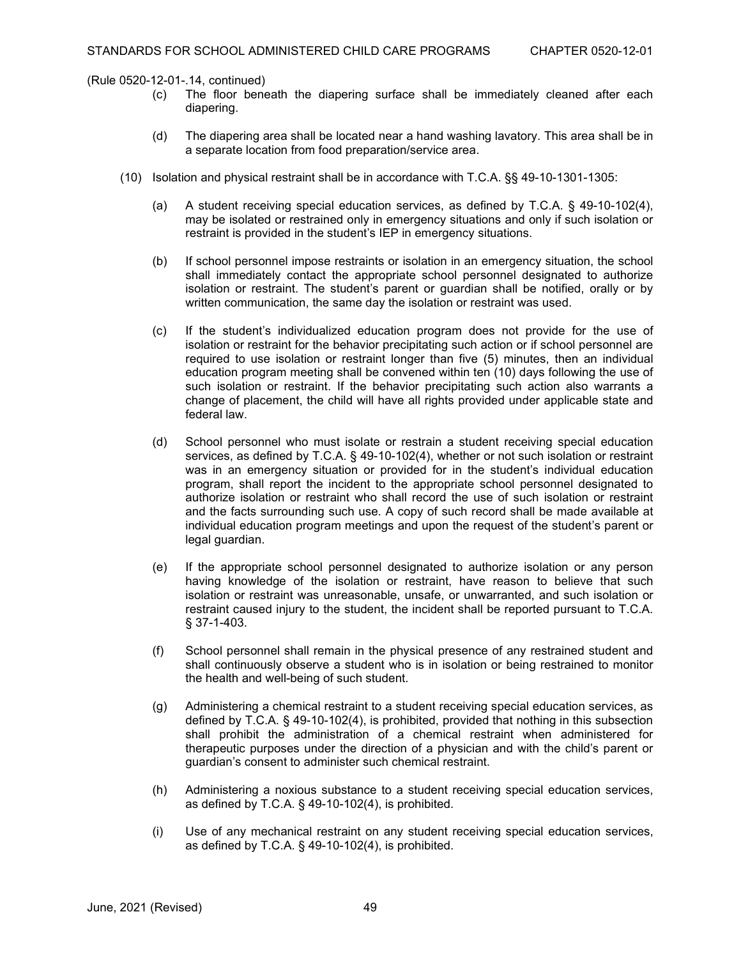- (c) The floor beneath the diapering surface shall be immediately cleaned after each diapering.
- (d) The diapering area shall be located near a hand washing lavatory. This area shall be in a separate location from food preparation/service area.
- (10) Isolation and physical restraint shall be in accordance with T.C.A. §§ 49-10-1301-1305:
	- (a) A student receiving special education services, as defined by T.C.A. § 49-10-102(4), may be isolated or restrained only in emergency situations and only if such isolation or restraint is provided in the student's IEP in emergency situations.
	- (b) If school personnel impose restraints or isolation in an emergency situation, the school shall immediately contact the appropriate school personnel designated to authorize isolation or restraint. The student's parent or guardian shall be notified, orally or by written communication, the same day the isolation or restraint was used.
	- (c) If the student's individualized education program does not provide for the use of isolation or restraint for the behavior precipitating such action or if school personnel are required to use isolation or restraint longer than five (5) minutes, then an individual education program meeting shall be convened within ten (10) days following the use of such isolation or restraint. If the behavior precipitating such action also warrants a change of placement, the child will have all rights provided under applicable state and federal law.
	- (d) School personnel who must isolate or restrain a student receiving special education services, as defined by T.C.A. § 49-10-102(4), whether or not such isolation or restraint was in an emergency situation or provided for in the student's individual education program, shall report the incident to the appropriate school personnel designated to authorize isolation or restraint who shall record the use of such isolation or restraint and the facts surrounding such use. A copy of such record shall be made available at individual education program meetings and upon the request of the student's parent or legal guardian.
	- (e) If the appropriate school personnel designated to authorize isolation or any person having knowledge of the isolation or restraint, have reason to believe that such isolation or restraint was unreasonable, unsafe, or unwarranted, and such isolation or restraint caused injury to the student, the incident shall be reported pursuant to T.C.A. § 37-1-403.
	- (f) School personnel shall remain in the physical presence of any restrained student and shall continuously observe a student who is in isolation or being restrained to monitor the health and well-being of such student.
	- (g) Administering a chemical restraint to a student receiving special education services, as defined by T.C.A. § 49-10-102(4), is prohibited, provided that nothing in this subsection shall prohibit the administration of a chemical restraint when administered for therapeutic purposes under the direction of a physician and with the child's parent or guardian's consent to administer such chemical restraint.
	- (h) Administering a noxious substance to a student receiving special education services, as defined by T.C.A. § 49-10-102(4), is prohibited.
	- (i) Use of any mechanical restraint on any student receiving special education services, as defined by T.C.A. § 49-10-102(4), is prohibited.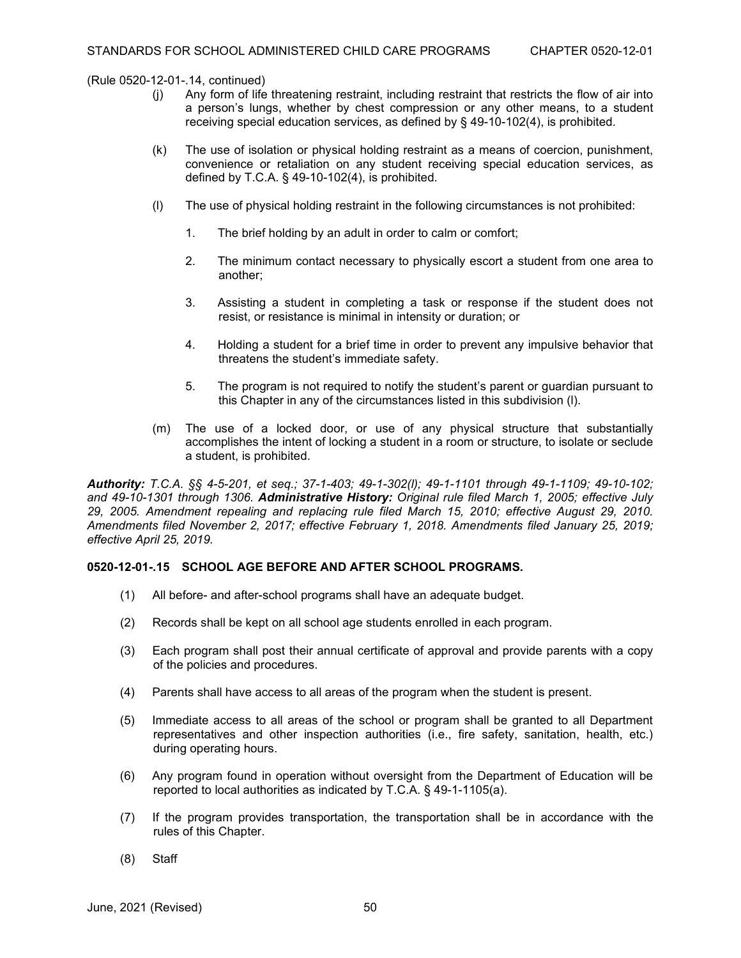- (j) Any form of life threatening restraint, including restraint that restricts the flow of air into a person's lungs, whether by chest compression or any other means, to a student receiving special education services, as defined by § 49-10-102(4), is prohibited.
- (k) The use of isolation or physical holding restraint as a means of coercion, punishment, convenience or retaliation on any student receiving special education services, as defined by T.C.A. § 49-10-102(4), is prohibited.
- (l) The use of physical holding restraint in the following circumstances is not prohibited:
	- 1. The brief holding by an adult in order to calm or comfort;
	- 2. The minimum contact necessary to physically escort a student from one area to another;
	- 3. Assisting a student in completing a task or response if the student does not resist, or resistance is minimal in intensity or duration; or
	- 4. Holding a student for a brief time in order to prevent any impulsive behavior that threatens the student's immediate safety.
	- 5. The program is not required to notify the student's parent or guardian pursuant to this Chapter in any of the circumstances listed in this subdivision (l).
- (m) The use of a locked door, or use of any physical structure that substantially accomplishes the intent of locking a student in a room or structure, to isolate or seclude a student, is prohibited.

*Authority: T.C.A. §§ 4-5-201, et seq.; 37-1-403; 49-1-302(l); 49-1-1101 through 49-1-1109; 49-10-102; and 49-10-1301 through 1306. Administrative History: Original rule filed March 1, 2005; effective July 29, 2005. Amendment repealing and replacing rule filed March 15, 2010; effective August 29, 2010. Amendments filed November 2, 2017; effective February 1, 2018. Amendments filed January 25, 2019; effective April 25, 2019.*

# **0520-12-01-.15 SCHOOL AGE BEFORE AND AFTER SCHOOL PROGRAMS.**

- (1) All before- and after-school programs shall have an adequate budget.
- (2) Records shall be kept on all school age students enrolled in each program.
- (3) Each program shall post their annual certificate of approval and provide parents with a copy of the policies and procedures.
- (4) Parents shall have access to all areas of the program when the student is present.
- (5) Immediate access to all areas of the school or program shall be granted to all Department representatives and other inspection authorities (i.e., fire safety, sanitation, health, etc.) during operating hours.
- (6) Any program found in operation without oversight from the Department of Education will be reported to local authorities as indicated by T.C.A. § 49-1-1105(a).
- (7) If the program provides transportation, the transportation shall be in accordance with the rules of this Chapter.
- (8) Staff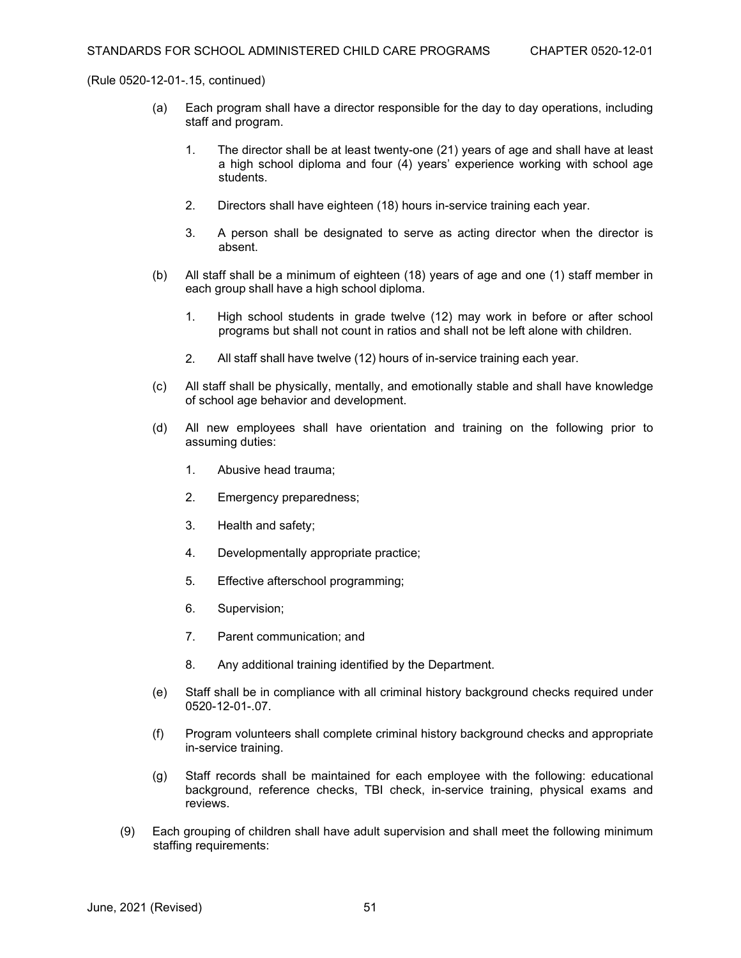- (a) Each program shall have a director responsible for the day to day operations, including staff and program.
	- 1. The director shall be at least twenty-one (21) years of age and shall have at least a high school diploma and four (4) years' experience working with school age students.
	- 2. Directors shall have eighteen (18) hours in-service training each year.
	- 3. A person shall be designated to serve as acting director when the director is absent.
- (b) All staff shall be a minimum of eighteen (18) years of age and one (1) staff member in each group shall have a high school diploma.
	- 1. High school students in grade twelve (12) may work in before or after school programs but shall not count in ratios and shall not be left alone with children.
	- 2. All staff shall have twelve (12) hours of in-service training each year.
- (c) All staff shall be physically, mentally, and emotionally stable and shall have knowledge of school age behavior and development.
- (d) All new employees shall have orientation and training on the following prior to assuming duties:
	- 1. Abusive head trauma;
	- 2. Emergency preparedness;
	- 3. Health and safety;
	- 4. Developmentally appropriate practice;
	- 5. Effective afterschool programming;
	- 6. Supervision;
	- 7. Parent communication; and
	- 8. Any additional training identified by the Department.
- (e) Staff shall be in compliance with all criminal history background checks required under 0520-12-01-.07.
- (f) Program volunteers shall complete criminal history background checks and appropriate in-service training.
- (g) Staff records shall be maintained for each employee with the following: educational background, reference checks, TBI check, in-service training, physical exams and reviews.
- (9) Each grouping of children shall have adult supervision and shall meet the following minimum staffing requirements: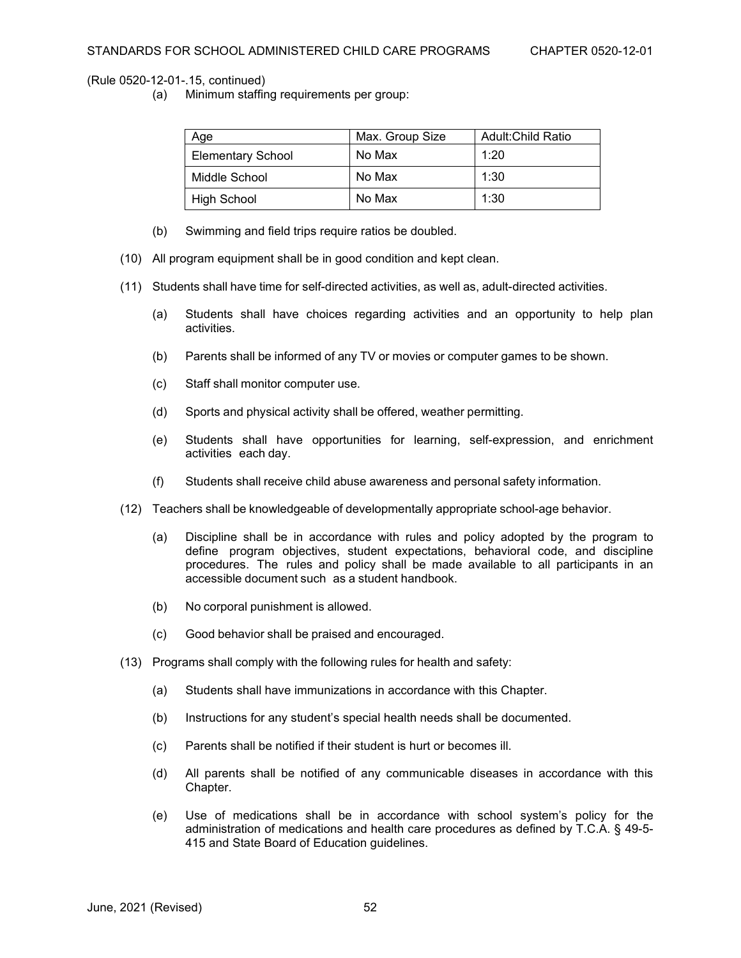(a) Minimum staffing requirements per group:

| Age                      | Max. Group Size | Adult: Child Ratio |
|--------------------------|-----------------|--------------------|
| <b>Elementary School</b> | No Max          | 1:20               |
| Middle School            | No Max          | 1:30               |
| <b>High School</b>       | No Max          | 1:30               |

- (b) Swimming and field trips require ratios be doubled.
- (10) All program equipment shall be in good condition and kept clean.
- (11) Students shall have time for self-directed activities, as well as, adult-directed activities.
	- (a) Students shall have choices regarding activities and an opportunity to help plan activities.
	- (b) Parents shall be informed of any TV or movies or computer games to be shown.
	- (c) Staff shall monitor computer use.
	- (d) Sports and physical activity shall be offered, weather permitting.
	- (e) Students shall have opportunities for learning, self-expression, and enrichment activities each day.
	- (f) Students shall receive child abuse awareness and personal safety information.
- (12) Teachers shall be knowledgeable of developmentally appropriate school-age behavior.
	- (a) Discipline shall be in accordance with rules and policy adopted by the program to define program objectives, student expectations, behavioral code, and discipline procedures. The rules and policy shall be made available to all participants in an accessible document such as a student handbook.
	- (b) No corporal punishment is allowed.
	- (c) Good behavior shall be praised and encouraged.
- (13) Programs shall comply with the following rules for health and safety:
	- (a) Students shall have immunizations in accordance with this Chapter.
	- (b) Instructions for any student's special health needs shall be documented.
	- (c) Parents shall be notified if their student is hurt or becomes ill.
	- (d) All parents shall be notified of any communicable diseases in accordance with this Chapter.
	- (e) Use of medications shall be in accordance with school system's policy for the administration of medications and health care procedures as defined by T.C.A. § 49-5- 415 and State Board of Education guidelines.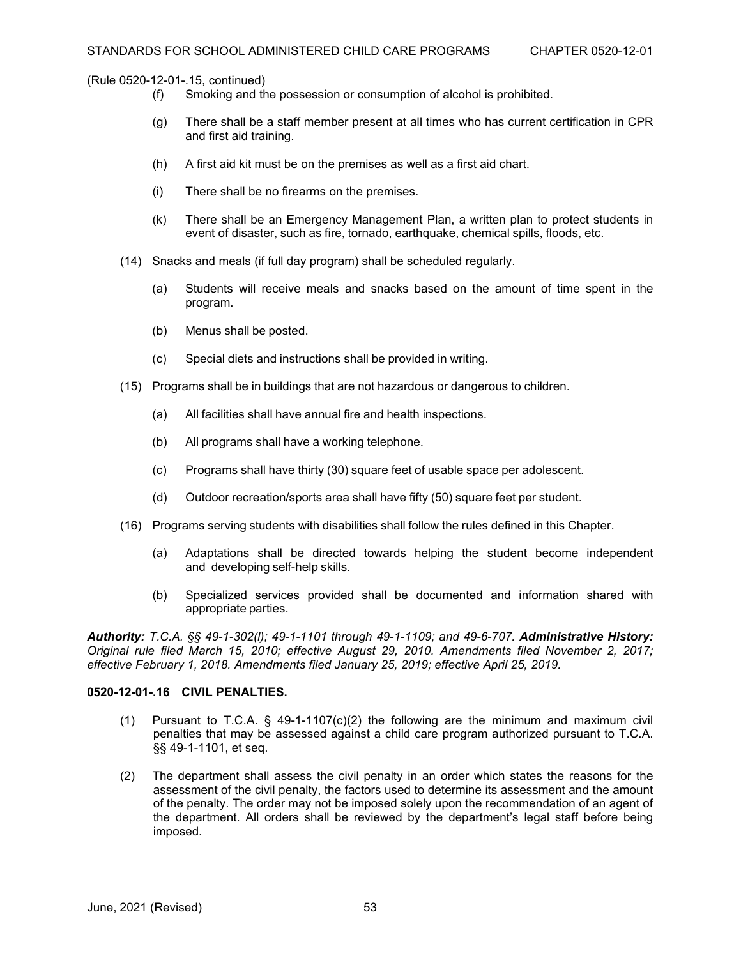- (f) Smoking and the possession or consumption of alcohol is prohibited.
- (g) There shall be a staff member present at all times who has current certification in CPR and first aid training.
- (h) A first aid kit must be on the premises as well as a first aid chart.
- (i) There shall be no firearms on the premises.
- (k) There shall be an Emergency Management Plan, a written plan to protect students in event of disaster, such as fire, tornado, earthquake, chemical spills, floods, etc.
- (14) Snacks and meals (if full day program) shall be scheduled regularly.
	- (a) Students will receive meals and snacks based on the amount of time spent in the program.
	- (b) Menus shall be posted.
	- (c) Special diets and instructions shall be provided in writing.
- (15) Programs shall be in buildings that are not hazardous or dangerous to children.
	- (a) All facilities shall have annual fire and health inspections.
	- (b) All programs shall have a working telephone.
	- (c) Programs shall have thirty (30) square feet of usable space per adolescent.
	- (d) Outdoor recreation/sports area shall have fifty (50) square feet per student.
- (16) Programs serving students with disabilities shall follow the rules defined in this Chapter.
	- (a) Adaptations shall be directed towards helping the student become independent and developing self-help skills.
	- (b) Specialized services provided shall be documented and information shared with appropriate parties.

*Authority: T.C.A. §§ 49-1-302(l); 49-1-1101 through 49-1-1109; and 49-6-707. Administrative History: Original rule filed March 15, 2010; effective August 29, 2010. Amendments filed November 2, 2017; effective February 1, 2018. Amendments filed January 25, 2019; effective April 25, 2019.*

### **0520-12-01-.16 CIVIL PENALTIES.**

- (1) Pursuant to T.C.A.  $\&$  49-1-1107(c)(2) the following are the minimum and maximum civil penalties that may be assessed against a child care program authorized pursuant to T.C.A. §§ 49-1-1101, et seq.
- (2) The department shall assess the civil penalty in an order which states the reasons for the assessment of the civil penalty, the factors used to determine its assessment and the amount of the penalty. The order may not be imposed solely upon the recommendation of an agent of the department. All orders shall be reviewed by the department's legal staff before being imposed.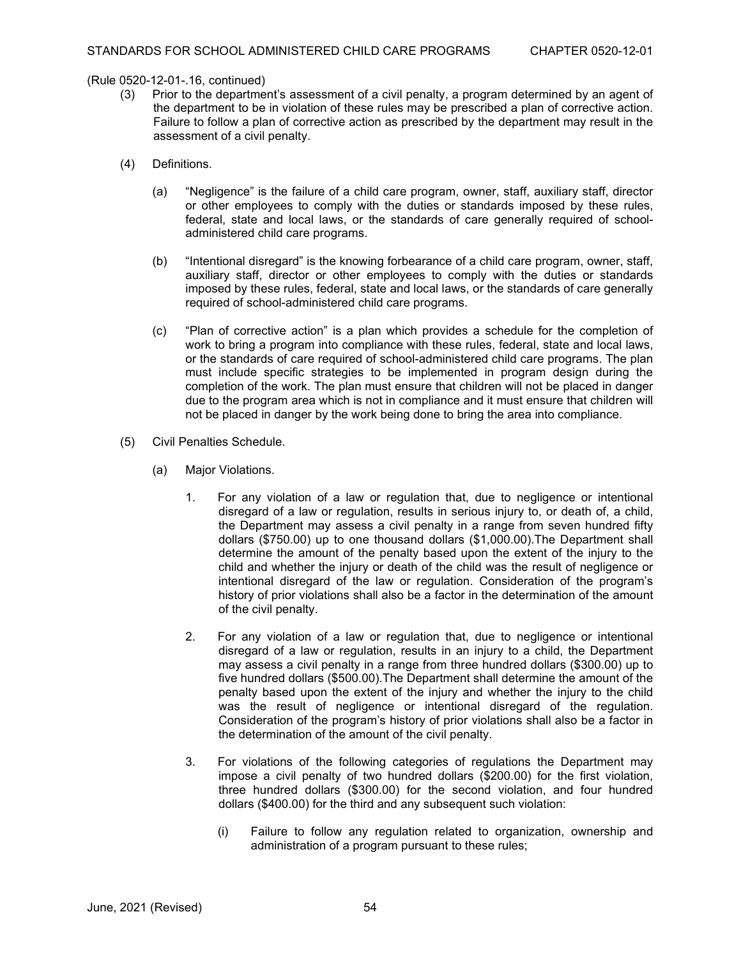- Prior to the department's assessment of a civil penalty, a program determined by an agent of the department to be in violation of these rules may be prescribed a plan of corrective action. Failure to follow a plan of corrective action as prescribed by the department may result in the assessment of a civil penalty.
- (4) Definitions.
	- (a) "Negligence" is the failure of a child care program, owner, staff, auxiliary staff, director or other employees to comply with the duties or standards imposed by these rules, federal, state and local laws, or the standards of care generally required of schooladministered child care programs.
	- (b) "Intentional disregard" is the knowing forbearance of a child care program, owner, staff, auxiliary staff, director or other employees to comply with the duties or standards imposed by these rules, federal, state and local laws, or the standards of care generally required of school-administered child care programs.
	- (c) "Plan of corrective action" is a plan which provides a schedule for the completion of work to bring a program into compliance with these rules, federal, state and local laws, or the standards of care required of school-administered child care programs. The plan must include specific strategies to be implemented in program design during the completion of the work. The plan must ensure that children will not be placed in danger due to the program area which is not in compliance and it must ensure that children will not be placed in danger by the work being done to bring the area into compliance.
- (5) Civil Penalties Schedule.
	- (a) Major Violations.
		- 1. For any violation of a law or regulation that, due to negligence or intentional disregard of a law or regulation, results in serious injury to, or death of, a child, the Department may assess a civil penalty in a range from seven hundred fifty dollars (\$750.00) up to one thousand dollars (\$1,000.00).The Department shall determine the amount of the penalty based upon the extent of the injury to the child and whether the injury or death of the child was the result of negligence or intentional disregard of the law or regulation. Consideration of the program's history of prior violations shall also be a factor in the determination of the amount of the civil penalty.
		- 2. For any violation of a law or regulation that, due to negligence or intentional disregard of a law or regulation, results in an injury to a child, the Department may assess a civil penalty in a range from three hundred dollars (\$300.00) up to five hundred dollars (\$500.00).The Department shall determine the amount of the penalty based upon the extent of the injury and whether the injury to the child was the result of negligence or intentional disregard of the regulation. Consideration of the program's history of prior violations shall also be a factor in the determination of the amount of the civil penalty.
		- 3. For violations of the following categories of regulations the Department may impose a civil penalty of two hundred dollars (\$200.00) for the first violation, three hundred dollars (\$300.00) for the second violation, and four hundred dollars (\$400.00) for the third and any subsequent such violation:
			- (i) Failure to follow any regulation related to organization, ownership and administration of a program pursuant to these rules;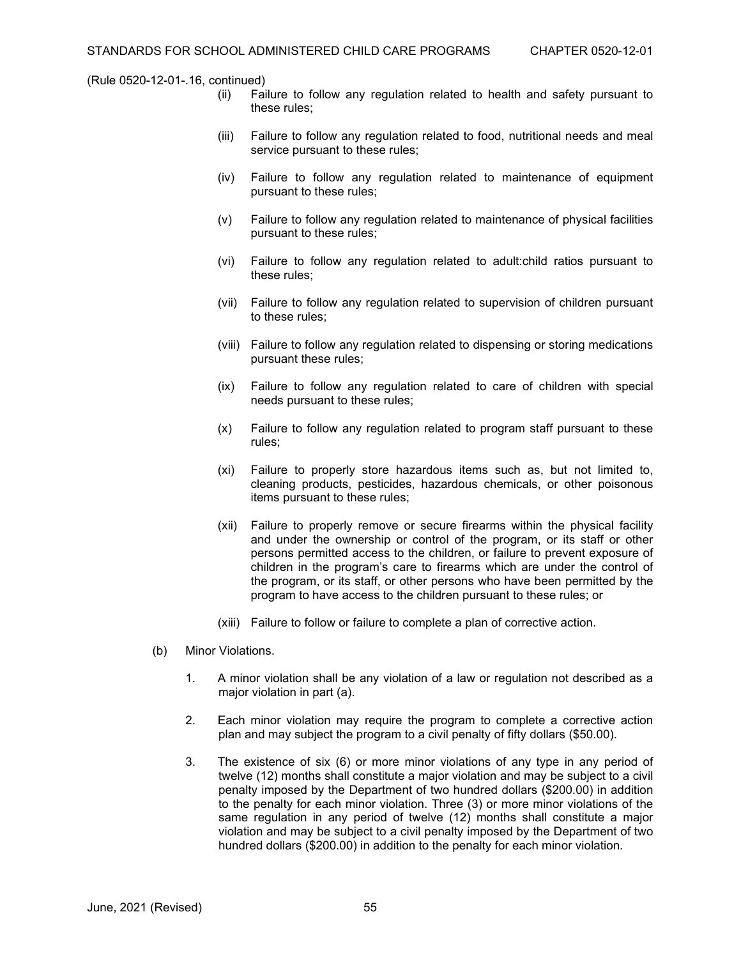- (ii) Failure to follow any regulation related to health and safety pursuant to these rules;
- (iii) Failure to follow any regulation related to food, nutritional needs and meal service pursuant to these rules;
- (iv) Failure to follow any regulation related to maintenance of equipment pursuant to these rules;
- (v) Failure to follow any regulation related to maintenance of physical facilities pursuant to these rules;
- (vi) Failure to follow any regulation related to adult:child ratios pursuant to these rules;
- (vii) Failure to follow any regulation related to supervision of children pursuant to these rules;
- (viii) Failure to follow any regulation related to dispensing or storing medications pursuant these rules;
- (ix) Failure to follow any regulation related to care of children with special needs pursuant to these rules;
- (x) Failure to follow any regulation related to program staff pursuant to these rules;
- (xi) Failure to properly store hazardous items such as, but not limited to, cleaning products, pesticides, hazardous chemicals, or other poisonous items pursuant to these rules;
- (xii) Failure to properly remove or secure firearms within the physical facility and under the ownership or control of the program, or its staff or other persons permitted access to the children, or failure to prevent exposure of children in the program's care to firearms which are under the control of the program, or its staff, or other persons who have been permitted by the program to have access to the children pursuant to these rules; or
- (xiii) Failure to follow or failure to complete a plan of corrective action.
- (b) Minor Violations.
	- 1. A minor violation shall be any violation of a law or regulation not described as a major violation in part (a).
	- 2. Each minor violation may require the program to complete a corrective action plan and may subject the program to a civil penalty of fifty dollars (\$50.00).
	- 3. The existence of six (6) or more minor violations of any type in any period of twelve (12) months shall constitute a major violation and may be subject to a civil penalty imposed by the Department of two hundred dollars (\$200.00) in addition to the penalty for each minor violation. Three (3) or more minor violations of the same regulation in any period of twelve (12) months shall constitute a major violation and may be subject to a civil penalty imposed by the Department of two hundred dollars (\$200.00) in addition to the penalty for each minor violation.